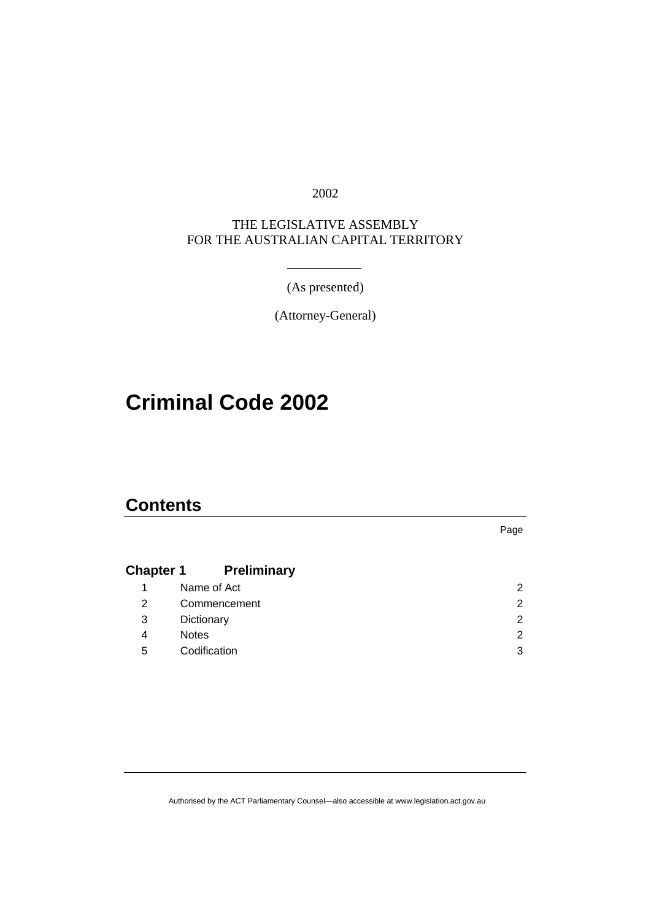2002

#### THE LEGISLATIVE ASSEMBLY FOR THE AUSTRALIAN CAPITAL TERRITORY

(As presented)

(Attorney-General)

# **Criminal Code 2002**

# **Contents**

Page

|    | <b>Chapter 1</b> Preliminary |               |
|----|------------------------------|---------------|
|    | Name of Act                  | $\mathcal{P}$ |
| 2  | Commencement                 | 2             |
| 3  | Dictionary                   | $\mathcal{P}$ |
| 4  | <b>Notes</b>                 | 2             |
| 5. | Codification                 | 3             |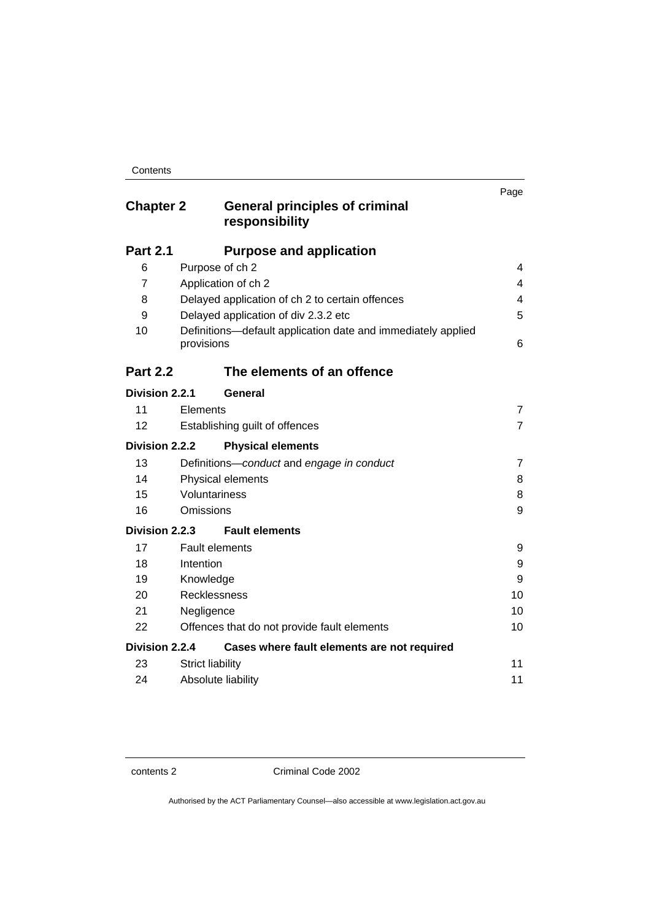| <b>Chapter 2</b> | <b>General principles of criminal</b><br>responsibility                         | Page           |
|------------------|---------------------------------------------------------------------------------|----------------|
| <b>Part 2.1</b>  | <b>Purpose and application</b>                                                  |                |
| 6                | Purpose of ch 2                                                                 | $\overline{4}$ |
| $\overline{7}$   | Application of ch 2                                                             | 4              |
| 8                | Delayed application of ch 2 to certain offences                                 | 4              |
| 9                | Delayed application of div 2.3.2 etc                                            | 5              |
| 10               | Definitions-default application date and immediately applied<br>6<br>provisions |                |
| <b>Part 2.2</b>  | The elements of an offence                                                      |                |
| Division 2.2.1   | General                                                                         |                |
| 11               | Elements                                                                        |                |
| 12               | Establishing guilt of offences                                                  | $\overline{7}$ |
| Division 2.2.2   | <b>Physical elements</b>                                                        |                |
| 13               | Definitions-conduct and engage in conduct                                       | 7              |
| 14               | Physical elements<br>8                                                          |                |
| 15               | Voluntariness<br>8                                                              |                |
| 16               | <b>Omissions</b><br>9                                                           |                |
| Division 2.2.3   | <b>Fault elements</b>                                                           |                |
| 17               | <b>Fault elements</b>                                                           | 9              |
| 18               | Intention<br>9                                                                  |                |
| 19               | Knowledge<br>9                                                                  |                |
| 20               | Recklessness<br>10                                                              |                |
| 21               | Negligence                                                                      | 10             |
| 22               | Offences that do not provide fault elements                                     | 10             |
| Division 2.2.4   | Cases where fault elements are not required                                     |                |
| 23               | <b>Strict liability</b>                                                         | 11             |
| 24               | Absolute liability<br>11                                                        |                |

contents 2 Criminal Code 2002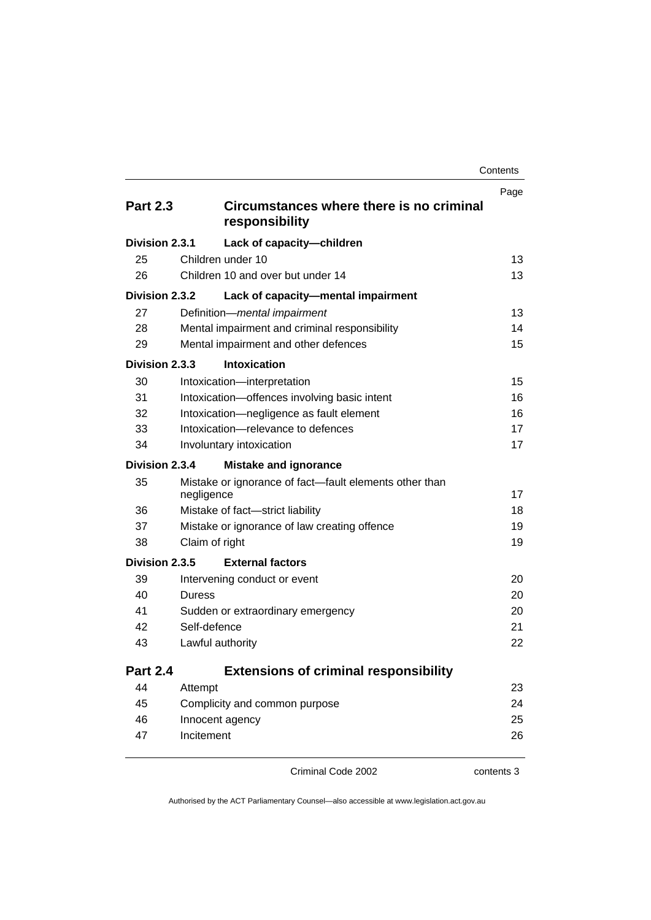|                 |                          |                                                                   | Contents |
|-----------------|--------------------------|-------------------------------------------------------------------|----------|
| <b>Part 2.3</b> |                          | <b>Circumstances where there is no criminal</b><br>responsibility | Page     |
| Division 2.3.1  |                          | Lack of capacity-children                                         |          |
| 25              | Children under 10        |                                                                   | 13       |
| 26              |                          | Children 10 and over but under 14                                 | 13       |
| Division 2.3.2  |                          | Lack of capacity-mental impairment                                |          |
| 27              |                          | Definition-mental impairment                                      | 13       |
| 28              |                          | Mental impairment and criminal responsibility                     | 14       |
| 29              |                          | Mental impairment and other defences                              | 15       |
| Division 2.3.3  |                          | Intoxication                                                      |          |
| 30              |                          | Intoxication-interpretation                                       | 15       |
| 31              |                          | Intoxication-offences involving basic intent                      | 16       |
| 32              |                          | Intoxication-negligence as fault element                          | 16       |
| 33              |                          | Intoxication-relevance to defences                                | 17       |
| 34              | Involuntary intoxication |                                                                   | 17       |
| Division 2.3.4  |                          | <b>Mistake and ignorance</b>                                      |          |
| 35              | negligence               | Mistake or ignorance of fact-fault elements other than            | 17       |
| 36              |                          | Mistake of fact-strict liability                                  | 18       |
| 37              |                          | Mistake or ignorance of law creating offence                      | 19       |
| 38              | Claim of right           |                                                                   | 19       |
| Division 2.3.5  |                          | <b>External factors</b>                                           |          |
| 39              |                          | Intervening conduct or event                                      | 20       |
| 40              | Duress                   |                                                                   | 20       |
| 41              |                          | Sudden or extraordinary emergency                                 | 20       |
| 42              | Self-defence             |                                                                   | 21       |
| 43              | Lawful authority         |                                                                   | 22       |
| <b>Part 2.4</b> |                          | <b>Extensions of criminal responsibility</b>                      |          |
| 44              | Attempt                  |                                                                   | 23       |
| 45              |                          | Complicity and common purpose                                     | 24       |
| 46              | Innocent agency          |                                                                   | 25       |
| 47              | Incitement               |                                                                   | 26       |

Criminal Code 2002 contents 3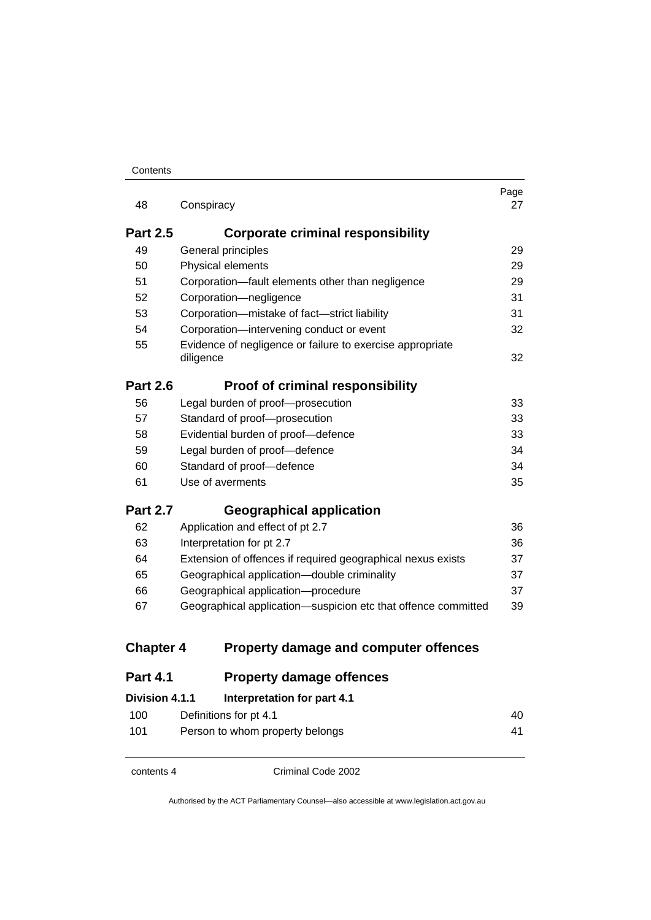| <b>Part 2.5</b><br><b>Corporate criminal responsibility</b><br>49<br>General principles<br>29<br>50<br>Physical elements<br>29<br>51<br>29<br>Corporation-fault elements other than negligence<br>52<br>31<br>Corporation-negligence<br>31<br>53<br>Corporation-mistake of fact-strict liability<br>32<br>54<br>Corporation-intervening conduct or event<br>Evidence of negligence or failure to exercise appropriate<br>55<br>32<br>diligence<br><b>Part 2.6</b><br><b>Proof of criminal responsibility</b><br>33<br>56<br>Legal burden of proof-prosecution<br>57<br>Standard of proof-prosecution<br>33<br>Evidential burden of proof-defence<br>33<br>58<br>Legal burden of proof-defence<br>34<br>59<br>Standard of proof-defence<br>34<br>60<br>61<br>Use of averments<br>35<br><b>Part 2.7</b><br><b>Geographical application</b><br>62<br>Application and effect of pt 2.7<br>36<br>63<br>Interpretation for pt 2.7<br>36<br>64<br>Extension of offences if required geographical nexus exists<br>37<br>65<br>Geographical application-double criminality<br>37<br>Geographical application-procedure<br>37<br>66<br>67<br>Geographical application-suspicion etc that offence committed<br>39<br><b>Chapter 4</b><br><b>Property damage and computer offences</b><br><b>Part 4.1</b><br><b>Property damage offences</b> | 48 | Conspiracy                  | Page<br>27 |
|----------------------------------------------------------------------------------------------------------------------------------------------------------------------------------------------------------------------------------------------------------------------------------------------------------------------------------------------------------------------------------------------------------------------------------------------------------------------------------------------------------------------------------------------------------------------------------------------------------------------------------------------------------------------------------------------------------------------------------------------------------------------------------------------------------------------------------------------------------------------------------------------------------------------------------------------------------------------------------------------------------------------------------------------------------------------------------------------------------------------------------------------------------------------------------------------------------------------------------------------------------------------------------------------------------------------------------|----|-----------------------------|------------|
|                                                                                                                                                                                                                                                                                                                                                                                                                                                                                                                                                                                                                                                                                                                                                                                                                                                                                                                                                                                                                                                                                                                                                                                                                                                                                                                                  |    |                             |            |
|                                                                                                                                                                                                                                                                                                                                                                                                                                                                                                                                                                                                                                                                                                                                                                                                                                                                                                                                                                                                                                                                                                                                                                                                                                                                                                                                  |    |                             |            |
|                                                                                                                                                                                                                                                                                                                                                                                                                                                                                                                                                                                                                                                                                                                                                                                                                                                                                                                                                                                                                                                                                                                                                                                                                                                                                                                                  |    |                             |            |
|                                                                                                                                                                                                                                                                                                                                                                                                                                                                                                                                                                                                                                                                                                                                                                                                                                                                                                                                                                                                                                                                                                                                                                                                                                                                                                                                  |    |                             |            |
|                                                                                                                                                                                                                                                                                                                                                                                                                                                                                                                                                                                                                                                                                                                                                                                                                                                                                                                                                                                                                                                                                                                                                                                                                                                                                                                                  |    |                             |            |
|                                                                                                                                                                                                                                                                                                                                                                                                                                                                                                                                                                                                                                                                                                                                                                                                                                                                                                                                                                                                                                                                                                                                                                                                                                                                                                                                  |    |                             |            |
|                                                                                                                                                                                                                                                                                                                                                                                                                                                                                                                                                                                                                                                                                                                                                                                                                                                                                                                                                                                                                                                                                                                                                                                                                                                                                                                                  |    |                             |            |
|                                                                                                                                                                                                                                                                                                                                                                                                                                                                                                                                                                                                                                                                                                                                                                                                                                                                                                                                                                                                                                                                                                                                                                                                                                                                                                                                  |    |                             |            |
|                                                                                                                                                                                                                                                                                                                                                                                                                                                                                                                                                                                                                                                                                                                                                                                                                                                                                                                                                                                                                                                                                                                                                                                                                                                                                                                                  |    |                             |            |
|                                                                                                                                                                                                                                                                                                                                                                                                                                                                                                                                                                                                                                                                                                                                                                                                                                                                                                                                                                                                                                                                                                                                                                                                                                                                                                                                  |    |                             |            |
|                                                                                                                                                                                                                                                                                                                                                                                                                                                                                                                                                                                                                                                                                                                                                                                                                                                                                                                                                                                                                                                                                                                                                                                                                                                                                                                                  |    |                             |            |
|                                                                                                                                                                                                                                                                                                                                                                                                                                                                                                                                                                                                                                                                                                                                                                                                                                                                                                                                                                                                                                                                                                                                                                                                                                                                                                                                  |    |                             |            |
|                                                                                                                                                                                                                                                                                                                                                                                                                                                                                                                                                                                                                                                                                                                                                                                                                                                                                                                                                                                                                                                                                                                                                                                                                                                                                                                                  |    |                             |            |
|                                                                                                                                                                                                                                                                                                                                                                                                                                                                                                                                                                                                                                                                                                                                                                                                                                                                                                                                                                                                                                                                                                                                                                                                                                                                                                                                  |    |                             |            |
|                                                                                                                                                                                                                                                                                                                                                                                                                                                                                                                                                                                                                                                                                                                                                                                                                                                                                                                                                                                                                                                                                                                                                                                                                                                                                                                                  |    |                             |            |
|                                                                                                                                                                                                                                                                                                                                                                                                                                                                                                                                                                                                                                                                                                                                                                                                                                                                                                                                                                                                                                                                                                                                                                                                                                                                                                                                  |    |                             |            |
|                                                                                                                                                                                                                                                                                                                                                                                                                                                                                                                                                                                                                                                                                                                                                                                                                                                                                                                                                                                                                                                                                                                                                                                                                                                                                                                                  |    |                             |            |
|                                                                                                                                                                                                                                                                                                                                                                                                                                                                                                                                                                                                                                                                                                                                                                                                                                                                                                                                                                                                                                                                                                                                                                                                                                                                                                                                  |    |                             |            |
|                                                                                                                                                                                                                                                                                                                                                                                                                                                                                                                                                                                                                                                                                                                                                                                                                                                                                                                                                                                                                                                                                                                                                                                                                                                                                                                                  |    |                             |            |
|                                                                                                                                                                                                                                                                                                                                                                                                                                                                                                                                                                                                                                                                                                                                                                                                                                                                                                                                                                                                                                                                                                                                                                                                                                                                                                                                  |    |                             |            |
|                                                                                                                                                                                                                                                                                                                                                                                                                                                                                                                                                                                                                                                                                                                                                                                                                                                                                                                                                                                                                                                                                                                                                                                                                                                                                                                                  |    |                             |            |
|                                                                                                                                                                                                                                                                                                                                                                                                                                                                                                                                                                                                                                                                                                                                                                                                                                                                                                                                                                                                                                                                                                                                                                                                                                                                                                                                  |    |                             |            |
|                                                                                                                                                                                                                                                                                                                                                                                                                                                                                                                                                                                                                                                                                                                                                                                                                                                                                                                                                                                                                                                                                                                                                                                                                                                                                                                                  |    |                             |            |
|                                                                                                                                                                                                                                                                                                                                                                                                                                                                                                                                                                                                                                                                                                                                                                                                                                                                                                                                                                                                                                                                                                                                                                                                                                                                                                                                  |    |                             |            |
|                                                                                                                                                                                                                                                                                                                                                                                                                                                                                                                                                                                                                                                                                                                                                                                                                                                                                                                                                                                                                                                                                                                                                                                                                                                                                                                                  |    |                             |            |
|                                                                                                                                                                                                                                                                                                                                                                                                                                                                                                                                                                                                                                                                                                                                                                                                                                                                                                                                                                                                                                                                                                                                                                                                                                                                                                                                  |    | Interpretation for part 4.1 |            |
| Division 4.1.1<br>100<br>Definitions for pt 4.1<br>40                                                                                                                                                                                                                                                                                                                                                                                                                                                                                                                                                                                                                                                                                                                                                                                                                                                                                                                                                                                                                                                                                                                                                                                                                                                                            |    |                             |            |
| 41<br>101<br>Person to whom property belongs                                                                                                                                                                                                                                                                                                                                                                                                                                                                                                                                                                                                                                                                                                                                                                                                                                                                                                                                                                                                                                                                                                                                                                                                                                                                                     |    |                             |            |

contents 4 Criminal Code 2002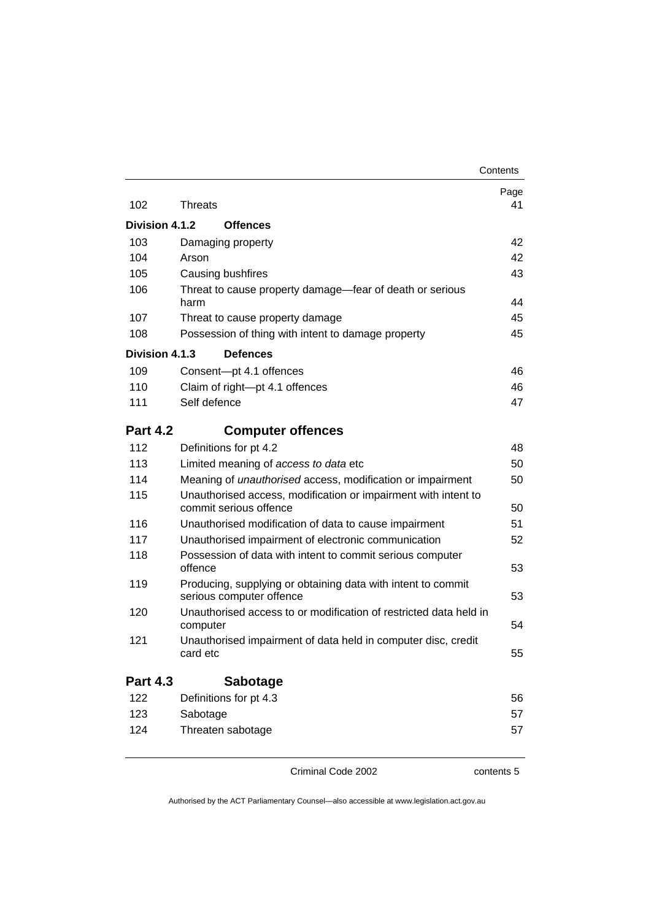|                 |                                       |                                                                   | Contents |
|-----------------|---------------------------------------|-------------------------------------------------------------------|----------|
|                 |                                       |                                                                   | Page     |
| 102             | <b>Threats</b>                        |                                                                   | 41       |
| Division 4.1.2  | <b>Offences</b>                       |                                                                   |          |
| 103             | Damaging property                     |                                                                   | 42       |
| 104             | Arson                                 |                                                                   | 42       |
| 105             | Causing bushfires                     |                                                                   | 43       |
| 106             | harm                                  | Threat to cause property damage—fear of death or serious          | 44       |
| 107             | Threat to cause property damage       |                                                                   | 45       |
| 108             |                                       | Possession of thing with intent to damage property                | 45       |
| Division 4.1.3  | <b>Defences</b>                       |                                                                   |          |
| 109             | Consent-pt 4.1 offences               |                                                                   | 46       |
| 110             | Claim of right-pt 4.1 offences        |                                                                   | 46       |
| 111             | Self defence                          |                                                                   | 47       |
| <b>Part 4.2</b> |                                       | <b>Computer offences</b>                                          |          |
| 112             | Definitions for pt 4.2                |                                                                   | 48       |
| 113             | Limited meaning of access to data etc |                                                                   | 50       |
| 114             |                                       | Meaning of <i>unauthorised</i> access, modification or impairment | 50       |
| 115             | commit serious offence                | Unauthorised access, modification or impairment with intent to    | 50       |
| 116             |                                       | Unauthorised modification of data to cause impairment             | 51       |
| 117             |                                       | Unauthorised impairment of electronic communication               | 52       |
| 118             | offence                               | Possession of data with intent to commit serious computer         | 53       |
| 119             | serious computer offence              | Producing, supplying or obtaining data with intent to commit      | 53       |
| 120             | computer                              | Unauthorised access to or modification of restricted data held in | 54       |
| 121             | card etc                              | Unauthorised impairment of data held in computer disc, credit     | 55       |
| <b>Part 4.3</b> | <b>Sabotage</b>                       |                                                                   |          |
| 122             | Definitions for pt 4.3                |                                                                   | 56       |
| 123             | Sabotage                              |                                                                   | 57       |
| 124             | Threaten sabotage                     |                                                                   | 57       |
|                 |                                       |                                                                   |          |

Criminal Code 2002 contents 5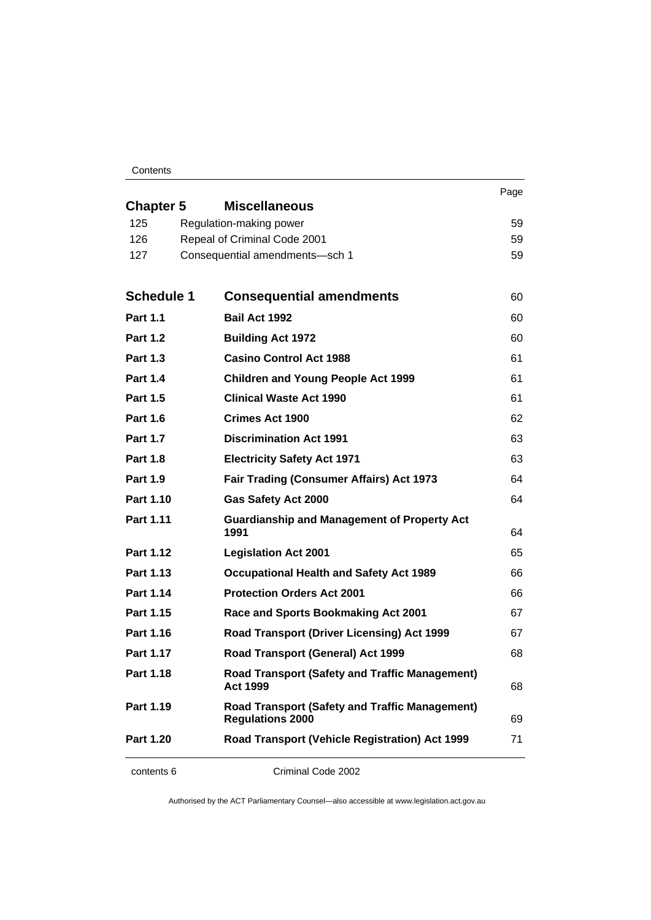#### **Contents**

| <b>Chapter 5</b>  | <b>Miscellaneous</b>                                                             | raye |
|-------------------|----------------------------------------------------------------------------------|------|
| 125               | Regulation-making power                                                          | 59   |
| 126               | Repeal of Criminal Code 2001                                                     | 59   |
| 127               | Consequential amendments-sch 1                                                   | 59   |
| <b>Schedule 1</b> | <b>Consequential amendments</b>                                                  | 60   |
| <b>Part 1.1</b>   | Bail Act 1992                                                                    | 60   |
| <b>Part 1.2</b>   | <b>Building Act 1972</b>                                                         | 60   |
| <b>Part 1.3</b>   | <b>Casino Control Act 1988</b>                                                   | 61   |
| <b>Part 1.4</b>   | <b>Children and Young People Act 1999</b>                                        | 61   |
| <b>Part 1.5</b>   | <b>Clinical Waste Act 1990</b>                                                   | 61   |
| <b>Part 1.6</b>   | <b>Crimes Act 1900</b>                                                           | 62   |
| <b>Part 1.7</b>   | <b>Discrimination Act 1991</b>                                                   | 63   |
| <b>Part 1.8</b>   | <b>Electricity Safety Act 1971</b>                                               | 63   |
| <b>Part 1.9</b>   | <b>Fair Trading (Consumer Affairs) Act 1973</b>                                  | 64   |
| Part 1.10         | <b>Gas Safety Act 2000</b>                                                       | 64   |
| Part 1.11         | <b>Guardianship and Management of Property Act</b><br>1991                       | 64   |
| Part 1.12         | <b>Legislation Act 2001</b>                                                      | 65   |
| Part 1.13         | <b>Occupational Health and Safety Act 1989</b>                                   | 66   |
| Part 1.14         | <b>Protection Orders Act 2001</b>                                                | 66   |
| Part 1.15         | Race and Sports Bookmaking Act 2001                                              | 67   |
| Part 1.16         | Road Transport (Driver Licensing) Act 1999                                       | 67   |
| Part 1.17         | Road Transport (General) Act 1999                                                | 68   |
| Part 1.18         | <b>Road Transport (Safety and Traffic Management)</b><br><b>Act 1999</b>         | 68   |
| Part 1.19         | <b>Road Transport (Safety and Traffic Management)</b><br><b>Regulations 2000</b> | 69   |
| <b>Part 1.20</b>  | Road Transport (Vehicle Registration) Act 1999                                   | 71   |
| contents 6        | Criminal Code 2002                                                               |      |

Page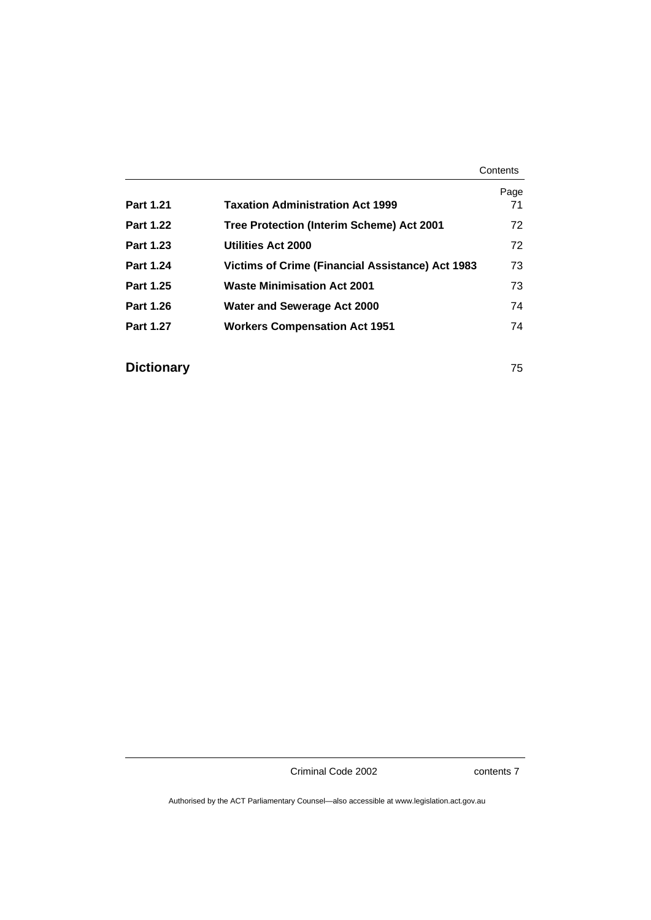**Contents** 

| <b>Part 1.21</b> | <b>Taxation Administration Act 1999</b>                 | Page<br>71 |
|------------------|---------------------------------------------------------|------------|
| <b>Part 1.22</b> | Tree Protection (Interim Scheme) Act 2001               | 72         |
| <b>Part 1.23</b> | <b>Utilities Act 2000</b>                               | 72         |
| <b>Part 1.24</b> | <b>Victims of Crime (Financial Assistance) Act 1983</b> | 73         |
| <b>Part 1.25</b> | <b>Waste Minimisation Act 2001</b>                      | 73         |
| <b>Part 1.26</b> | <b>Water and Sewerage Act 2000</b>                      | 74         |
| <b>Part 1.27</b> | <b>Workers Compensation Act 1951</b>                    | 74         |
|                  |                                                         |            |

**Dictionary** 75

Criminal Code 2002 contents 7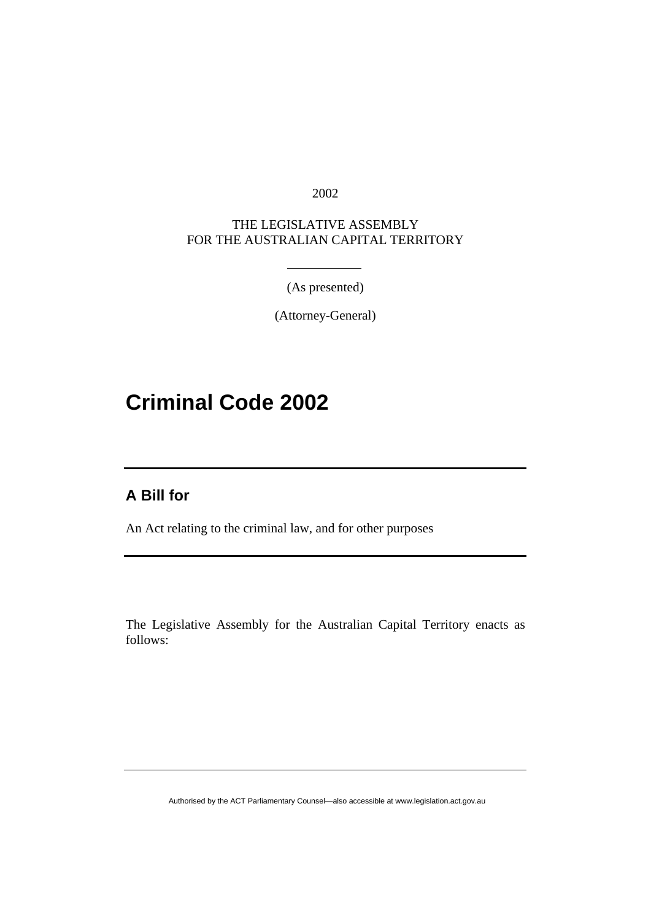2002

#### THE LEGISLATIVE ASSEMBLY FOR THE AUSTRALIAN CAPITAL TERRITORY

(As presented)

(Attorney-General)

# **Criminal Code 2002**

#### **A Bill for**

An Act relating to the criminal law, and for other purposes

The Legislative Assembly for the Australian Capital Territory enacts as follows: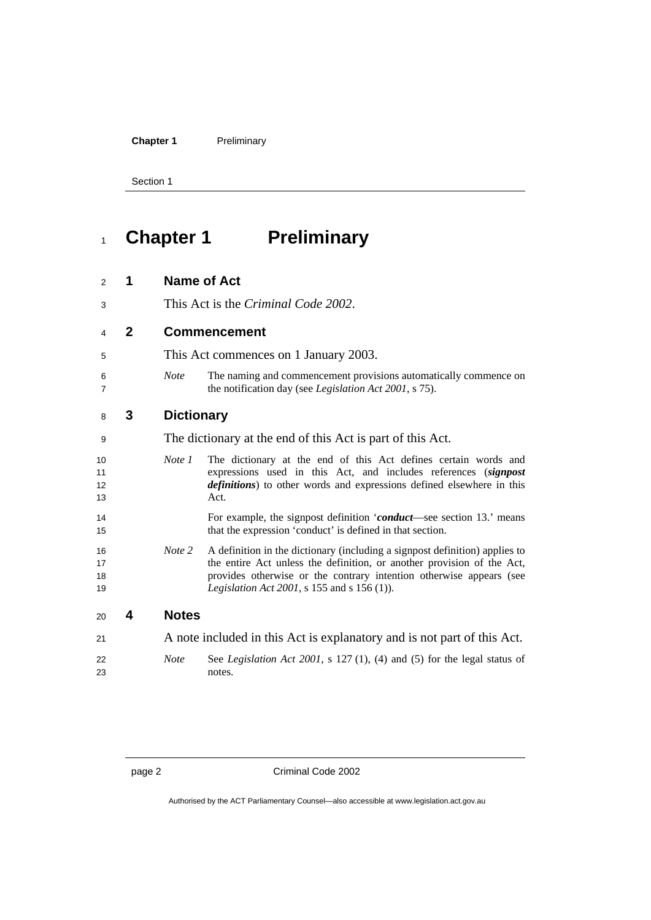| <b>Chapter 1</b> | Preliminary |
|------------------|-------------|
|                  |             |

# **Chapter 1 Preliminary**

#### **1 Name of Act**

This Act is the *Criminal Code 2002*.

#### **2 Commencement**

- 5 This Act commences on 1 January 2003.
- *Note* The naming and commencement provisions automatically commence on the notification day (see *Legislation Act 2001*, s 75).

#### **3 Dictionary**

The dictionary at the end of this Act is part of this Act.

*Note 1* The dictionary at the end of this Act defines certain words and expressions used in this Act, and includes references (*signpost definitions*) to other words and expressions defined elsewhere in this Act. For example, the signpost definition '*conduct*—see section 13.' means that the expression 'conduct' is defined in that section. *Note 2* A definition in the dictionary (including a signpost definition) applies to the entire Act unless the definition, or another provision of the Act, provides otherwise or the contrary intention otherwise appears (see *Legislation Act 2001*, s 155 and s 156 (1)).

#### **4 Notes**

| 21 |      | A note included in this Act is explanatory and is not part of this Act.  |
|----|------|--------------------------------------------------------------------------|
| 22 | Note | See Legislation Act 2001, s 127 (1), (4) and (5) for the legal status of |
| 23 |      | notes.                                                                   |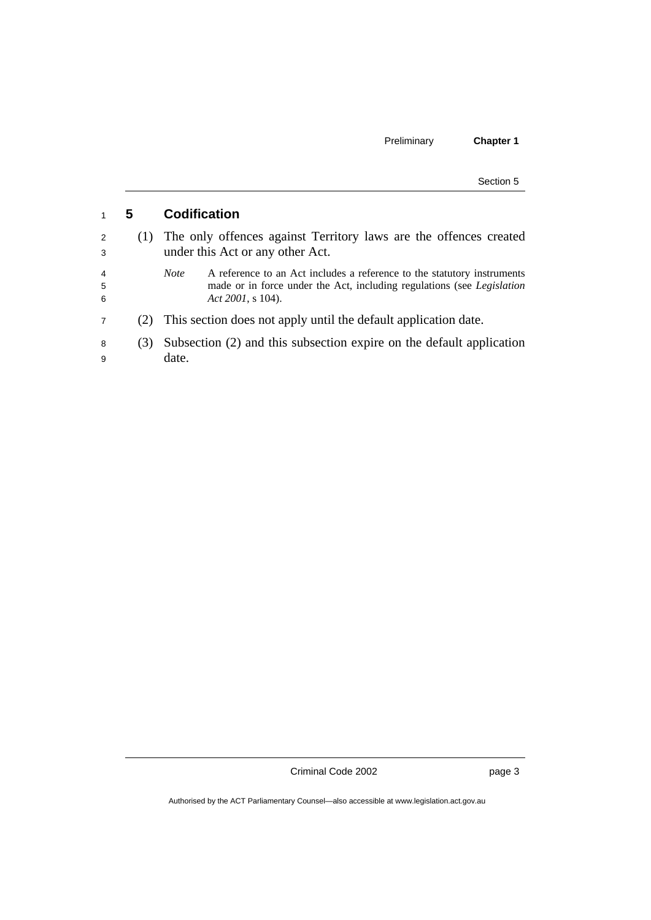| Section 5 |
|-----------|
|-----------|

# **5 Codification**

| 2<br>3         |     | (1) The only offences against Territory laws are the offences created<br>under this Act or any other Act.                                                                                    |
|----------------|-----|----------------------------------------------------------------------------------------------------------------------------------------------------------------------------------------------|
| 4<br>5<br>6    |     | A reference to an Act includes a reference to the statutory instruments<br><b>Note</b><br>made or in force under the Act, including regulations (see <i>Legislation</i><br>Act 2001, s 104). |
| $\overline{7}$ |     | (2) This section does not apply until the default application date.                                                                                                                          |
| 8<br>9         | (3) | Subsection (2) and this subsection expire on the default application<br>date.                                                                                                                |

Criminal Code 2002 page 3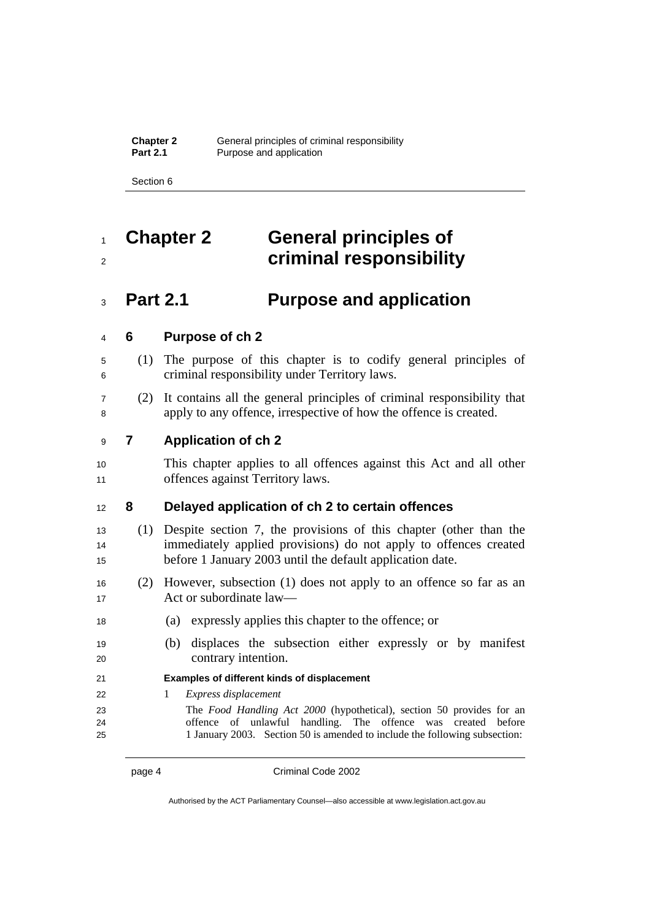**Chapter 2** General principles of criminal responsibility<br>**Part 2.1** Purpose and application Purpose and application

Section 6

# **Chapter 2 General principles of criminal responsibility**

# **Part 2.1 Purpose and application**

#### **6 Purpose of ch 2**

- (1) The purpose of this chapter is to codify general principles of criminal responsibility under Territory laws.
- (2) It contains all the general principles of criminal responsibility that apply to any offence, irrespective of how the offence is created.

#### **7 Application of ch 2**

This chapter applies to all offences against this Act and all other 11 offences against Territory laws.

#### **8 Delayed application of ch 2 to certain offences**

- (1) Despite section 7, the provisions of this chapter (other than the immediately applied provisions) do not apply to offences created before 1 January 2003 until the default application date.
- (2) However, subsection (1) does not apply to an offence so far as an 17 Act or subordinate law—
- (a) expressly applies this chapter to the offence; or
- (b) displaces the subsection either expressly or by manifest 20 contrary intention.

#### **Examples of different kinds of displacement**

- 1 *Express displacement*
- The *Food Handling Act 2000* (hypothetical), section 50 provides for an offence of unlawful handling. The offence was created before 1 January 2003. Section 50 is amended to include the following subsection:

page 4 Criminal Code 2002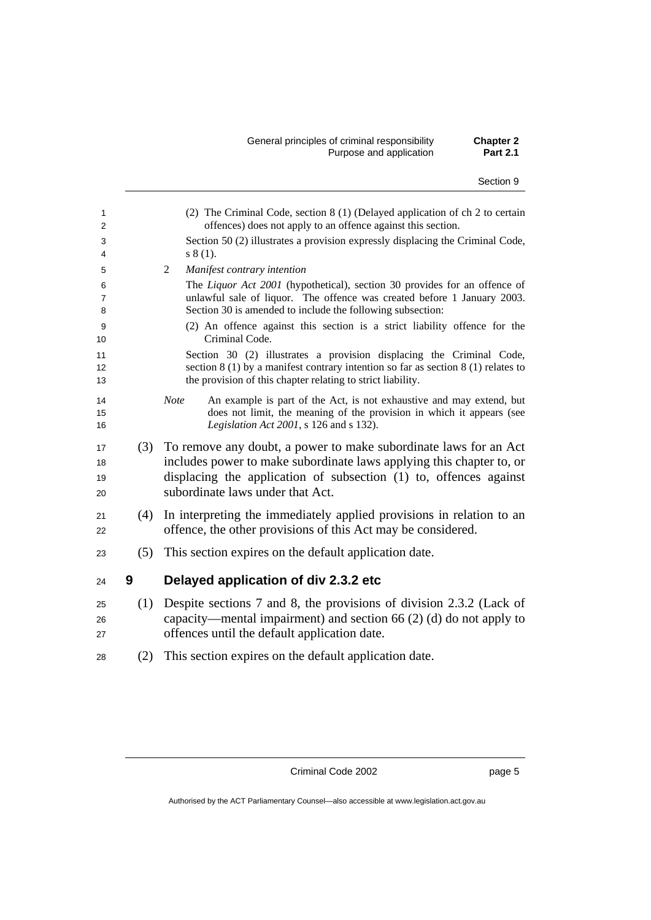| Section 9 |
|-----------|
|           |

| 1<br>2 |     | (2) The Criminal Code, section 8 (1) (Delayed application of ch 2 to certain<br>offences) does not apply to an offence against this section. |
|--------|-----|----------------------------------------------------------------------------------------------------------------------------------------------|
|        |     |                                                                                                                                              |
| 3      |     | Section 50 (2) illustrates a provision expressly displacing the Criminal Code,                                                               |
| 4      |     | $s 8(1)$ .                                                                                                                                   |
| 5      |     | Manifest contrary intention<br>2                                                                                                             |
| 6      |     | The <i>Liquor Act 2001</i> (hypothetical), section 30 provides for an offence of                                                             |
| 7      |     | unlawful sale of liquor. The offence was created before 1 January 2003.                                                                      |
| 8      |     | Section 30 is amended to include the following subsection:                                                                                   |
| 9      |     | (2) An offence against this section is a strict liability offence for the                                                                    |
| 10     |     | Criminal Code.                                                                                                                               |
| 11     |     | Section 30 (2) illustrates a provision displacing the Criminal Code,                                                                         |
| 12     |     | section $8(1)$ by a manifest contrary intention so far as section $8(1)$ relates to                                                          |
| 13     |     | the provision of this chapter relating to strict liability.                                                                                  |
| 14     |     | <b>Note</b><br>An example is part of the Act, is not exhaustive and may extend, but                                                          |
| 15     |     | does not limit, the meaning of the provision in which it appears (see                                                                        |
| 16     |     | Legislation Act 2001, s 126 and s 132).                                                                                                      |
|        |     |                                                                                                                                              |
| 17     | (3) | To remove any doubt, a power to make subordinate laws for an Act                                                                             |
| 18     |     | includes power to make subordinate laws applying this chapter to, or                                                                         |
| 19     |     | displacing the application of subsection (1) to, offences against                                                                            |
|        |     |                                                                                                                                              |
| 20     |     | subordinate laws under that Act.                                                                                                             |
| 21     | (4) | In interpreting the immediately applied provisions in relation to an                                                                         |
|        |     | offence, the other provisions of this Act may be considered.                                                                                 |
| 22     |     |                                                                                                                                              |
| 23     | (5) | This section expires on the default application date.                                                                                        |
|        |     |                                                                                                                                              |
| 24     | 9   | Delayed application of div 2.3.2 etc                                                                                                         |
| 25     | (1) | Despite sections 7 and 8, the provisions of division 2.3.2 (Lack of                                                                          |
|        |     | capacity—mental impairment) and section $66(2)$ (d) do not apply to                                                                          |
| 26     |     |                                                                                                                                              |
| 27     |     | offences until the default application date.                                                                                                 |
|        |     |                                                                                                                                              |
|        |     |                                                                                                                                              |
| 28     | (2) | This section expires on the default application date.                                                                                        |

Criminal Code 2002 page 5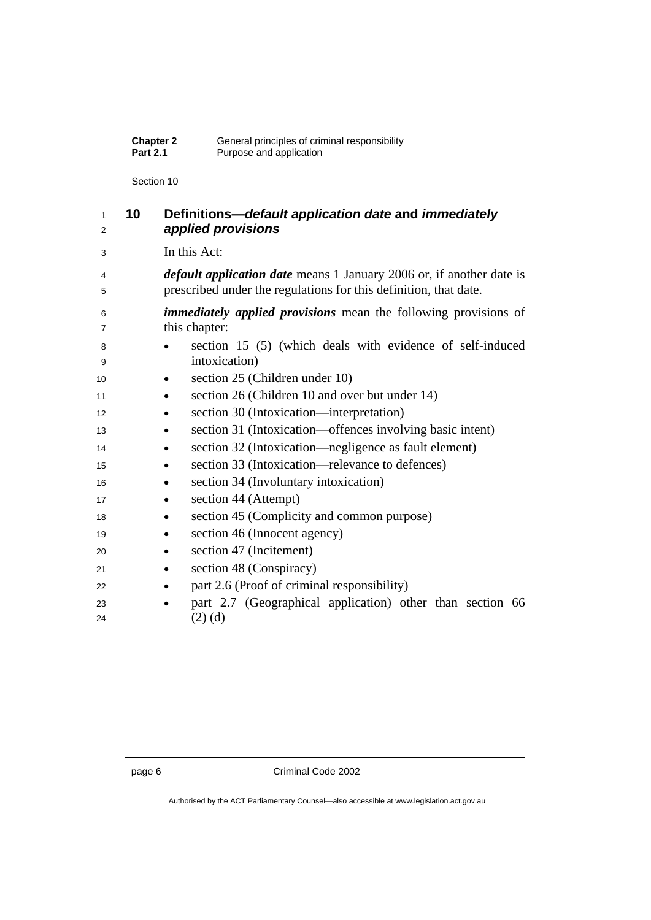| <b>Chapter 2</b> | General principles of criminal responsibility |
|------------------|-----------------------------------------------|
| <b>Part 2.1</b>  | Purpose and application                       |

### **10 Definitions—***default application date* **and** *immediately applied provisions* 3 In this Act: *default application date* means 1 January 2006 or, if another date is 5 prescribed under the regulations for this definition, that date. *immediately applied provisions* mean the following provisions of 7 this chapter: section 15 (5) (which deals with evidence of self-induced 9 intoxication) section 25 (Children under 10) 11 section 26 (Children 10 and over but under 14) section 30 (Intoxication—interpretation) section 31 (Intoxication—offences involving basic intent) section 32 (Intoxication—negligence as fault element) section 33 (Intoxication—relevance to defences) section 34 (Involuntary intoxication) **•** section 44 (Attempt) section 45 (Complicity and common purpose) section 46 (Innocent agency) section 47 (Incitement) section 48 (Conspiracy) **a** part 2.6 (Proof of criminal responsibility) part 2.7 (Geographical application) other than section 66 24  $(2)$   $(d)$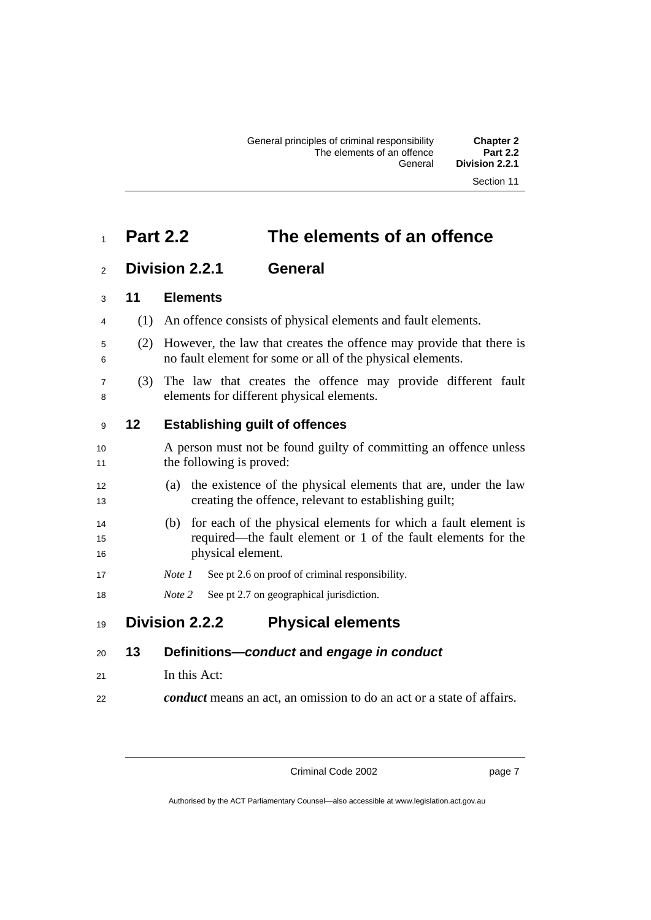# **Part 2.2 The elements of an offence**

#### **Division 2.2.1 General**

#### **11 Elements**

- (1) An offence consists of physical elements and fault elements.
- (2) However, the law that creates the offence may provide that there is no fault element for some or all of the physical elements.
- (3) The law that creates the offence may provide different fault elements for different physical elements.

#### **12 Establishing guilt of offences**

A person must not be found guilty of committing an offence unless 11 the following is proved:

- (a) the existence of the physical elements that are, under the law 13 creating the offence, relevant to establishing guilt;
- (b) for each of the physical elements for which a fault element is required—the fault element or 1 of the fault elements for the 16 physical element.
- *Note 1* See pt 2.6 on proof of criminal responsibility.
- *Note 2* See pt 2.7 on geographical jurisdiction.

## **Division 2.2.2 Physical elements**

#### **13 Definitions—***conduct* **and** *engage in conduct*

21 In this Act:

*conduct* means an act, an omission to do an act or a state of affairs.

Criminal Code 2002 **page 7**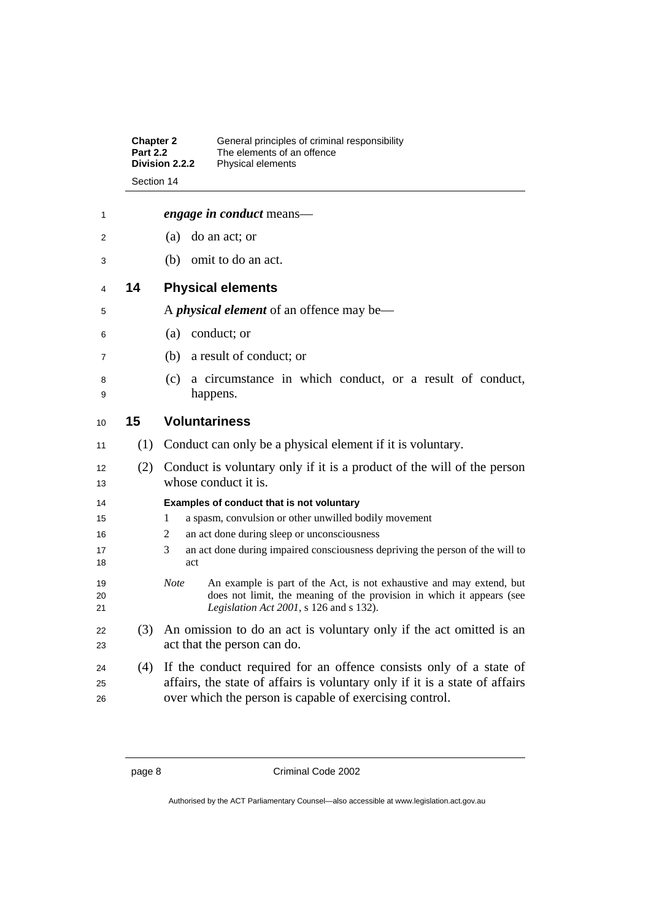| <b>Chapter 2</b> | General principles of criminal responsibility |
|------------------|-----------------------------------------------|
| <b>Part 2.2</b>  | The elements of an offence                    |
| Division 2.2.2   | Physical elements                             |
| Section 14       |                                               |

|     | <i>engage in conduct</i> means—                                                                                                                                                                                                                                       |
|-----|-----------------------------------------------------------------------------------------------------------------------------------------------------------------------------------------------------------------------------------------------------------------------|
|     | (a)<br>do an act; or                                                                                                                                                                                                                                                  |
|     | (b)<br>omit to do an act.                                                                                                                                                                                                                                             |
| 14  | <b>Physical elements</b>                                                                                                                                                                                                                                              |
|     | A <i>physical element</i> of an offence may be—                                                                                                                                                                                                                       |
|     | conduct; or<br>(a)                                                                                                                                                                                                                                                    |
|     | a result of conduct; or<br>(b)                                                                                                                                                                                                                                        |
|     | a circumstance in which conduct, or a result of conduct,<br>(c)<br>happens.                                                                                                                                                                                           |
| 15  | <b>Voluntariness</b>                                                                                                                                                                                                                                                  |
| (1) | Conduct can only be a physical element if it is voluntary.                                                                                                                                                                                                            |
| (2) | Conduct is voluntary only if it is a product of the will of the person<br>whose conduct it is.                                                                                                                                                                        |
|     | Examples of conduct that is not voluntary<br>a spasm, convulsion or other unwilled bodily movement<br>1<br>$\overline{2}$<br>an act done during sleep or unconsciousness<br>3<br>an act done during impaired consciousness depriving the person of the will to<br>act |
|     | An example is part of the Act, is not exhaustive and may extend, but<br><b>Note</b><br>does not limit, the meaning of the provision in which it appears (see<br>Legislation Act 2001, s 126 and s 132).                                                               |
| (3) | An omission to do an act is voluntary only if the act omitted is an<br>act that the person can do.                                                                                                                                                                    |
| (4) | If the conduct required for an offence consists only of a state of<br>affairs, the state of affairs is voluntary only if it is a state of affairs<br>over which the person is capable of exercising control.                                                          |
|     |                                                                                                                                                                                                                                                                       |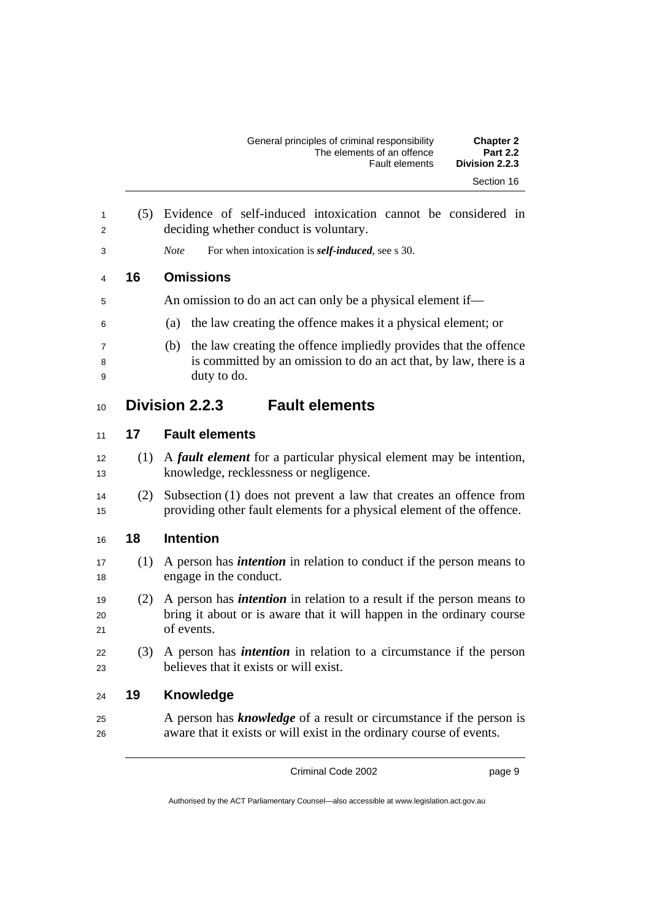(5) Evidence of self-induced intoxication cannot be considered in deciding whether conduct is voluntary.

*Note* For when intoxication is *self-induced*, see s 30.

#### **16 Omissions**

An omission to do an act can only be a physical element if—

- (a) the law creating the offence makes it a physical element; or
- (b) the law creating the offence impliedly provides that the offence is committed by an omission to do an act that, by law, there is a duty to do.

## **Division 2.2.3 Fault elements**

#### **17 Fault elements**

- (1) A *fault element* for a particular physical element may be intention, knowledge, recklessness or negligence.
- (2) Subsection (1) does not prevent a law that creates an offence from providing other fault elements for a physical element of the offence.

#### **18 Intention**

- (1) A person has *intention* in relation to conduct if the person means to 18 engage in the conduct.
- (2) A person has *intention* in relation to a result if the person means to bring it about or is aware that it will happen in the ordinary course 21 of events.
- (3) A person has *intention* in relation to a circumstance if the person believes that it exists or will exist.

#### **19 Knowledge**

A person has *knowledge* of a result or circumstance if the person is aware that it exists or will exist in the ordinary course of events.

Criminal Code 2002 **page 9**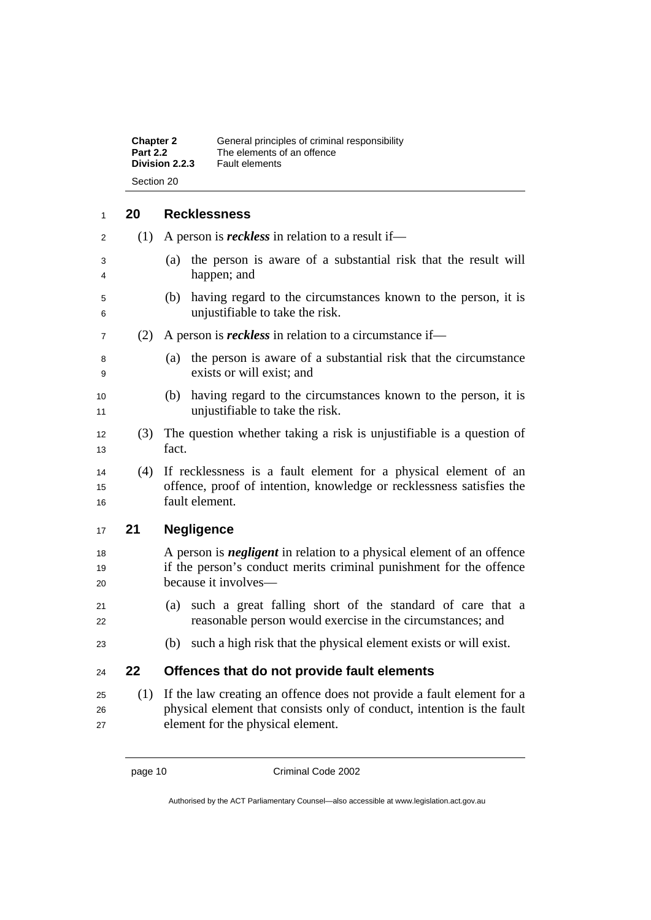| <b>Chapter 2</b> | General principles of criminal responsibility |
|------------------|-----------------------------------------------|
| <b>Part 2.2</b>  | The elements of an offence                    |
| Division 2.2.3   | <b>Fault elements</b>                         |
| Section 20       |                                               |

#### **20 Recklessness**

| 2              | (1) | A person is <i>reckless</i> in relation to a result if—                                                                                                                              |
|----------------|-----|--------------------------------------------------------------------------------------------------------------------------------------------------------------------------------------|
| 3<br>4         |     | the person is aware of a substantial risk that the result will<br>(a)<br>happen; and                                                                                                 |
| 5<br>6         |     | having regard to the circumstances known to the person, it is<br>(b)<br>unjustifiable to take the risk.                                                                              |
| $\overline{7}$ | (2) | A person is <i>reckless</i> in relation to a circumstance if—                                                                                                                        |
| 8<br>9         |     | the person is aware of a substantial risk that the circumstance<br>(a)<br>exists or will exist; and                                                                                  |
| 10<br>11       |     | having regard to the circumstances known to the person, it is<br>(b)<br>unjustifiable to take the risk.                                                                              |
| 12<br>13       | (3) | The question whether taking a risk is unjustifiable is a question of<br>fact.                                                                                                        |
| 14             | (4) | If recklessness is a fault element for a physical element of an<br>offence, proof of intention, knowledge or recklessness satisfies the                                              |
| 15<br>16       |     | fault element.                                                                                                                                                                       |
| 17             | 21  | <b>Negligence</b>                                                                                                                                                                    |
| 18<br>19<br>20 |     | A person is <i>negligent</i> in relation to a physical element of an offence<br>if the person's conduct merits criminal punishment for the offence<br>because it involves—           |
| 21<br>22       |     | such a great falling short of the standard of care that a<br>(a)<br>reasonable person would exercise in the circumstances; and                                                       |
| 23             |     | such a high risk that the physical element exists or will exist.<br>(b)                                                                                                              |
| 24             | 22  | Offences that do not provide fault elements                                                                                                                                          |
| 25<br>26<br>27 | (1) | If the law creating an offence does not provide a fault element for a<br>physical element that consists only of conduct, intention is the fault<br>element for the physical element. |

Authorised by the ACT Parliamentary Counsel—also accessible at www.legislation.act.gov.au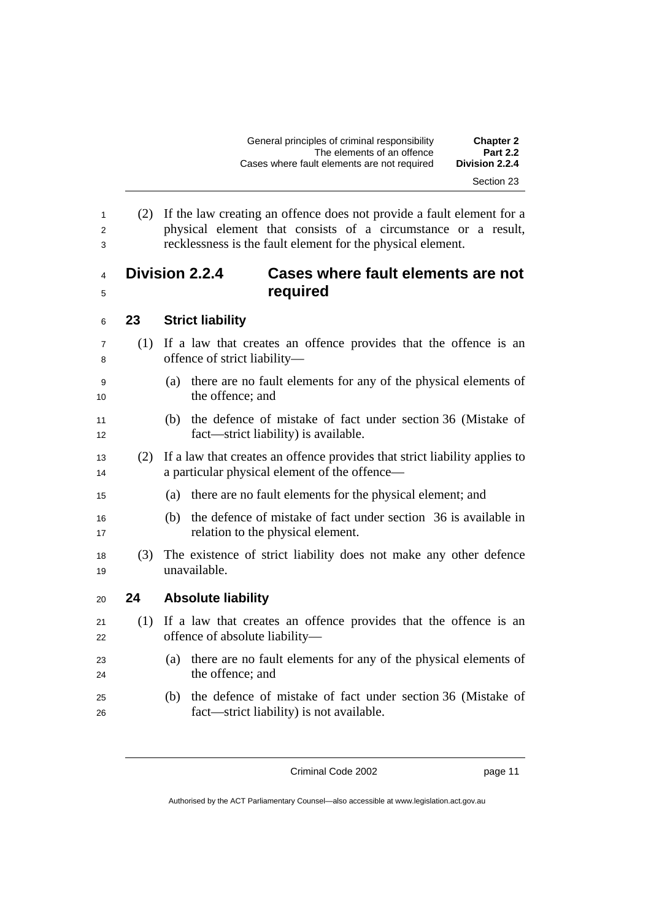<sup>1</sup>(2) If the law creating an offence does not provide a fault element for a <sup>2</sup>physical element that consists of a circumstance or a result, <sup>3</sup>recklessness is the fault element for the physical element.

#### <sup>4</sup>**Division 2.2.4 Cases where fault elements are not**  <sup>5</sup>**required**

#### <sup>6</sup>**23 Strict liability**

- <sup>7</sup>(1) If a law that creates an offence provides that the offence is an 8 offence of strict liability—
- <sup>9</sup>(a) there are no fault elements for any of the physical elements of 10 the offence; and
- <sup>11</sup>(b) the defence of mistake of fact under section 36 (Mistake of 12 fact—strict liability) is available.
- <sup>13</sup>(2) If a law that creates an offence provides that strict liability applies to <sup>14</sup>a particular physical element of the offence—
- <sup>15</sup>(a) there are no fault elements for the physical element; and
- <sup>16</sup>(b) the defence of mistake of fact under section 36 is available in 17 relation to the physical element.
- <sup>18</sup>(3) The existence of strict liability does not make any other defence 19 unavailable.
- <sup>20</sup>**24 Absolute liability**
- <sup>21</sup>(1) If a law that creates an offence provides that the offence is an 22 offence of absolute liability—
- <sup>23</sup>(a) there are no fault elements for any of the physical elements of 24 the offence: and
- <sup>25</sup>(b) the defence of mistake of fact under section 36 (Mistake of 26 fact—strict liability) is not available.

Criminal Code 2002 **page 11**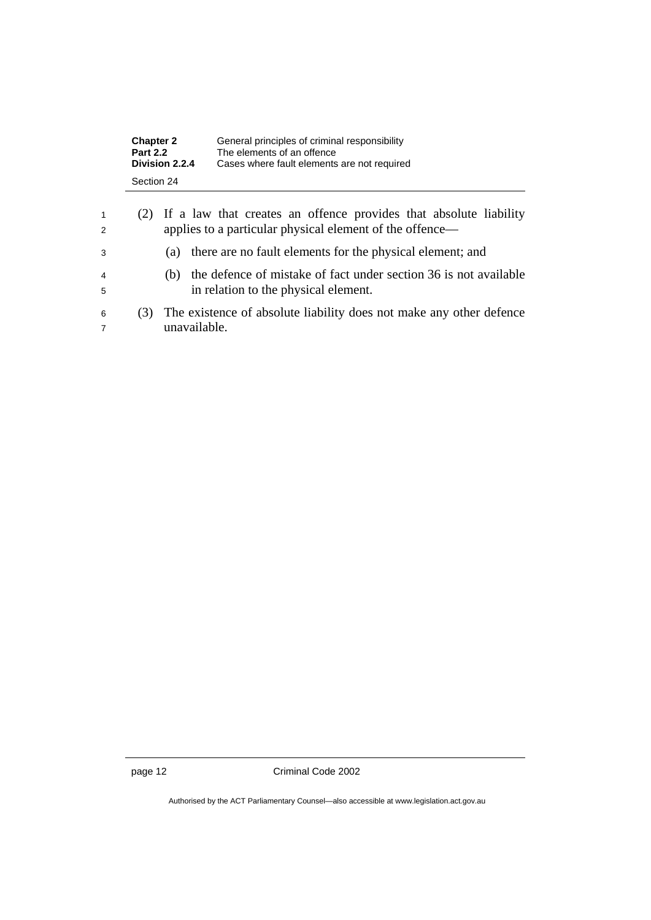| <b>Chapter 2</b> | General principles of criminal responsibility |
|------------------|-----------------------------------------------|
| <b>Part 2.2</b>  | The elements of an offence                    |
| Division 2.2.4   | Cases where fault elements are not required   |
| Section 24       |                                               |

| $\overline{1}$<br>2  |     | (2) If a law that creates an offence provides that absolute liability<br>applies to a particular physical element of the offence— |
|----------------------|-----|-----------------------------------------------------------------------------------------------------------------------------------|
| -3                   |     | there are no fault elements for the physical element; and<br>(a)                                                                  |
| $\overline{4}$<br>-5 |     | the defence of mistake of fact under section 36 is not available<br>(b)<br>in relation to the physical element.                   |
| 6<br>$\overline{7}$  | (3) | The existence of absolute liability does not make any other defence<br>unavailable.                                               |

page 12 Criminal Code 2002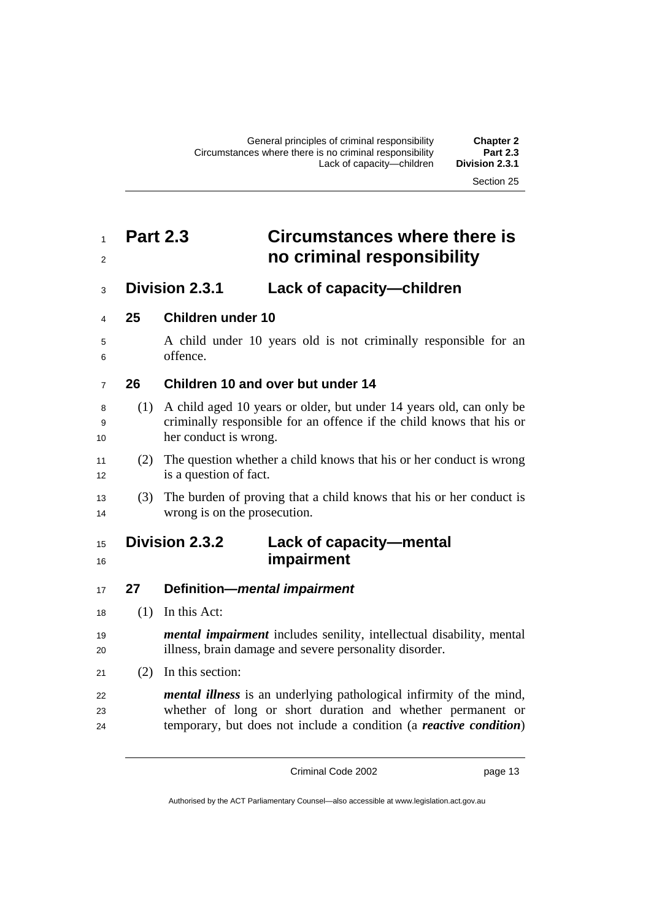# **Part 2.3 Circumstances where there is no criminal responsibility**

#### **Division 2.3.1 Lack of capacity—children**

#### **25 Children under 10**

A child under 10 years old is not criminally responsible for an 6 offence.

#### **26 Children 10 and over but under 14**

- (1) A child aged 10 years or older, but under 14 years old, can only be criminally responsible for an offence if the child knows that his or 10 her conduct is wrong.
- (2) The question whether a child knows that his or her conduct is wrong 12 is a question of fact.
- (3) The burden of proving that a child knows that his or her conduct is wrong is on the prosecution.

### **Division 2.3.2 Lack of capacity—mental impairment**

#### **27 Definition—***mental impairment*

(1) In this Act:

- *mental impairment* includes senility, intellectual disability, mental illness, brain damage and severe personality disorder.
- (2) In this section:

*mental illness* is an underlying pathological infirmity of the mind, whether of long or short duration and whether permanent or temporary, but does not include a condition (a *reactive condition*)

Criminal Code 2002 page 13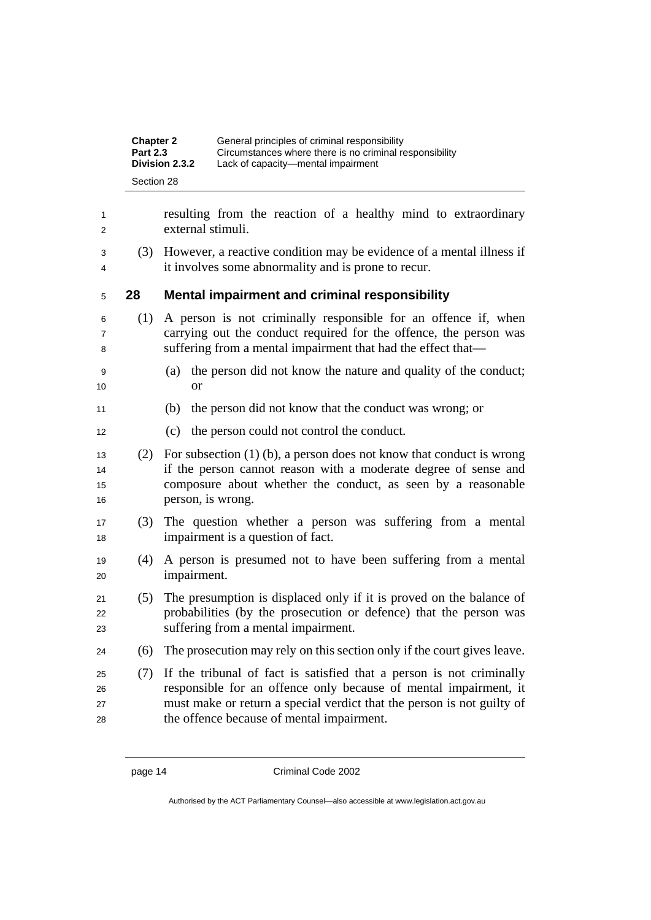| <b>Chapter 2</b> | General principles of criminal responsibility           |
|------------------|---------------------------------------------------------|
| <b>Part 2.3</b>  | Circumstances where there is no criminal responsibility |
| Division 2.3.2   | Lack of capacity—mental impairment                      |
| Section 28       |                                                         |

| 1<br>2                   |     | resulting from the reaction of a healthy mind to extraordinary<br>external stimuli.                                                                                                                                                                             |
|--------------------------|-----|-----------------------------------------------------------------------------------------------------------------------------------------------------------------------------------------------------------------------------------------------------------------|
| 3<br>4                   | (3) | However, a reactive condition may be evidence of a mental illness if<br>it involves some abnormality and is prone to recur.                                                                                                                                     |
| 5                        | 28  | Mental impairment and criminal responsibility                                                                                                                                                                                                                   |
| 6<br>$\overline{7}$<br>8 | (1) | A person is not criminally responsible for an offence if, when<br>carrying out the conduct required for the offence, the person was<br>suffering from a mental impairment that had the effect that—                                                             |
| 9<br>10                  |     | the person did not know the nature and quality of the conduct;<br>(a)<br><sub>or</sub>                                                                                                                                                                          |
| 11                       |     | the person did not know that the conduct was wrong; or<br>(b)                                                                                                                                                                                                   |
| $12 \overline{ }$        |     | the person could not control the conduct.<br>(c)                                                                                                                                                                                                                |
| 13<br>14<br>15<br>16     | (2) | For subsection $(1)$ (b), a person does not know that conduct is wrong<br>if the person cannot reason with a moderate degree of sense and<br>composure about whether the conduct, as seen by a reasonable<br>person, is wrong.                                  |
| 17<br>18                 | (3) | The question whether a person was suffering from a mental<br>impairment is a question of fact.                                                                                                                                                                  |
| 19<br>20                 | (4) | A person is presumed not to have been suffering from a mental<br>impairment.                                                                                                                                                                                    |
| 21<br>22<br>23           | (5) | The presumption is displaced only if it is proved on the balance of<br>probabilities (by the prosecution or defence) that the person was<br>suffering from a mental impairment.                                                                                 |
| 24                       | (6) | The prosecution may rely on this section only if the court gives leave.                                                                                                                                                                                         |
| 25<br>26<br>27<br>28     | (7) | If the tribunal of fact is satisfied that a person is not criminally<br>responsible for an offence only because of mental impairment, it<br>must make or return a special verdict that the person is not guilty of<br>the offence because of mental impairment. |

Authorised by the ACT Parliamentary Counsel—also accessible at www.legislation.act.gov.au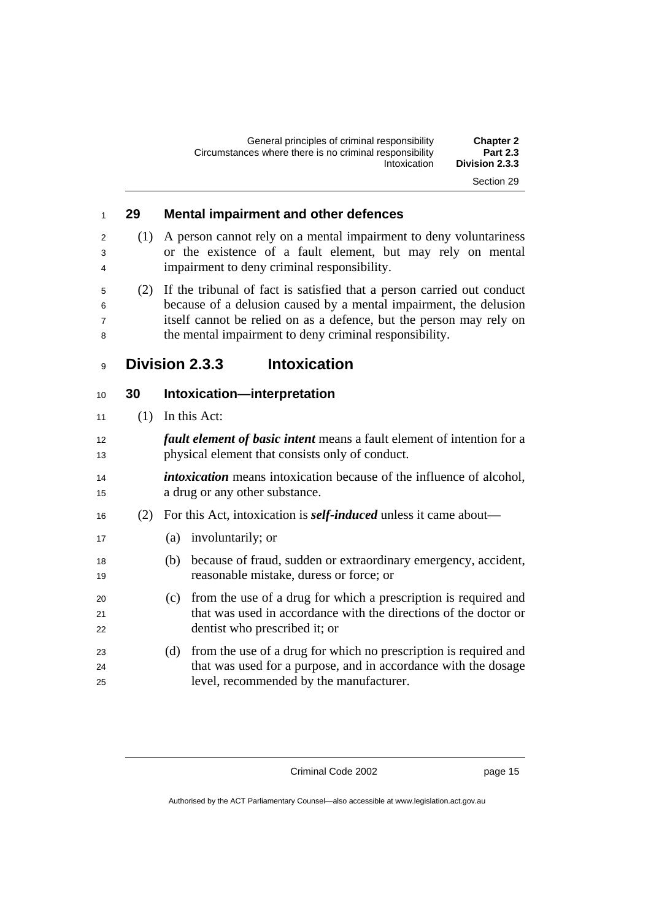#### <sup>1</sup>**29 Mental impairment and other defences**

<sup>2</sup>(1) A person cannot rely on a mental impairment to deny voluntariness <sup>3</sup>or the existence of a fault element, but may rely on mental <sup>4</sup>impairment to deny criminal responsibility.

(2) If the tribunal of fact is satisfied that a person carried out conduct because of a delusion caused by a mental impairment, the delusion itself cannot be relied on as a defence, but the person may rely on 8 the mental impairment to deny criminal responsibility.

#### <sup>9</sup>**Division 2.3.3 Intoxication**

#### <sup>10</sup>**30 Intoxication—interpretation**

 $11$  (1) In this Act:

- <sup>12</sup>*fault element of basic intent* means a fault element of intention for a 13 bhysical element that consists only of conduct.
- <sup>14</sup>*intoxication* means intoxication because of the influence of alcohol, 15 a drug or any other substance.
- <sup>16</sup>(2) For this Act, intoxication is *self-induced* unless it came about—
- <sup>17</sup>(a) involuntarily; or
- <sup>18</sup>(b) because of fraud, sudden or extraordinary emergency, accident, 19 reasonable mistake, duress or force; or
- <sup>20</sup>(c) from the use of a drug for which a prescription is required and 21 that was used in accordance with the directions of the doctor or 22 dentist who prescribed it; or
- <sup>23</sup>(d) from the use of a drug for which no prescription is required and 24 that was used for a purpose, and in accordance with the dosage 25 level, recommended by the manufacturer.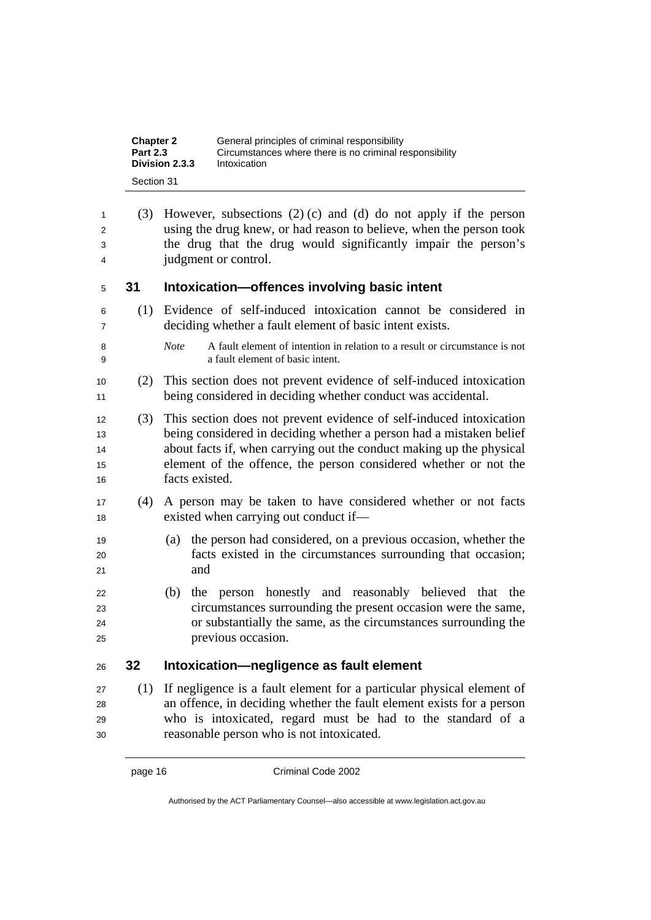| <b>Chapter 2</b> | General principles of criminal responsibility           |
|------------------|---------------------------------------------------------|
| <b>Part 2.3</b>  | Circumstances where there is no criminal responsibility |
| Division 2.3.3   | Intoxication                                            |
| Section 31       |                                                         |

(3) However, subsections (2) (c) and (d) do not apply if the person using the drug knew, or had reason to believe, when the person took the drug that the drug would significantly impair the person's 4 judgment or control. **31 Intoxication—offences involving basic intent**  (1) Evidence of self-induced intoxication cannot be considered in deciding whether a fault element of basic intent exists. *Note* A fault element of intention in relation to a result or circumstance is not a fault element of basic intent. (2) This section does not prevent evidence of self-induced intoxication 11 being considered in deciding whether conduct was accidental. (3) This section does not prevent evidence of self-induced intoxication being considered in deciding whether a person had a mistaken belief about facts if, when carrying out the conduct making up the physical element of the offence, the person considered whether or not the 16 facts existed. (4) A person may be taken to have considered whether or not facts 18 existed when carrying out conduct if— (a) the person had considered, on a previous occasion, whether the 20 facts existed in the circumstances surrounding that occasion; 21 and (b) the person honestly and reasonably believed that the circumstances surrounding the present occasion were the same, or substantially the same, as the circumstances surrounding the 25 previous occasion. **32 Intoxication—negligence as fault element**  (1) If negligence is a fault element for a particular physical element of an offence, in deciding whether the fault element exists for a person who is intoxicated, regard must be had to the standard of a reasonable person who is not intoxicated.

Authorised by the ACT Parliamentary Counsel—also accessible at www.legislation.act.gov.au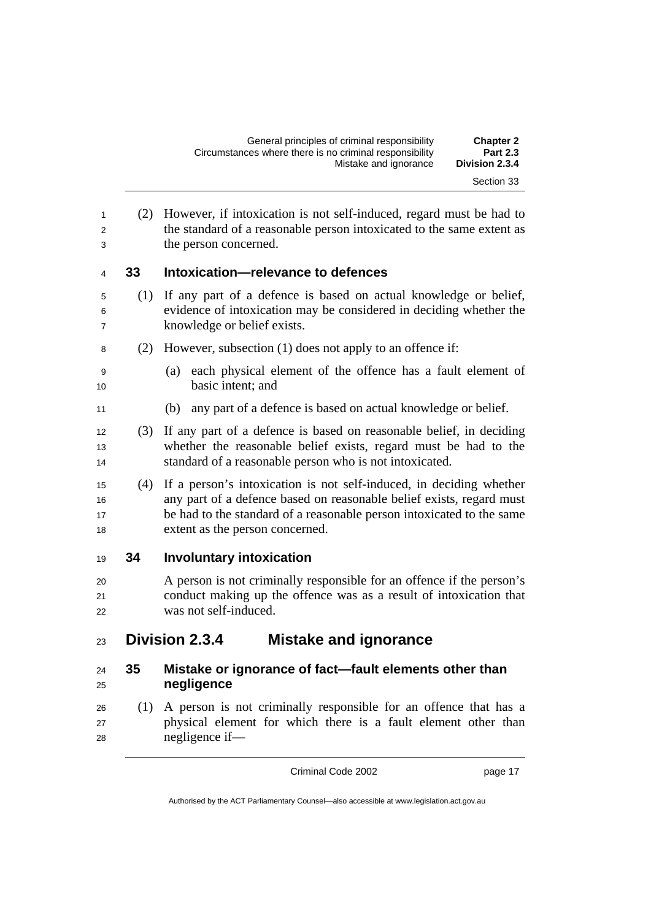(2) However, if intoxication is not self-induced, regard must be had to 2 the standard of a reasonable person intoxicated to the same extent as 3 the person concerned.

#### **33 Intoxication—relevance to defences**

- (1) If any part of a defence is based on actual knowledge or belief, evidence of intoxication may be considered in deciding whether the knowledge or belief exists.
- (2) However, subsection (1) does not apply to an offence if:
- (a) each physical element of the offence has a fault element of 10 basic intent; and
- (b) any part of a defence is based on actual knowledge or belief.
- (3) If any part of a defence is based on reasonable belief, in deciding whether the reasonable belief exists, regard must be had to the standard of a reasonable person who is not intoxicated.
- (4) If a person's intoxication is not self-induced, in deciding whether any part of a defence based on reasonable belief exists, regard must 17 be had to the standard of a reasonable person intoxicated to the same 18 extent as the person concerned.

#### **34 Involuntary intoxication**

A person is not criminally responsible for an offence if the person's conduct making up the offence was as a result of intoxication that was not self-induced.

#### **Division 2.3.4 Mistake and ignorance**

#### **35 Mistake or ignorance of fact—fault elements other than negligence**

(1) A person is not criminally responsible for an offence that has a 27 physical element for which there is a fault element other than negligence if—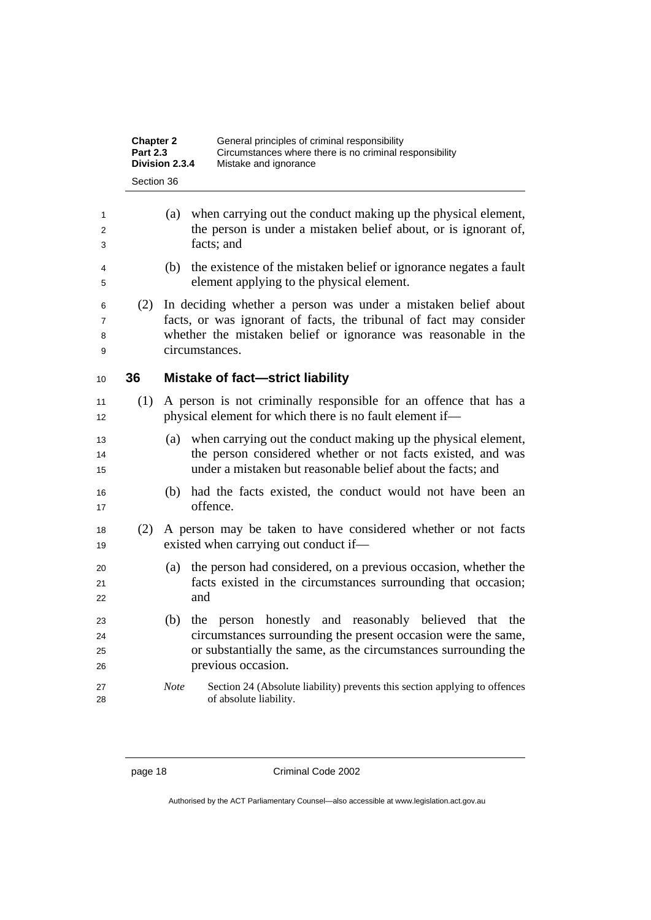|                      | <b>Chapter 2</b><br><b>Part 2.3</b> | General principles of criminal responsibility<br>Circumstances where there is no criminal responsibility<br>Division 2.3.4<br>Mistake and ignorance                                                                                        |
|----------------------|-------------------------------------|--------------------------------------------------------------------------------------------------------------------------------------------------------------------------------------------------------------------------------------------|
|                      | Section 36                          |                                                                                                                                                                                                                                            |
| 1<br>2<br>3          |                                     | when carrying out the conduct making up the physical element,<br>(a)<br>the person is under a mistaken belief about, or is ignorant of,<br>facts; and                                                                                      |
| 4<br>5               |                                     | (b) the existence of the mistaken belief or ignorance negates a fault<br>element applying to the physical element.                                                                                                                         |
| 6<br>7<br>8<br>9     |                                     | (2) In deciding whether a person was under a mistaken belief about<br>facts, or was ignorant of facts, the tribunal of fact may consider<br>whether the mistaken belief or ignorance was reasonable in the<br>circumstances.               |
| 10                   | 36                                  | Mistake of fact-strict liability                                                                                                                                                                                                           |
| 11<br>12             | (1)                                 | A person is not criminally responsible for an offence that has a<br>physical element for which there is no fault element if—                                                                                                               |
| 13<br>14<br>15       |                                     | (a) when carrying out the conduct making up the physical element,<br>the person considered whether or not facts existed, and was<br>under a mistaken but reasonable belief about the facts; and                                            |
| 16<br>17             |                                     | had the facts existed, the conduct would not have been an<br>(b)<br>offence.                                                                                                                                                               |
| 18<br>19             | (2)                                 | A person may be taken to have considered whether or not facts<br>existed when carrying out conduct if—                                                                                                                                     |
| 20<br>21<br>22       |                                     | (a) the person had considered, on a previous occasion, whether the<br>facts existed in the circumstances surrounding that occasion;<br>and                                                                                                 |
| 23<br>24<br>25<br>26 |                                     | honestly<br>reasonably<br>believed<br>(b)<br>the<br>and<br>that<br>the<br>person<br>circumstances surrounding the present occasion were the same,<br>or substantially the same, as the circumstances surrounding the<br>previous occasion. |
| 27<br>28             |                                     | Section 24 (Absolute liability) prevents this section applying to offences<br><b>Note</b><br>of absolute liability.                                                                                                                        |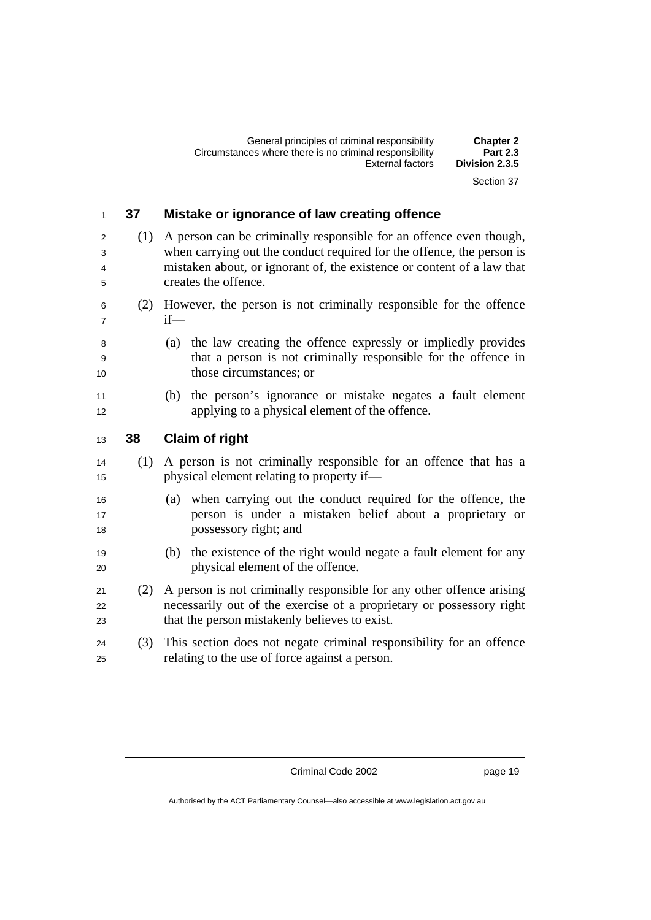#### **37 Mistake or ignorance of law creating offence**

- (1) A person can be criminally responsible for an offence even though, when carrying out the conduct required for the offence, the person is mistaken about, or ignorant of, the existence or content of a law that creates the offence.
- (2) However, the person is not criminally responsible for the offence if—
- (a) the law creating the offence expressly or impliedly provides that a person is not criminally responsible for the offence in 10 those circumstances; or
- (b) the person's ignorance or mistake negates a fault element 12 applying to a physical element of the offence.
- **38 Claim of right**
- (1) A person is not criminally responsible for an offence that has a 15 physical element relating to property if—
- (a) when carrying out the conduct required for the offence, the **person** is under a mistaken belief about a proprietary or 18 possessory right; and
- (b) the existence of the right would negate a fault element for any 20 physical element of the offence.
- (2) A person is not criminally responsible for any other offence arising necessarily out of the exercise of a proprietary or possessory right 23 that the person mistakenly believes to exist.
- (3) This section does not negate criminal responsibility for an offence relating to the use of force against a person.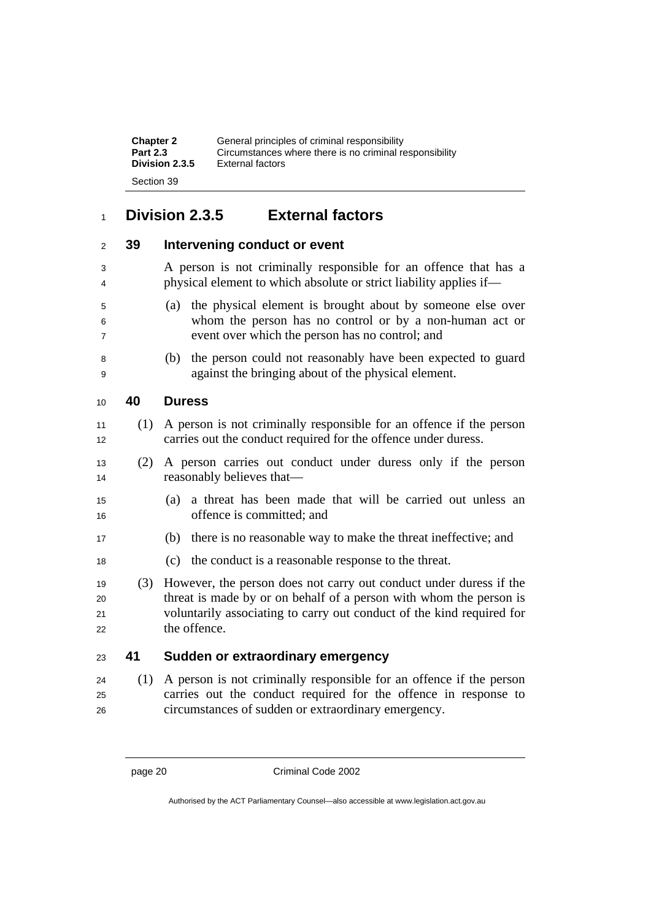**Chapter 2** General principles of criminal responsibility<br>**Part 2.3** Circumstances where there is no criminal responsibility **Part 2.3** Circumstances where there is no criminal responsibility<br>**Division 2.3.5** External factors **External factors** Section 39

# **Division 2.3.5 External factors**

#### **39 Intervening conduct or event**

A person is not criminally responsible for an offence that has a physical element to which absolute or strict liability applies if—

- (a) the physical element is brought about by someone else over whom the person has no control or by a non-human act or event over which the person has no control; and
- (b) the person could not reasonably have been expected to guard against the bringing about of the physical element.

#### **40 Duress**

- (1) A person is not criminally responsible for an offence if the person 12 carries out the conduct required for the offence under duress.
- (2) A person carries out conduct under duress only if the person 14 reasonably believes that—
- (a) a threat has been made that will be carried out unless an 16 offence is committed; and
- (b) there is no reasonable way to make the threat ineffective; and
- (c) the conduct is a reasonable response to the threat.

(3) However, the person does not carry out conduct under duress if the 20 threat is made by or on behalf of a person with whom the person is 21 voluntarily associating to carry out conduct of the kind required for 22 the offence.

#### **41 Sudden or extraordinary emergency**

(1) A person is not criminally responsible for an offence if the person carries out the conduct required for the offence in response to circumstances of sudden or extraordinary emergency.

page 20 Criminal Code 2002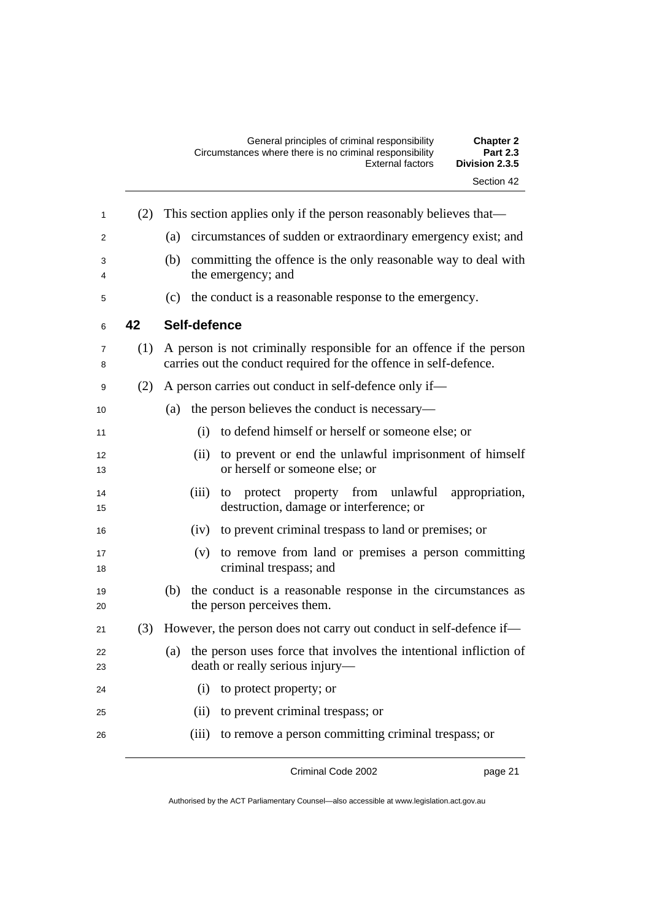| 1                   | (2) | This section applies only if the person reasonably believes that—                                                                        |
|---------------------|-----|------------------------------------------------------------------------------------------------------------------------------------------|
| 2                   |     | circumstances of sudden or extraordinary emergency exist; and<br>(a)                                                                     |
| 3<br>4              |     | committing the offence is the only reasonable way to deal with<br>(b)<br>the emergency; and                                              |
| 5                   |     | (c) the conduct is a reasonable response to the emergency.                                                                               |
| 6                   | 42  | Self-defence                                                                                                                             |
| $\overline{7}$<br>8 | (1) | A person is not criminally responsible for an offence if the person<br>carries out the conduct required for the offence in self-defence. |
| 9                   | (2) | A person carries out conduct in self-defence only if—                                                                                    |
| 10                  |     | the person believes the conduct is necessary—<br>(a)                                                                                     |
| 11                  |     | to defend himself or herself or someone else; or<br>(i)                                                                                  |
| 12<br>13            |     | to prevent or end the unlawful imprisonment of himself<br>(ii)<br>or herself or someone else; or                                         |
| 14<br>15            |     | to protect property from unlawful<br>(iii)<br>appropriation,<br>destruction, damage or interference; or                                  |
| 16                  |     | to prevent criminal trespass to land or premises; or<br>(iv)                                                                             |
| 17<br>18            |     | to remove from land or premises a person committing<br>(v)<br>criminal trespass; and                                                     |
| 19<br>20            |     | the conduct is a reasonable response in the circumstances as<br>(b)<br>the person perceives them.                                        |
| 21                  | (3) | However, the person does not carry out conduct in self-defence if—                                                                       |
| 22<br>23            |     | the person uses force that involves the intentional infliction of<br>(a)<br>death or really serious injury—                              |
| 24                  |     | (i)<br>to protect property; or                                                                                                           |
| 25                  |     | (ii)<br>to prevent criminal trespass; or                                                                                                 |
| 26                  |     | (iii)<br>to remove a person committing criminal trespass; or                                                                             |
|                     |     |                                                                                                                                          |

Authorised by the ACT Parliamentary Counsel—also accessible at www.legislation.act.gov.au

Criminal Code 2002 page 21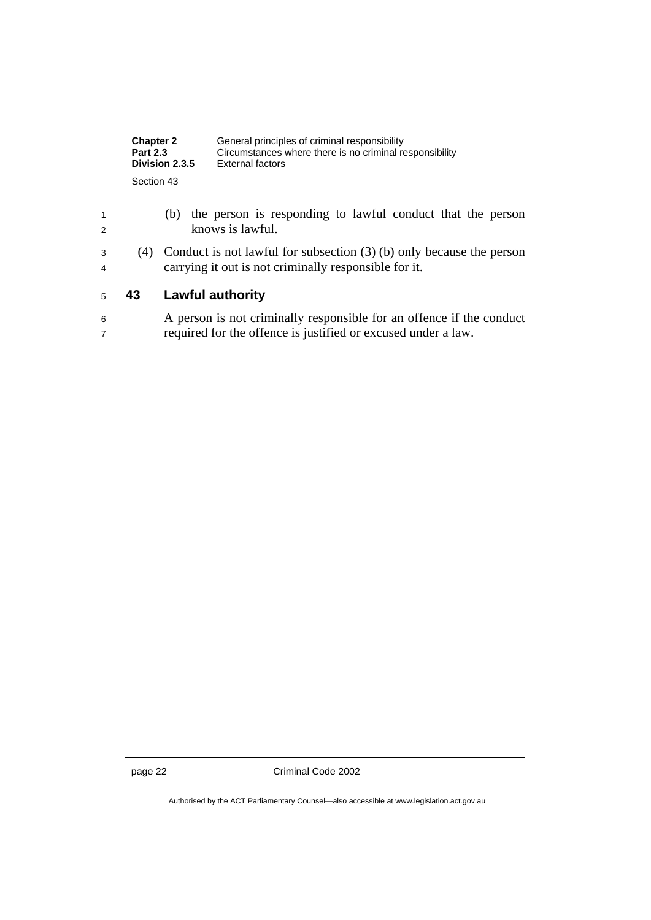| <b>Chapter 2</b><br><b>Part 2.3</b><br>Division 2.3.5 | General principles of criminal responsibility<br>Circumstances where there is no criminal responsibility<br>External factors |
|-------------------------------------------------------|------------------------------------------------------------------------------------------------------------------------------|
| Section 43                                            |                                                                                                                              |
| (b)                                                   | the person is responding to lawful conduct that the person                                                                   |

|             | knows is lawful.                                                             |  |
|-------------|------------------------------------------------------------------------------|--|
| $3^{\circ}$ | $(4)$ Conduct is not lawful for subsection $(3)$ (b) only because the person |  |
|             | carrying it out is not criminally responsible for it.                        |  |

#### <sup>5</sup>**43 Lawful authority**

<sup>6</sup>A person is not criminally responsible for an offence if the conduct 7 required for the offence is justified or excused under a law.

page 22 Criminal Code 2002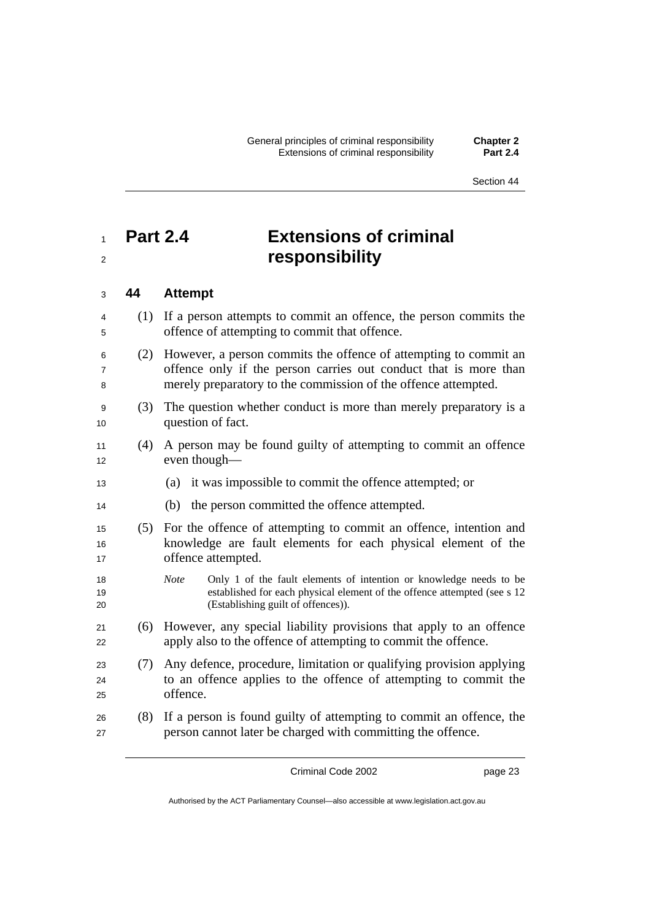# **Part 2.4 Extensions of criminal responsibility**

#### **44 Attempt**

- (1) If a person attempts to commit an offence, the person commits the 5 fence of attempting to commit that offence.
- (2) However, a person commits the offence of attempting to commit an offence only if the person carries out conduct that is more than merely preparatory to the commission of the offence attempted.
- (3) The question whether conduct is more than merely preparatory is a 10 question of fact.
- (4) A person may be found guilty of attempting to commit an offence 12 even though—
- (a) it was impossible to commit the offence attempted; or
- (b) the person committed the offence attempted.
- (5) For the offence of attempting to commit an offence, intention and knowledge are fault elements for each physical element of the 17 offence attempted.
- *Note* Only 1 of the fault elements of intention or knowledge needs to be established for each physical element of the offence attempted (see s 12 (Establishing guilt of offences)).
- (6) However, any special liability provisions that apply to an offence 22 apply also to the offence of attempting to commit the offence.
- (7) Any defence, procedure, limitation or qualifying provision applying to an offence applies to the offence of attempting to commit the 25 offence.
- (8) If a person is found guilty of attempting to commit an offence, the person cannot later be charged with committing the offence.

Criminal Code 2002 **page 23**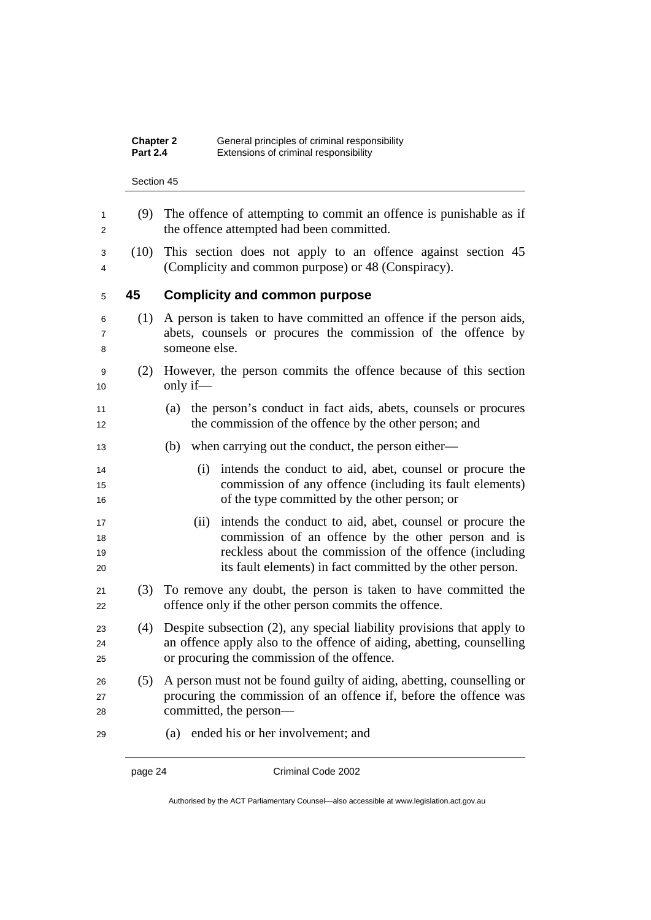| <b>Chapter 2</b> | General principles of criminal responsibility |
|------------------|-----------------------------------------------|
| <b>Part 2.4</b>  | Extensions of criminal responsibility         |

| 1<br>2               | (9)  | The offence of attempting to commit an offence is punishable as if<br>the offence attempted had been committed.                                                                                                                                  |
|----------------------|------|--------------------------------------------------------------------------------------------------------------------------------------------------------------------------------------------------------------------------------------------------|
| 3<br>4               | (10) | This section does not apply to an offence against section 45<br>(Complicity and common purpose) or 48 (Conspiracy).                                                                                                                              |
| 5                    | 45   | <b>Complicity and common purpose</b>                                                                                                                                                                                                             |
| 6<br>7<br>8          | (1)  | A person is taken to have committed an offence if the person aids,<br>abets, counsels or procures the commission of the offence by<br>someone else.                                                                                              |
| 9<br>10              | (2)  | However, the person commits the offence because of this section<br>only if—                                                                                                                                                                      |
| 11<br>12             |      | the person's conduct in fact aids, abets, counsels or procures<br>(a)<br>the commission of the offence by the other person; and                                                                                                                  |
| 13                   |      | when carrying out the conduct, the person either—<br>(b)                                                                                                                                                                                         |
| 14<br>15<br>16       |      | intends the conduct to aid, abet, counsel or procure the<br>(i)<br>commission of any offence (including its fault elements)<br>of the type committed by the other person; or                                                                     |
| 17<br>18<br>19<br>20 |      | intends the conduct to aid, abet, counsel or procure the<br>(ii)<br>commission of an offence by the other person and is<br>reckless about the commission of the offence (including<br>its fault elements) in fact committed by the other person. |
| 21<br>22             | (3)  | To remove any doubt, the person is taken to have committed the<br>offence only if the other person commits the offence.                                                                                                                          |
| 23<br>24<br>25       | (4)  | Despite subsection (2), any special liability provisions that apply to<br>an offence apply also to the offence of aiding, abetting, counselling<br>or procuring the commission of the offence.                                                   |
| 26<br>27<br>28       | (5)  | A person must not be found guilty of aiding, abetting, counselling or<br>procuring the commission of an offence if, before the offence was<br>committed, the person-                                                                             |
| 29                   |      | ended his or her involvement; and<br>(a)                                                                                                                                                                                                         |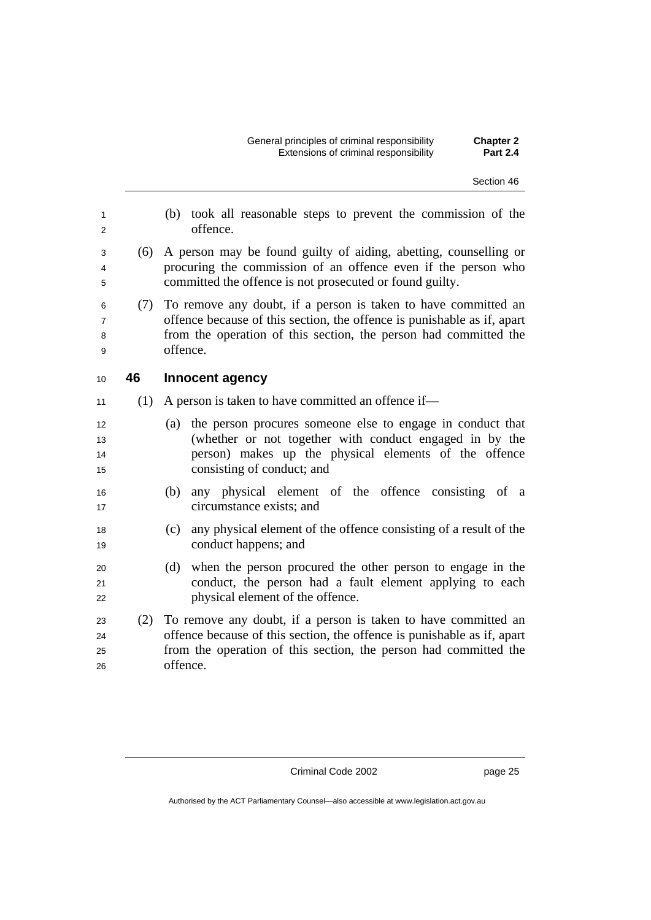| 1<br>2               |     | took all reasonable steps to prevent the commission of the<br>(b)<br>offence.                                                                                                                                             |
|----------------------|-----|---------------------------------------------------------------------------------------------------------------------------------------------------------------------------------------------------------------------------|
| 3<br>4<br>5          | (6) | A person may be found guilty of aiding, abetting, counselling or<br>procuring the commission of an offence even if the person who<br>committed the offence is not prosecuted or found guilty.                             |
| 6<br>7<br>8<br>9     | (7) | To remove any doubt, if a person is taken to have committed an<br>offence because of this section, the offence is punishable as if, apart<br>from the operation of this section, the person had committed the<br>offence. |
| 10                   | 46  | Innocent agency                                                                                                                                                                                                           |
| 11                   | (1) | A person is taken to have committed an offence if—                                                                                                                                                                        |
| 12<br>13<br>14<br>15 |     | the person procures someone else to engage in conduct that<br>(a)<br>(whether or not together with conduct engaged in by the<br>person) makes up the physical elements of the offence<br>consisting of conduct; and       |
| 16<br>17             |     | any physical element of the offence consisting of a<br>(b)<br>circumstance exists; and                                                                                                                                    |
| 18<br>19             |     | any physical element of the offence consisting of a result of the<br>(c)<br>conduct happens; and                                                                                                                          |
| 20<br>21<br>22       |     | when the person procured the other person to engage in the<br>(d)<br>conduct, the person had a fault element applying to each<br>physical element of the offence.                                                         |
| 23<br>24<br>25<br>26 | (2) | To remove any doubt, if a person is taken to have committed an<br>offence because of this section, the offence is punishable as if, apart<br>from the operation of this section, the person had committed the<br>offence. |

Criminal Code 2002 **page 25**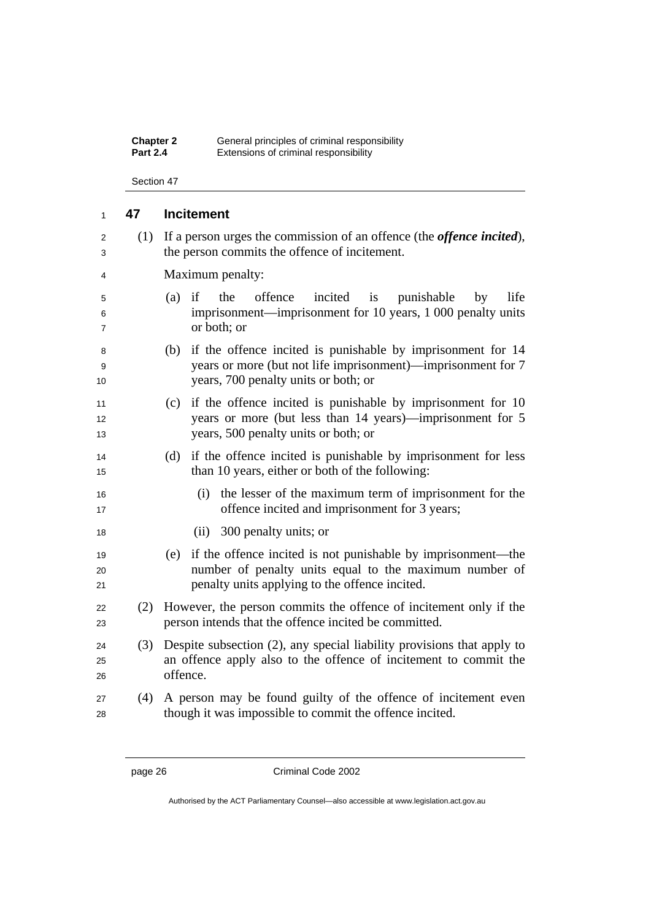| <b>Chapter 2</b> | General principles of criminal responsibility |
|------------------|-----------------------------------------------|
| <b>Part 2.4</b>  | Extensions of criminal responsibility         |

#### **47 Incitement**

| 2<br>3                   | (1) | If a person urges the commission of an offence (the <i>offence incited</i> ),<br>the person commits the offence of incitement.                                                  |  |
|--------------------------|-----|---------------------------------------------------------------------------------------------------------------------------------------------------------------------------------|--|
| 4                        |     | Maximum penalty:                                                                                                                                                                |  |
| 5<br>6<br>$\overline{7}$ |     | offence<br>incited<br>$(a)$ if<br>the<br>is<br>punishable<br>life<br>by<br>imprisonment—imprisonment for 10 years, 1 000 penalty units<br>or both; or                           |  |
| 8<br>9<br>10             |     | if the offence incited is punishable by imprisonment for 14<br>(b)<br>years or more (but not life imprisonment)—imprisonment for 7<br>years, 700 penalty units or both; or      |  |
| 11<br>12<br>13           |     | if the offence incited is punishable by imprisonment for 10<br>(c)<br>years or more (but less than 14 years)—imprisonment for 5<br>years, 500 penalty units or both; or         |  |
| 14<br>15                 |     | if the offence incited is punishable by imprisonment for less<br>(d)<br>than 10 years, either or both of the following:                                                         |  |
| 16<br>17                 |     | the lesser of the maximum term of imprisonment for the<br>(i)<br>offence incited and imprisonment for 3 years;                                                                  |  |
| 18                       |     | 300 penalty units; or<br>(i)                                                                                                                                                    |  |
| 19<br>20<br>21           |     | if the offence incited is not punishable by imprisonment—the<br>(e)<br>number of penalty units equal to the maximum number of<br>penalty units applying to the offence incited. |  |
| 22<br>23                 | (2) | However, the person commits the offence of incitement only if the<br>person intends that the offence incited be committed.                                                      |  |
| 24<br>25<br>26           |     | (3) Despite subsection (2), any special liability provisions that apply to<br>an offence apply also to the offence of incitement to commit the<br>offence.                      |  |
| 27<br>28                 | (4) | A person may be found guilty of the offence of incitement even<br>though it was impossible to commit the offence incited.                                                       |  |

Authorised by the ACT Parliamentary Counsel—also accessible at www.legislation.act.gov.au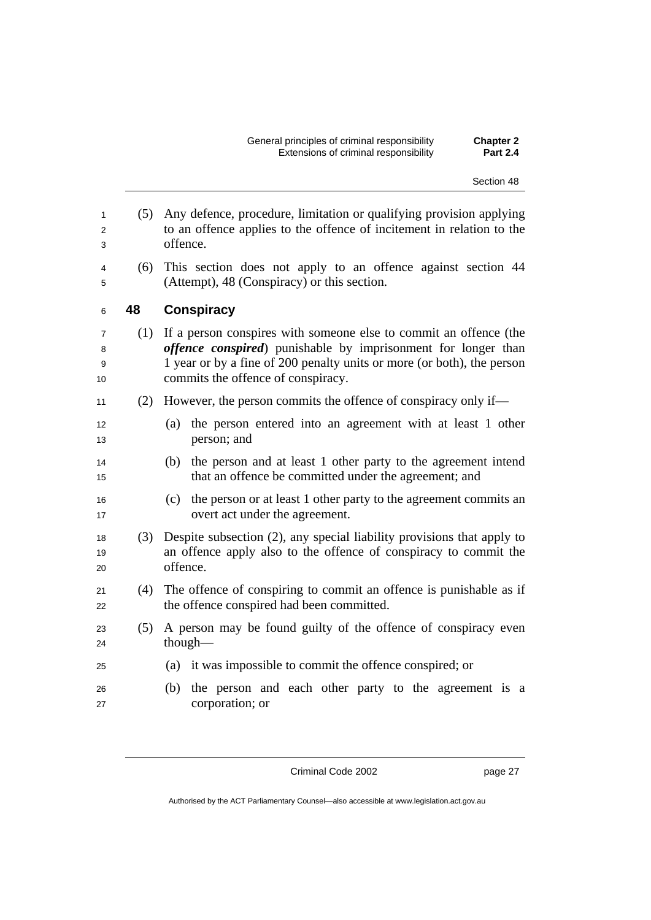(5) Any defence, procedure, limitation or qualifying provision applying to an offence applies to the offence of incitement in relation to the 3 offence. (6) This section does not apply to an offence against section 44 (Attempt), 48 (Conspiracy) or this section. **48 Conspiracy**  (1) If a person conspires with someone else to commit an offence (the *offence conspired*) punishable by imprisonment for longer than 1 year or by a fine of 200 penalty units or more (or both), the person 10 commits the offence of conspiracy. (2) However, the person commits the offence of conspiracy only if— (a) the person entered into an agreement with at least 1 other 13 person; and (b) the person and at least 1 other party to the agreement intend 15 that an offence be committed under the agreement; and (c) the person or at least 1 other party to the agreement commits an 17 overt act under the agreement. (3) Despite subsection (2), any special liability provisions that apply to 19 an offence apply also to the offence of conspiracy to commit the 20 offence. (4) The offence of conspiring to commit an offence is punishable as if 22 the offence conspired had been committed. (5) A person may be found guilty of the offence of conspiracy even 24 though— (a) it was impossible to commit the offence conspired; or (b) the person and each other party to the agreement is a corporation; or

Criminal Code 2002 **page 27**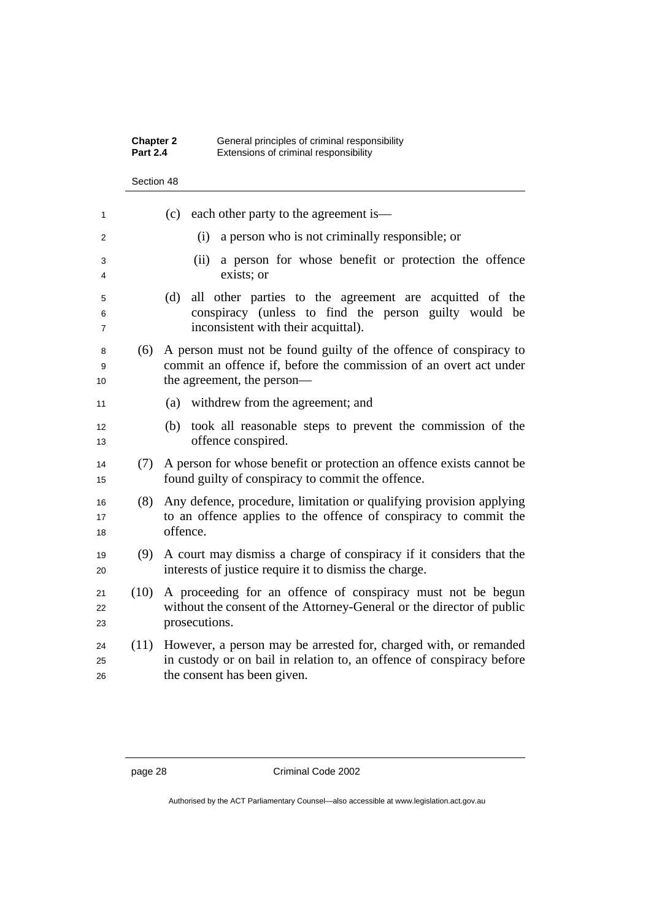| Section 48 |                                                                                                                                                                          |
|------------|--------------------------------------------------------------------------------------------------------------------------------------------------------------------------|
|            | each other party to the agreement is—<br>(c)                                                                                                                             |
|            | a person who is not criminally responsible; or<br>(i)                                                                                                                    |
|            | a person for whose benefit or protection the offence<br>(ii)<br>exists; or                                                                                               |
|            | (d)<br>all other parties to the agreement are acquitted of the<br>conspiracy (unless to find the person<br>guilty would be<br>inconsistent with their acquittal).        |
| (6)        | A person must not be found guilty of the offence of conspiracy to<br>commit an offence if, before the commission of an overt act under<br>the agreement, the person—     |
|            | withdrew from the agreement; and<br>(a)                                                                                                                                  |
|            | took all reasonable steps to prevent the commission of the<br>(b)<br>offence conspired.                                                                                  |
| (7)        | A person for whose benefit or protection an offence exists cannot be<br>found guilty of conspiracy to commit the offence.                                                |
| (8)        | Any defence, procedure, limitation or qualifying provision applying<br>to an offence applies to the offence of conspiracy to commit the<br>offence.                      |
| (9)        | A court may dismiss a charge of conspiracy if it considers that the<br>interests of justice require it to dismiss the charge.                                            |
| (10)       | A proceeding for an offence of conspiracy must not be begun<br>without the consent of the Attorney-General or the director of public<br>prosecutions.                    |
| (11)       | However, a person may be arrested for, charged with, or remanded<br>in custody or on bail in relation to, an offence of conspiracy before<br>the consent has been given. |

**Chapter 2** General principles of criminal responsibility **Part 2.4 Extensions of criminal responsibility** 

Authorised by the ACT Parliamentary Counsel—also accessible at www.legislation.act.gov.au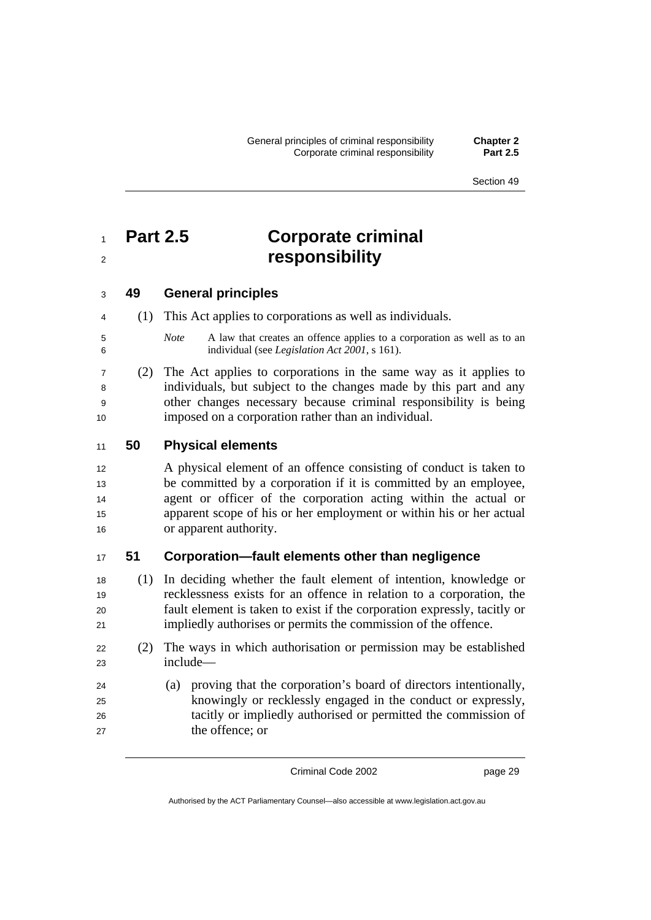### **Part 2.5 Corporate criminal responsibility**

#### **49 General principles**

(1) This Act applies to corporations as well as individuals.

- *Note* A law that creates an offence applies to a corporation as well as to an individual (see *Legislation Act 2001*, s 161).
- (2) The Act applies to corporations in the same way as it applies to individuals, but subject to the changes made by this part and any other changes necessary because criminal responsibility is being 10 imposed on a corporation rather than an individual.
- **50 Physical elements**
- A physical element of an offence consisting of conduct is taken to 13 be committed by a corporation if it is committed by an employee, agent or officer of the corporation acting within the actual or 15 apparent scope of his or her employment or within his or her actual 16 or apparent authority.

#### **51 Corporation—fault elements other than negligence**

- (1) In deciding whether the fault element of intention, knowledge or recklessness exists for an offence in relation to a corporation, the fault element is taken to exist if the corporation expressly, tacitly or impliedly authorises or permits the commission of the offence.
- (2) The ways in which authorisation or permission may be established include—
- (a) proving that the corporation's board of directors intentionally, knowingly or recklessly engaged in the conduct or expressly, 26 tacitly or impliedly authorised or permitted the commission of the offence; or

Criminal Code 2002 page 29

Authorised by the ACT Parliamentary Counsel—also accessible at www.legislation.act.gov.au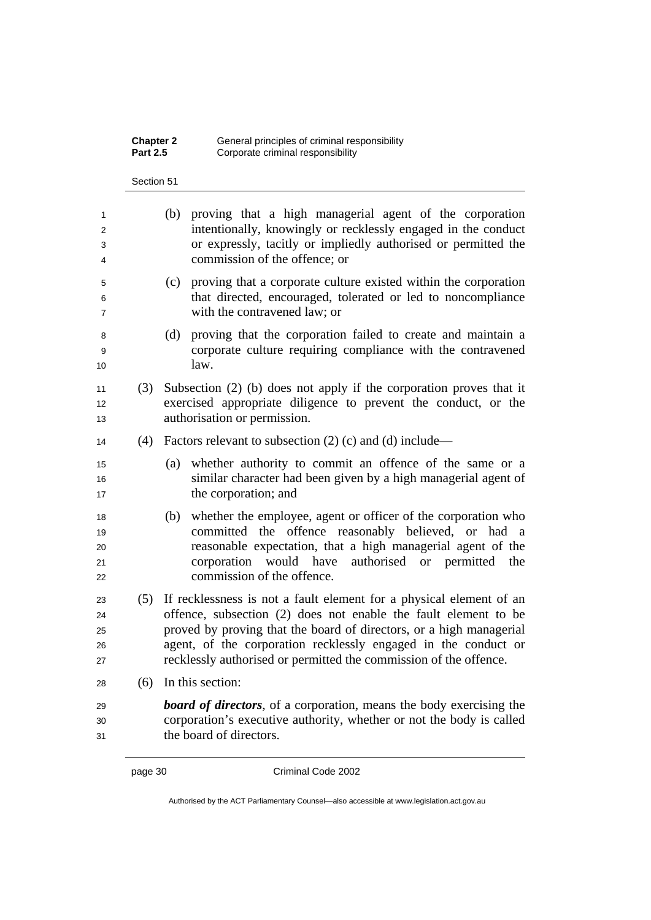| <b>Chapter 2</b> | General principles of criminal responsibility |
|------------------|-----------------------------------------------|
| <b>Part 2.5</b>  | Corporate criminal responsibility             |

| 1<br>2<br>3<br>4                  | proving that a high managerial agent of the corporation<br>(b)<br>intentionally, knowingly or recklessly engaged in the conduct<br>or expressly, tacitly or impliedly authorised or permitted the<br>commission of the offence; or                                                                                                                   |
|-----------------------------------|------------------------------------------------------------------------------------------------------------------------------------------------------------------------------------------------------------------------------------------------------------------------------------------------------------------------------------------------------|
| 5<br>6<br>$\overline{7}$          | proving that a corporate culture existed within the corporation<br>(c)<br>that directed, encouraged, tolerated or led to noncompliance<br>with the contravened law; or                                                                                                                                                                               |
| 8<br>9<br>10                      | (d)<br>proving that the corporation failed to create and maintain a<br>corporate culture requiring compliance with the contravened<br>law.                                                                                                                                                                                                           |
| (3)<br>11<br>12<br>13             | Subsection $(2)$ (b) does not apply if the corporation proves that it<br>exercised appropriate diligence to prevent the conduct, or the<br>authorisation or permission.                                                                                                                                                                              |
| (4)<br>14                         | Factors relevant to subsection $(2)$ (c) and (d) include—                                                                                                                                                                                                                                                                                            |
| 15<br>16<br>17                    | whether authority to commit an offence of the same or a<br>(a)<br>similar character had been given by a high managerial agent of<br>the corporation; and                                                                                                                                                                                             |
| 18<br>19<br>20<br>21<br>22        | whether the employee, agent or officer of the corporation who<br>(b)<br>committed the offence reasonably believed, or<br>had<br><sub>a</sub><br>reasonable expectation, that a high managerial agent of the<br>corporation would have<br>authorised<br>$\alpha$<br>permitted<br>the<br>commission of the offence.                                    |
| (5)<br>23<br>24<br>25<br>26<br>27 | If recklessness is not a fault element for a physical element of an<br>offence, subsection (2) does not enable the fault element to be<br>proved by proving that the board of directors, or a high managerial<br>agent, of the corporation recklessly engaged in the conduct or<br>recklessly authorised or permitted the commission of the offence. |
| 28                                | $(6)$ In this section:                                                                                                                                                                                                                                                                                                                               |
| 29<br>30<br>31                    | <b>board of directors</b> , of a corporation, means the body exercising the<br>corporation's executive authority, whether or not the body is called<br>the board of directors.                                                                                                                                                                       |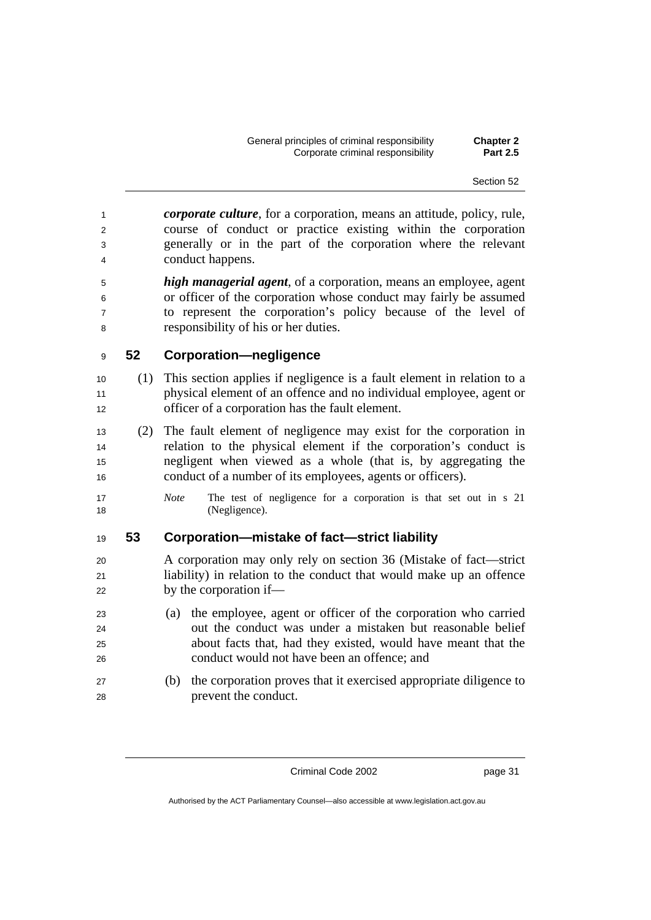*corporate culture*, for a corporation, means an attitude, policy, rule, course of conduct or practice existing within the corporation generally or in the part of the corporation where the relevant conduct happens.

*high managerial agent*, of a corporation, means an employee, agent or officer of the corporation whose conduct may fairly be assumed to represent the corporation's policy because of the level of responsibility of his or her duties.

#### **52 Corporation—negligence**

(1) This section applies if negligence is a fault element in relation to a physical element of an offence and no individual employee, agent or 12 officer of a corporation has the fault element.

(2) The fault element of negligence may exist for the corporation in relation to the physical element if the corporation's conduct is negligent when viewed as a whole (that is, by aggregating the conduct of a number of its employees, agents or officers).

*Note* The test of negligence for a corporation is that set out in s 21 18 (Negligence).

#### **53 Corporation—mistake of fact—strict liability**

- A corporation may only rely on section 36 (Mistake of fact—strict 21 liability) in relation to the conduct that would make up an offence 22 by the corporation if—
- (a) the employee, agent or officer of the corporation who carried out the conduct was under a mistaken but reasonable belief about facts that, had they existed, would have meant that the 26 conduct would not have been an offence; and
- (b) the corporation proves that it exercised appropriate diligence to prevent the conduct.

Criminal Code 2002 page 31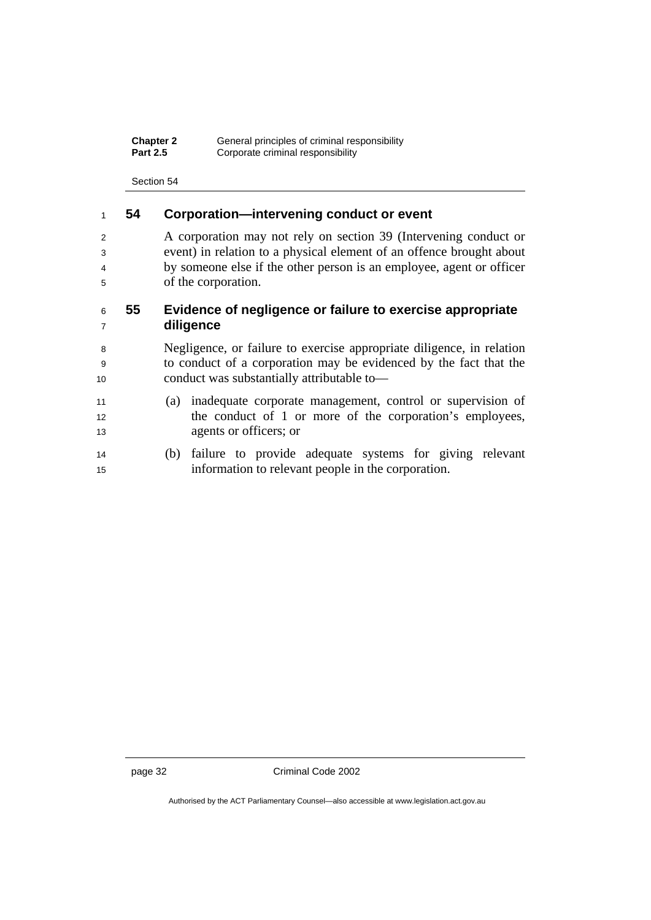| <b>Chapter 2</b> | General principles of criminal responsibility |
|------------------|-----------------------------------------------|
| <b>Part 2.5</b>  | Corporate criminal responsibility             |

#### <sup>1</sup>**54 Corporation—intervening conduct or event**

A corporation may not rely on section 39 (Intervening conduct or event) in relation to a physical element of an offence brought about by someone else if the other person is an employee, agent or officer of the corporation.

#### <sup>6</sup>**55 Evidence of negligence or failure to exercise appropriate**  <sup>7</sup>**diligence**

- <sup>8</sup>Negligence, or failure to exercise appropriate diligence, in relation <sup>9</sup>to conduct of a corporation may be evidenced by the fact that the 10 conduct was substantially attributable to—
- <sup>11</sup>(a) inadequate corporate management, control or supervision of 12 the conduct of 1 or more of the corporation's employees, 13 agents or officers; or
- <sup>14</sup>(b) failure to provide adequate systems for giving relevant 15 information to relevant people in the corporation.

page 32 Criminal Code 2002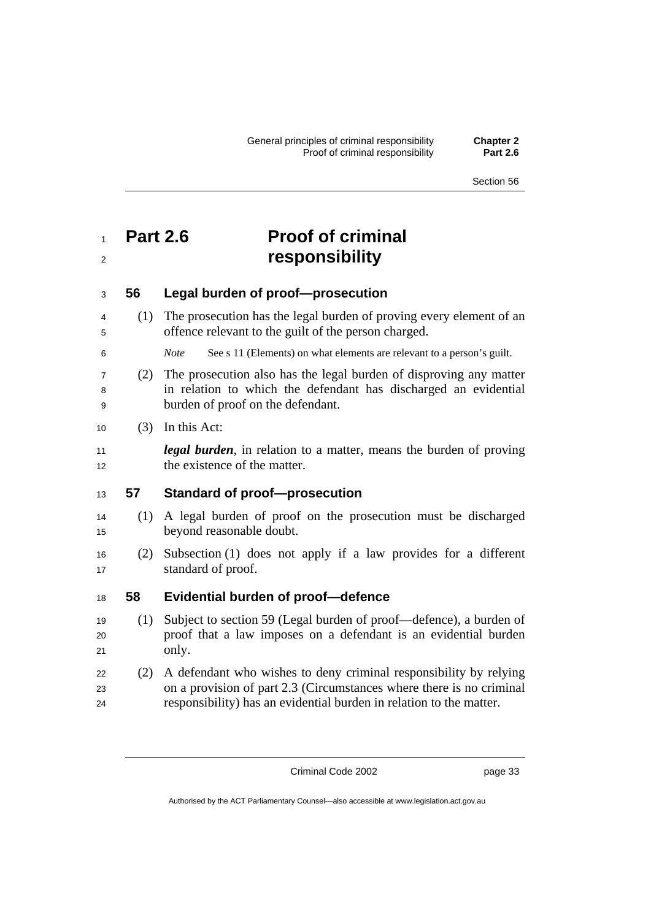### **Part 2.6 Proof of criminal responsibility**

#### **56 Legal burden of proof—prosecution**

(1) The prosecution has the legal burden of proving every element of an offence relevant to the guilt of the person charged.

*Note* See s 11 (Elements) on what elements are relevant to a person's guilt.

- (2) The prosecution also has the legal burden of disproving any matter in relation to which the defendant has discharged an evidential burden of proof on the defendant.
- (3) In this Act:
- *legal burden*, in relation to a matter, means the burden of proving 12 the existence of the matter.

#### **57 Standard of proof—prosecution**

- (1) A legal burden of proof on the prosecution must be discharged 15 beyond reasonable doubt.
- (2) Subsection (1) does not apply if a law provides for a different 17 standard of proof.

#### **58 Evidential burden of proof—defence**

- (1) Subject to section 59 (Legal burden of proof—defence), a burden of proof that a law imposes on a defendant is an evidential burden only.
- (2) A defendant who wishes to deny criminal responsibility by relying on a provision of part 2.3 (Circumstances where there is no criminal responsibility) has an evidential burden in relation to the matter.

Criminal Code 2002 **page 33**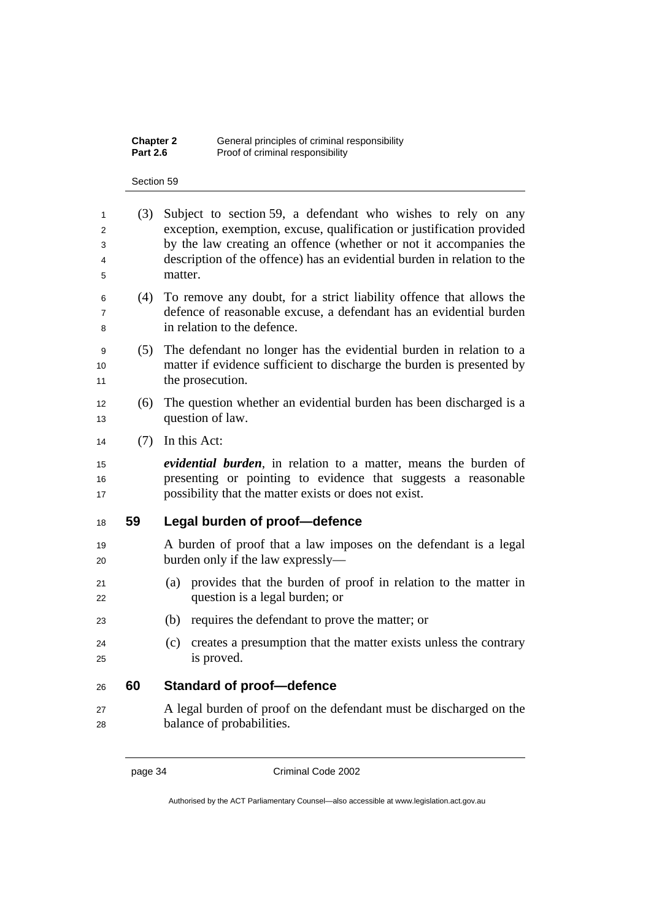| <b>Chapter 2</b> | General principles of criminal responsibility |
|------------------|-----------------------------------------------|
| <b>Part 2.6</b>  | Proof of criminal responsibility              |

| 1<br>2<br>3<br>4<br>5    | (3) | Subject to section 59, a defendant who wishes to rely on any<br>exception, exemption, excuse, qualification or justification provided<br>by the law creating an offence (whether or not it accompanies the<br>description of the offence) has an evidential burden in relation to the<br>matter. |  |
|--------------------------|-----|--------------------------------------------------------------------------------------------------------------------------------------------------------------------------------------------------------------------------------------------------------------------------------------------------|--|
| 6<br>$\overline{7}$<br>8 | (4) | To remove any doubt, for a strict liability offence that allows the<br>defence of reasonable excuse, a defendant has an evidential burden<br>in relation to the defence.                                                                                                                         |  |
| 9<br>10<br>11            | (5) | The defendant no longer has the evidential burden in relation to a<br>matter if evidence sufficient to discharge the burden is presented by<br>the prosecution.                                                                                                                                  |  |
| 12<br>13                 | (6) | The question whether an evidential burden has been discharged is a<br>question of law.                                                                                                                                                                                                           |  |
| 14                       | (7) | In this Act:                                                                                                                                                                                                                                                                                     |  |
| 15<br>16<br>17           |     | <i>evidential burden</i> , in relation to a matter, means the burden of<br>presenting or pointing to evidence that suggests a reasonable<br>possibility that the matter exists or does not exist.                                                                                                |  |
| 18                       | 59  | Legal burden of proof-defence                                                                                                                                                                                                                                                                    |  |
| 19<br>20                 |     | A burden of proof that a law imposes on the defendant is a legal<br>burden only if the law expressly—                                                                                                                                                                                            |  |
| 21<br>22                 |     | provides that the burden of proof in relation to the matter in<br>(a)<br>question is a legal burden; or                                                                                                                                                                                          |  |
| 23                       |     | requires the defendant to prove the matter; or<br>(b)                                                                                                                                                                                                                                            |  |
| 24<br>25                 |     | creates a presumption that the matter exists unless the contrary<br>(c)<br>is proved.                                                                                                                                                                                                            |  |
| 26                       | 60  | <b>Standard of proof-defence</b>                                                                                                                                                                                                                                                                 |  |
| 27<br>28                 |     | A legal burden of proof on the defendant must be discharged on the<br>balance of probabilities.                                                                                                                                                                                                  |  |

page 34 Criminal Code 2002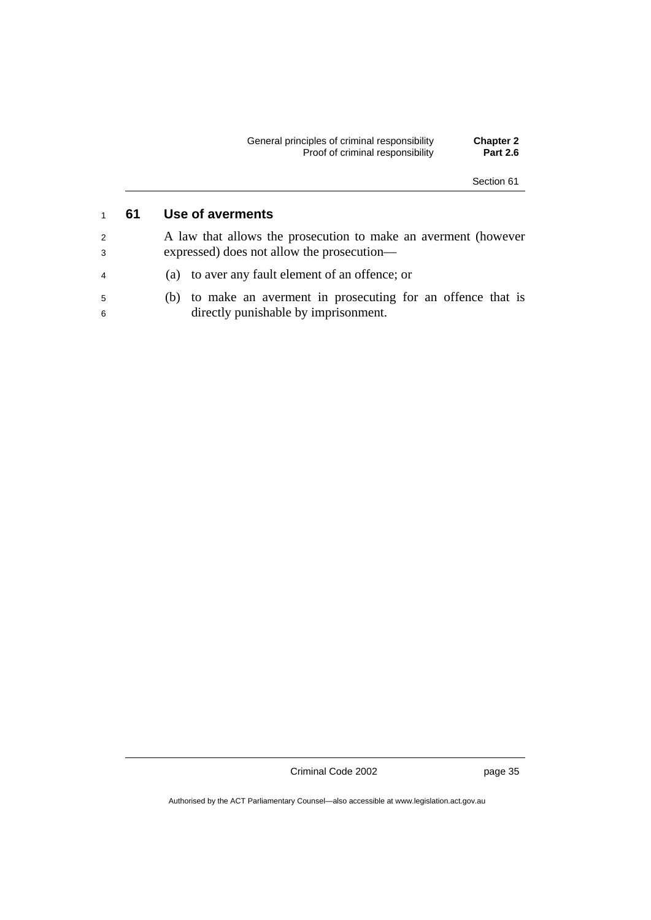# <sup>1</sup>**61 Use of averments**

|   | A law that allows the prosecution to make an averment (however |
|---|----------------------------------------------------------------|
|   | expressed) does not allow the prosecution—                     |
| Δ | (a) to aver any fault element of an offence; or                |

<sup>5</sup>(b) to make an averment in prosecuting for an offence that is 6 directly punishable by imprisonment.

Criminal Code 2002 **page 35**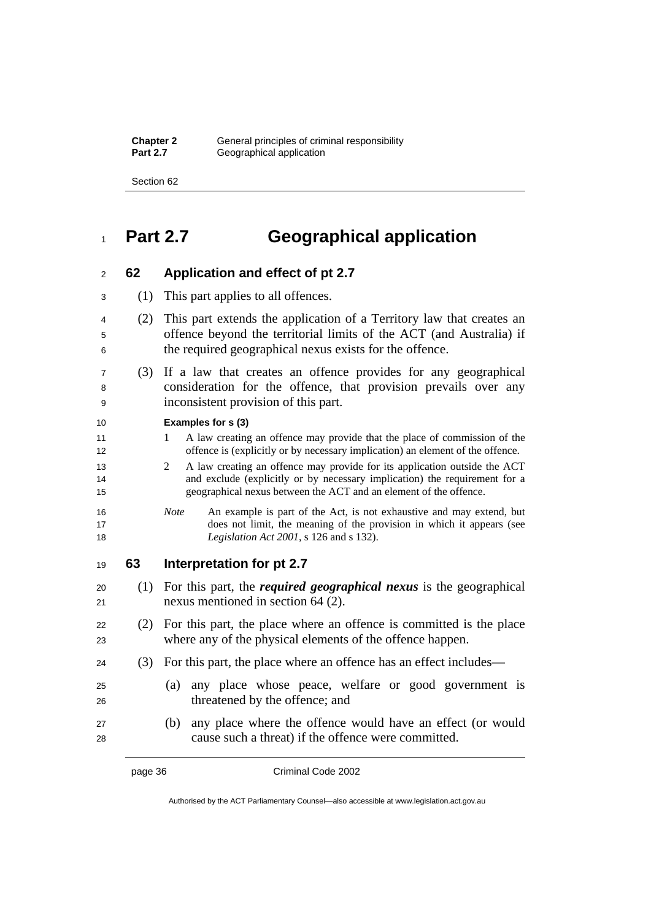## **Part 2.7 Geographical application**

#### **62 Application and effect of pt 2.7**

- (1) This part applies to all offences.
- (2) This part extends the application of a Territory law that creates an offence beyond the territorial limits of the ACT (and Australia) if the required geographical nexus exists for the offence.
- (3) If a law that creates an offence provides for any geographical consideration for the offence, that provision prevails over any inconsistent provision of this part.

#### **Examples for s (3)**

- 1 A law creating an offence may provide that the place of commission of the offence is (explicitly or by necessary implication) an element of the offence.
- 2 A law creating an offence may provide for its application outside the ACT and exclude (explicitly or by necessary implication) the requirement for a geographical nexus between the ACT and an element of the offence.
- *Note* An example is part of the Act, is not exhaustive and may extend, but does not limit, the meaning of the provision in which it appears (see *Legislation Act 2001*, s 126 and s 132).

#### **63 Interpretation for pt 2.7**

- (1) For this part, the *required geographical nexus* is the geographical 21 nexus mentioned in section 64 (2).
- (2) For this part, the place where an offence is committed is the place where any of the physical elements of the offence happen.
- (3) For this part, the place where an offence has an effect includes—
- (a) any place whose peace, welfare or good government is 26 threatened by the offence; and
- (b) any place where the offence would have an effect (or would cause such a threat) if the offence were committed.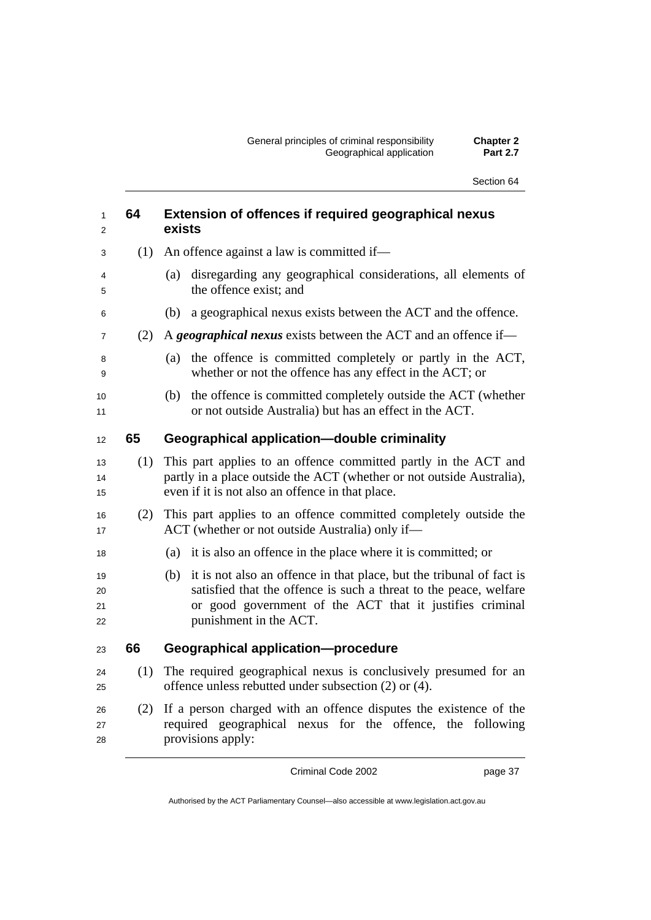| 1<br>2               | 64  | Extension of offences if required geographical nexus<br>exists                                                                                                                                                                         |
|----------------------|-----|----------------------------------------------------------------------------------------------------------------------------------------------------------------------------------------------------------------------------------------|
| 3                    | (1) | An offence against a law is committed if—                                                                                                                                                                                              |
| 4<br>5               |     | disregarding any geographical considerations, all elements of<br>(a)<br>the offence exist; and                                                                                                                                         |
| 6                    |     | a geographical nexus exists between the ACT and the offence.<br>(b)                                                                                                                                                                    |
| 7                    | (2) | A geographical nexus exists between the ACT and an offence if—                                                                                                                                                                         |
| 8<br>9               |     | the offence is committed completely or partly in the ACT,<br>(a)<br>whether or not the offence has any effect in the ACT; or                                                                                                           |
| 10<br>11             |     | the offence is committed completely outside the ACT (whether<br>(b)<br>or not outside Australia) but has an effect in the ACT.                                                                                                         |
| 12                   | 65  | Geographical application-double criminality                                                                                                                                                                                            |
| 13<br>14<br>15       | (1) | This part applies to an offence committed partly in the ACT and<br>partly in a place outside the ACT (whether or not outside Australia),<br>even if it is not also an offence in that place.                                           |
| 16<br>17             | (2) | This part applies to an offence committed completely outside the<br>ACT (whether or not outside Australia) only if—                                                                                                                    |
| 18                   |     | (a) it is also an offence in the place where it is committed; or                                                                                                                                                                       |
| 19<br>20<br>21<br>22 |     | it is not also an offence in that place, but the tribunal of fact is<br>(b)<br>satisfied that the offence is such a threat to the peace, welfare<br>or good government of the ACT that it justifies criminal<br>punishment in the ACT. |
| 23                   | 66  | <b>Geographical application-procedure</b>                                                                                                                                                                                              |
| 24<br>25             | (1) | The required geographical nexus is conclusively presumed for an<br>offence unless rebutted under subsection (2) or (4).                                                                                                                |
| 26<br>27<br>28       |     | (2) If a person charged with an offence disputes the existence of the<br>required geographical nexus for the offence, the following<br>provisions apply:                                                                               |

Criminal Code 2002 page 37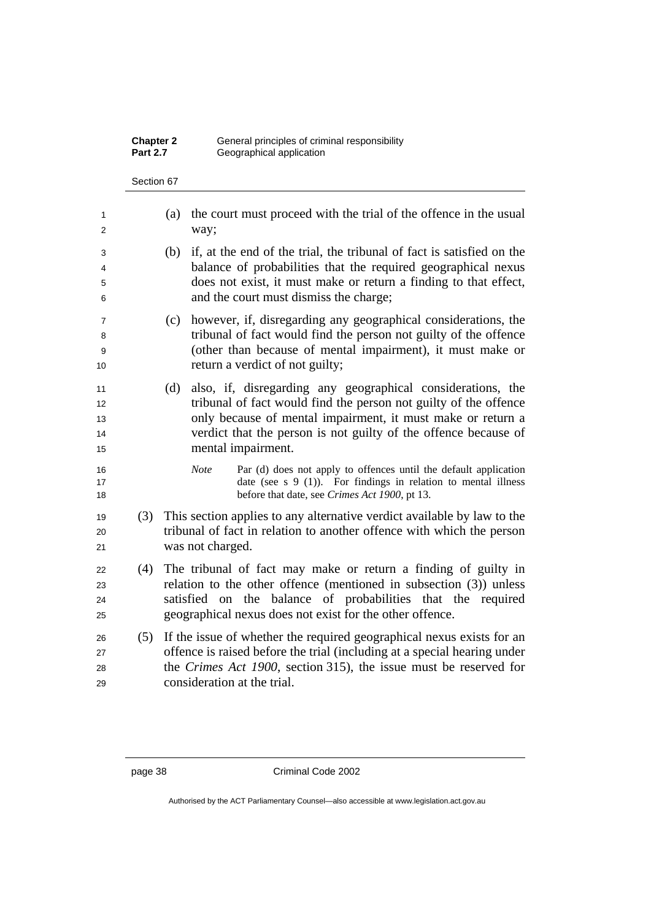| <b>Chapter 2</b> | General principles of criminal responsibility |
|------------------|-----------------------------------------------|
| <b>Part 2.7</b>  | Geographical application                      |

| Section 67 |  |
|------------|--|
|            |  |

| 1<br>2                         | (a) | the court must proceed with the trial of the offence in the usual<br>way;                                                                                                                                                                                                               |  |
|--------------------------------|-----|-----------------------------------------------------------------------------------------------------------------------------------------------------------------------------------------------------------------------------------------------------------------------------------------|--|
| 3<br>4<br>5<br>6               | (b) | if, at the end of the trial, the tribunal of fact is satisfied on the<br>balance of probabilities that the required geographical nexus<br>does not exist, it must make or return a finding to that effect,<br>and the court must dismiss the charge;                                    |  |
| $\overline{7}$<br>8<br>9<br>10 | (c) | however, if, disregarding any geographical considerations, the<br>tribunal of fact would find the person not guilty of the offence<br>(other than because of mental impairment), it must make or<br>return a verdict of not guilty;                                                     |  |
| 11<br>12<br>13<br>14<br>15     | (d) | also, if, disregarding any geographical considerations, the<br>tribunal of fact would find the person not guilty of the offence<br>only because of mental impairment, it must make or return a<br>verdict that the person is not guilty of the offence because of<br>mental impairment. |  |
| 16<br>17<br>18                 |     | <b>Note</b><br>Par (d) does not apply to offences until the default application<br>date (see $s \, 9 \, (1)$ ). For findings in relation to mental illness<br>before that date, see Crimes Act 1900, pt 13.                                                                             |  |
| (3)<br>19<br>20<br>21          |     | This section applies to any alternative verdict available by law to the<br>tribunal of fact in relation to another offence with which the person<br>was not charged.                                                                                                                    |  |
| (4)<br>22<br>23<br>24<br>25    |     | The tribunal of fact may make or return a finding of guilty in<br>relation to the other offence (mentioned in subsection (3)) unless<br>satisfied on the balance of probabilities that the required<br>geographical nexus does not exist for the other offence.                         |  |
| 26<br>27<br>28<br>29           |     | (5) If the issue of whether the required geographical nexus exists for an<br>offence is raised before the trial (including at a special hearing under<br>the Crimes Act 1900, section 315), the issue must be reserved for<br>consideration at the trial.                               |  |

Authorised by the ACT Parliamentary Counsel—also accessible at www.legislation.act.gov.au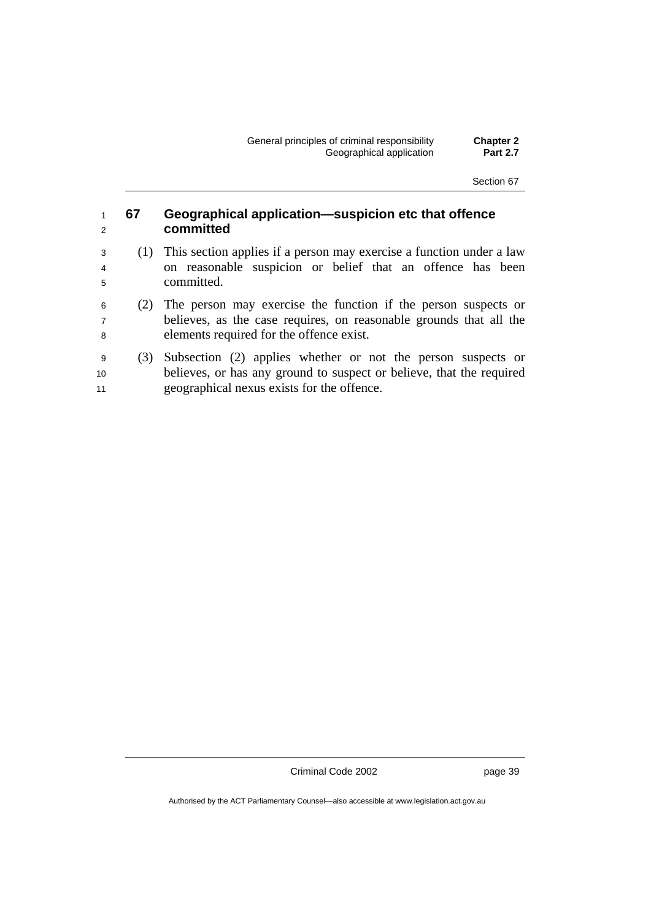#### **67 Geographical application—suspicion etc that offence committed**

- (1) This section applies if a person may exercise a function under a law on reasonable suspicion or belief that an offence has been committed.
- (2) The person may exercise the function if the person suspects or believes, as the case requires, on reasonable grounds that all the elements required for the offence exist.
- (3) Subsection (2) applies whether or not the person suspects or 10 believes, or has any ground to suspect or believe, that the required geographical nexus exists for the offence.

Criminal Code 2002 **page 39**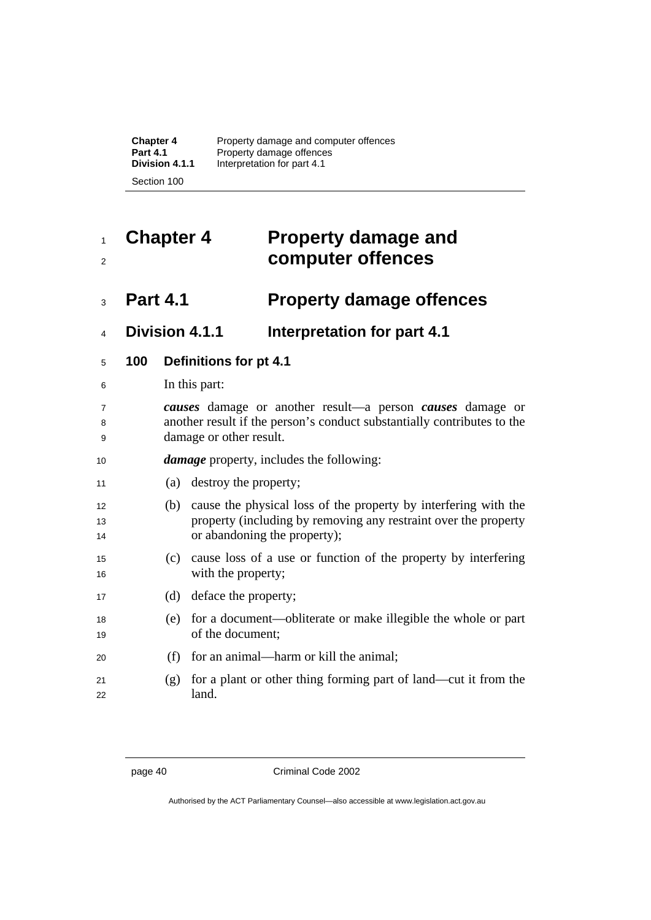**Chapter 4** Property damage and computer offences<br>**Part 4.1** Property damage offences **Part 4.1** Property damage offences<br>**Division 4.1.1** Interpretation for part 4.1 **Division 4.1.1** Interpretation for part 4.1 Section 100

## <sup>1</sup>**Chapter 4 Property damage and**  <sup>2</sup>**computer offences**

### <sup>3</sup>**Part 4.1 Property damage offences**

### <sup>4</sup>**Division 4.1.1 Interpretation for part 4.1**

#### <sup>5</sup>**100 Definitions for pt 4.1**

<sup>6</sup>In this part:

<sup>7</sup>*causes* damage or another result—a person *causes* damage or <sup>8</sup>another result if the person's conduct substantially contributes to the <sup>9</sup>damage or other result.

#### <sup>10</sup>*damage* property, includes the following:

- 11 (a) destroy the property;
- <sup>12</sup>(b) cause the physical loss of the property by interfering with the 13 property (including by removing any restraint over the property 14 or abandoning the property);
- <sup>15</sup>(c) cause loss of a use or function of the property by interfering 16 with the property;
- 17 (d) deface the property;
- <sup>18</sup>(e) for a document—obliterate or make illegible the whole or part 19 of the document;
- <sup>20</sup>(f) for an animal—harm or kill the animal;
- <sup>21</sup>(g) for a plant or other thing forming part of land—cut it from the 22 land.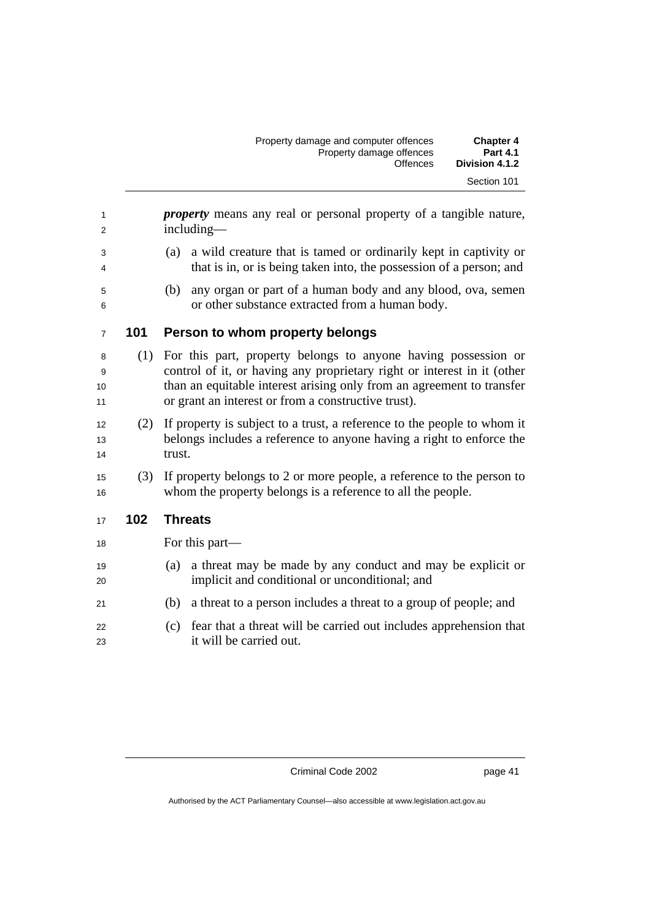| <b>Chapter 4</b> | Property damage and computer offences |
|------------------|---------------------------------------|
| <b>Part 4.1</b>  | Property damage offences              |
| Division 4.1.2   | Offences                              |
| Section 101      |                                       |

*property* means any real or personal property of a tangible nature, 2 including— (a) a wild creature that is tamed or ordinarily kept in captivity or that is in, or is being taken into, the possession of a person; and (b) any organ or part of a human body and any blood, ova, semen or other substance extracted from a human body. **101 Person to whom property belongs**  (1) For this part, property belongs to anyone having possession or control of it, or having any proprietary right or interest in it (other 10 than an equitable interest arising only from an agreement to transfer or grant an interest or from a constructive trust). (2) If property is subject to a trust, a reference to the people to whom it belongs includes a reference to anyone having a right to enforce the 14 trust. (3) If property belongs to 2 or more people, a reference to the person to 16 whom the property belongs is a reference to all the people. **102 Threats**  18 For this part— (a) a threat may be made by any conduct and may be explicit or implicit and conditional or unconditional; and (b) a threat to a person includes a threat to a group of people; and (c) fear that a threat will be carried out includes apprehension that it will be carried out.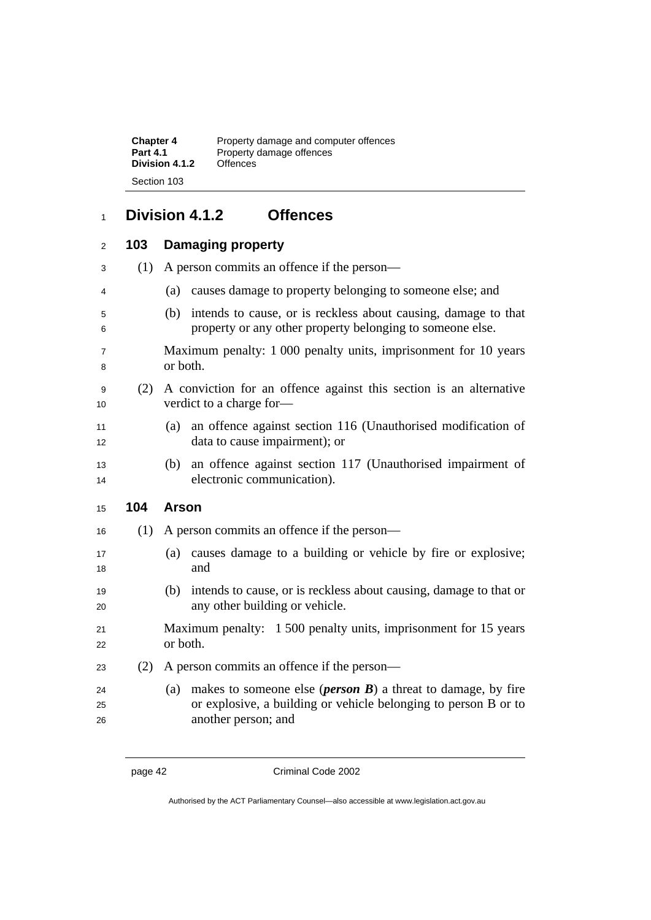| <b>Chapter 4</b><br><b>Part 4.1</b> | Property damage and computer offences<br>Property damage offences |
|-------------------------------------|-------------------------------------------------------------------|
| Division 4.1.2                      | Offences                                                          |
| Section 103                         |                                                                   |

### <sup>1</sup>**Division 4.1.2 Offences**

#### <sup>2</sup>**103 Damaging property**

| 3 <sup>1</sup> | $(1)$ A person commits an offence if the person—             |
|----------------|--------------------------------------------------------------|
| $\overline{4}$ | (a) causes damage to property belonging to someone else; and |

- <sup>5</sup>(b) intends to cause, or is reckless about causing, damage to that <sup>6</sup>property or any other property belonging to someone else.
- <sup>7</sup>Maximum penalty: 1 000 penalty units, imprisonment for 10 years 8 or both.
- <sup>9</sup>(2) A conviction for an offence against this section is an alternative 10 verdict to a charge for-
- <sup>11</sup>(a) an offence against section 116 (Unauthorised modification of 12 data to cause impairment); or
- <sup>13</sup>(b) an offence against section 117 (Unauthorised impairment of 14 electronic communication).

#### <sup>15</sup>**104 Arson**

- <sup>16</sup>(1) A person commits an offence if the person—
- <sup>17</sup>(a) causes damage to a building or vehicle by fire or explosive; 18<sup>and</sup>
- <sup>19</sup>(b) intends to cause, or is reckless about causing, damage to that or 20 any other building or vehicle.
- <sup>21</sup>Maximum penalty: 1 500 penalty units, imprisonment for 15 years 22 or both.
- <sup>23</sup>(2) A person commits an offence if the person—
- <sup>24</sup>(a) makes to someone else (*person B*) a threat to damage, by fire <sup>25</sup>or explosive, a building or vehicle belonging to person B or to 26 another person; and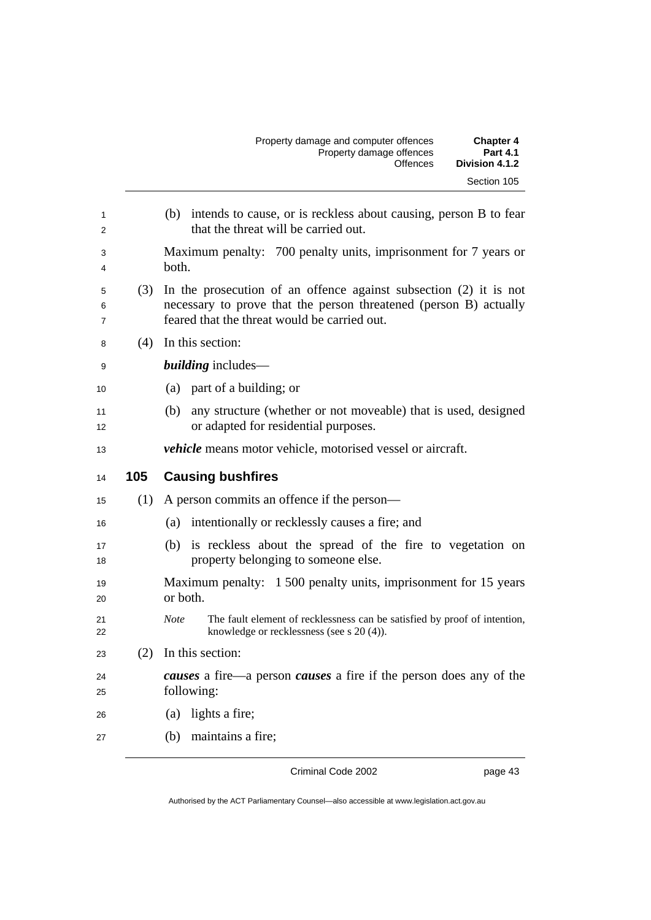|             |     | Property damage and computer offences<br><b>Chapter 4</b><br><b>Part 4.1</b><br>Property damage offences<br><b>Offences</b><br>Division 4.1.2                                            |
|-------------|-----|------------------------------------------------------------------------------------------------------------------------------------------------------------------------------------------|
|             |     | Section 105                                                                                                                                                                              |
| 1<br>2      |     | intends to cause, or is reckless about causing, person B to fear<br>(b)<br>that the threat will be carried out.                                                                          |
| 3<br>4      |     | Maximum penalty: 700 penalty units, imprisonment for 7 years or<br>both.                                                                                                                 |
| 5<br>6<br>7 | (3) | In the prosecution of an offence against subsection $(2)$ it is not<br>necessary to prove that the person threatened (person B) actually<br>feared that the threat would be carried out. |
| 8           | (4) | In this section:                                                                                                                                                                         |
| 9           |     | building includes-                                                                                                                                                                       |
| 10          |     | (a) part of a building; or                                                                                                                                                               |
| 11<br>12    |     | any structure (whether or not moveable) that is used, designed<br>(b)<br>or adapted for residential purposes.                                                                            |
| 13          |     | <i>vehicle</i> means motor vehicle, motorised vessel or aircraft.                                                                                                                        |
| 14          | 105 | <b>Causing bushfires</b>                                                                                                                                                                 |
| 15          | (1) | A person commits an offence if the person—                                                                                                                                               |
| 16          |     | (a) intentionally or recklessly causes a fire; and                                                                                                                                       |
| 17<br>18    |     | is reckless about the spread of the fire to vegetation on<br>(b)<br>property belonging to someone else.                                                                                  |
| 19<br>20    |     | Maximum penalty: 1 500 penalty units, imprisonment for 15 years<br>or both.                                                                                                              |
| 21<br>22    |     | The fault element of recklessness can be satisfied by proof of intention,<br><i>Note</i><br>knowledge or recklessness (see s 20 (4)).                                                    |
| 23          | (2) | In this section:                                                                                                                                                                         |
| 24<br>25    |     | <i>causes</i> a fire—a person <i>causes</i> a fire if the person does any of the<br>following:                                                                                           |
| 26          |     | lights a fire;<br>(a)                                                                                                                                                                    |
| 27          |     | maintains a fire;<br>(b)                                                                                                                                                                 |

Criminal Code 2002 **page 43**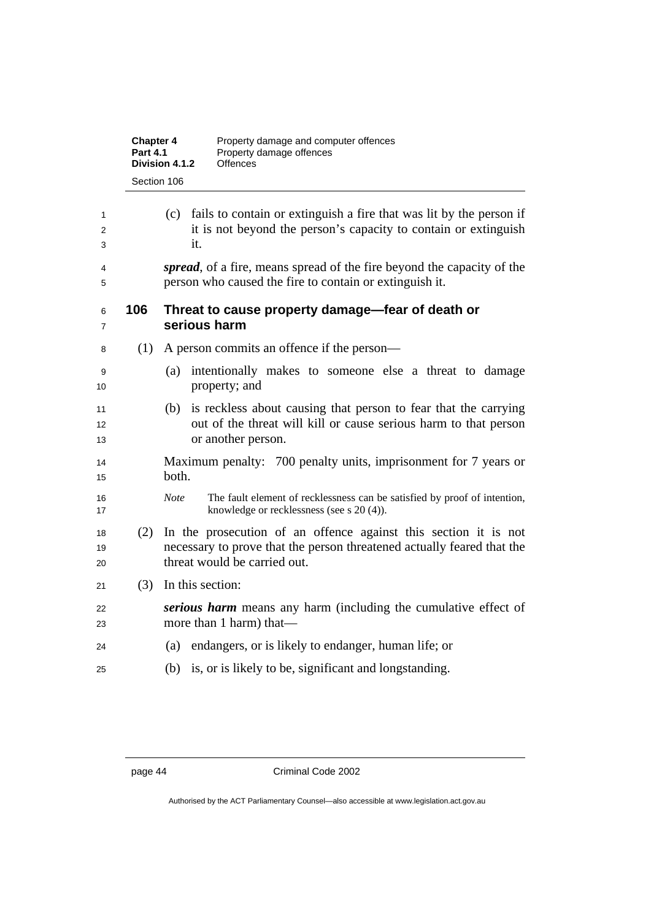| <b>Chapter 4</b><br><b>Part 4.1</b> | Property damage and computer offences<br>Property damage offences<br>Division 4.1.2<br><b>Offences</b>                                                                    |
|-------------------------------------|---------------------------------------------------------------------------------------------------------------------------------------------------------------------------|
|                                     | Section 106                                                                                                                                                               |
|                                     | fails to contain or extinguish a fire that was lit by the person if<br>(c)<br>it is not beyond the person's capacity to contain or extinguish<br>it.                      |
|                                     | spread, of a fire, means spread of the fire beyond the capacity of the<br>person who caused the fire to contain or extinguish it.                                         |
| 106                                 | Threat to cause property damage—fear of death or<br>serious harm                                                                                                          |
| (1)                                 | A person commits an offence if the person—                                                                                                                                |
|                                     | intentionally makes to someone else a threat to damage<br>(a)<br>property; and                                                                                            |
|                                     | is reckless about causing that person to fear that the carrying<br>(b)<br>out of the threat will kill or cause serious harm to that person<br>or another person.          |
|                                     | Maximum penalty: 700 penalty units, imprisonment for 7 years or<br>both.                                                                                                  |
|                                     | <b>Note</b><br>The fault element of recklessness can be satisfied by proof of intention,<br>knowledge or recklessness (see s 20 (4)).                                     |
| (2)                                 | In the prosecution of an offence against this section it is not<br>necessary to prove that the person threatened actually feared that the<br>threat would be carried out. |
| (3)                                 | In this section:                                                                                                                                                          |
|                                     | serious harm means any harm (including the cumulative effect of<br>more than 1 harm) that—                                                                                |
|                                     | endangers, or is likely to endanger, human life; or<br>(a)                                                                                                                |
|                                     | is, or is likely to be, significant and longstanding.<br>(b)                                                                                                              |
|                                     |                                                                                                                                                                           |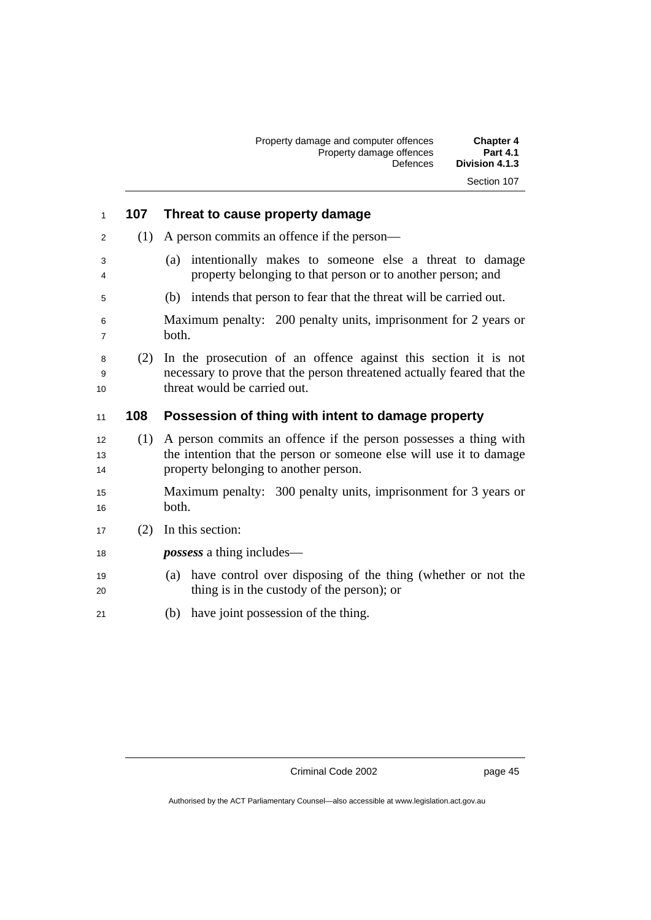| 1              | 107 | Threat to cause property damage                                                                                                                                                      |
|----------------|-----|--------------------------------------------------------------------------------------------------------------------------------------------------------------------------------------|
| 2              | (1) | A person commits an offence if the person—                                                                                                                                           |
| 3<br>4         |     | intentionally makes to someone else a threat to damage<br>(a)<br>property belonging to that person or to another person; and                                                         |
| 5              |     | (b) intends that person to fear that the threat will be carried out.                                                                                                                 |
| 6<br>7         |     | Maximum penalty: 200 penalty units, imprisonment for 2 years or<br>both.                                                                                                             |
| 8<br>9<br>10   | (2) | In the prosecution of an offence against this section it is not<br>necessary to prove that the person threatened actually feared that the<br>threat would be carried out.            |
| 11             | 108 | Possession of thing with intent to damage property                                                                                                                                   |
|                |     |                                                                                                                                                                                      |
| 12<br>13<br>14 |     | (1) A person commits an offence if the person possesses a thing with<br>the intention that the person or someone else will use it to damage<br>property belonging to another person. |
| 15<br>16       |     | Maximum penalty: 300 penalty units, imprisonment for 3 years or<br>both.                                                                                                             |
| 17             | (2) | In this section:                                                                                                                                                                     |
| 18             |     | <i>possess</i> a thing includes—                                                                                                                                                     |
| 19<br>20       |     | have control over disposing of the thing (whether or not the<br>(a)<br>thing is in the custody of the person); or                                                                    |

Criminal Code 2002 **page 45**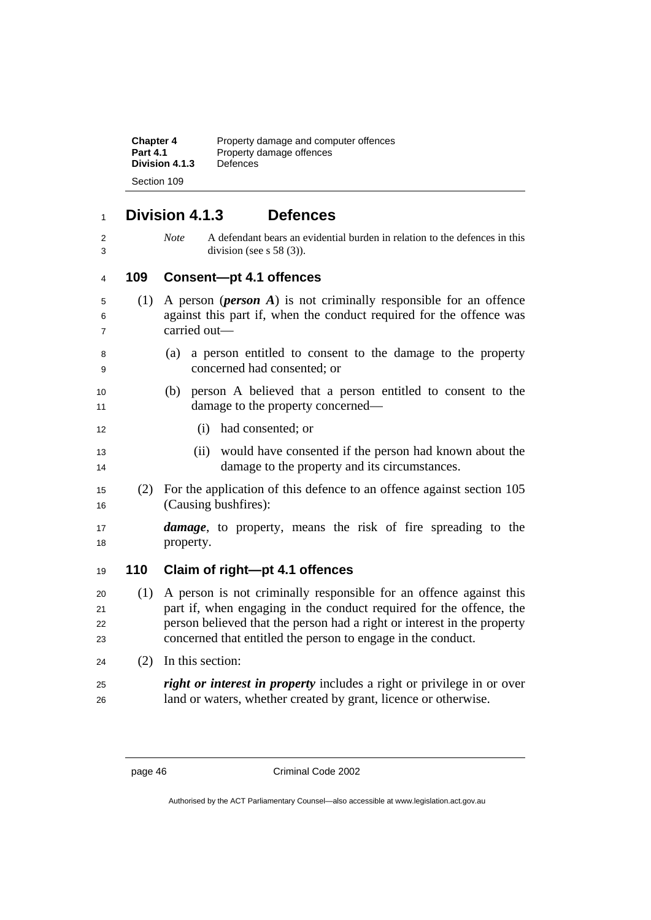| <b>Chapter 4</b> | Property damage and computer offences |
|------------------|---------------------------------------|
| <b>Part 4.1</b>  | Property damage offences              |
| Division 4.1.3   | Defences                              |
| Section 109      |                                       |

### **Division 4.1.3 Defences**

*Note* A defendant bears an evidential burden in relation to the defences in this division (see s 58 (3)).

#### **109 Consent—pt 4.1 offences**

- (1) A person (*person A*) is not criminally responsible for an offence against this part if, when the conduct required for the offence was carried out—
- (a) a person entitled to consent to the damage to the property concerned had consented; or
- (b) person A believed that a person entitled to consent to the 11 damage to the property concerned—
- 12 (i) had consented; or
- (ii) would have consented if the person had known about the 14 damage to the property and its circumstances.
- (2) For the application of this defence to an offence against section 105 (Causing bushfires):
- *damage*, to property, means the risk of fire spreading to the 18 property.

#### **110 Claim of right—pt 4.1 offences**

- (1) A person is not criminally responsible for an offence against this part if, when engaging in the conduct required for the offence, the person believed that the person had a right or interest in the property 23 concerned that entitled the person to engage in the conduct.
- (2) In this section:
- *right or interest in property* includes a right or privilege in or over land or waters, whether created by grant, licence or otherwise.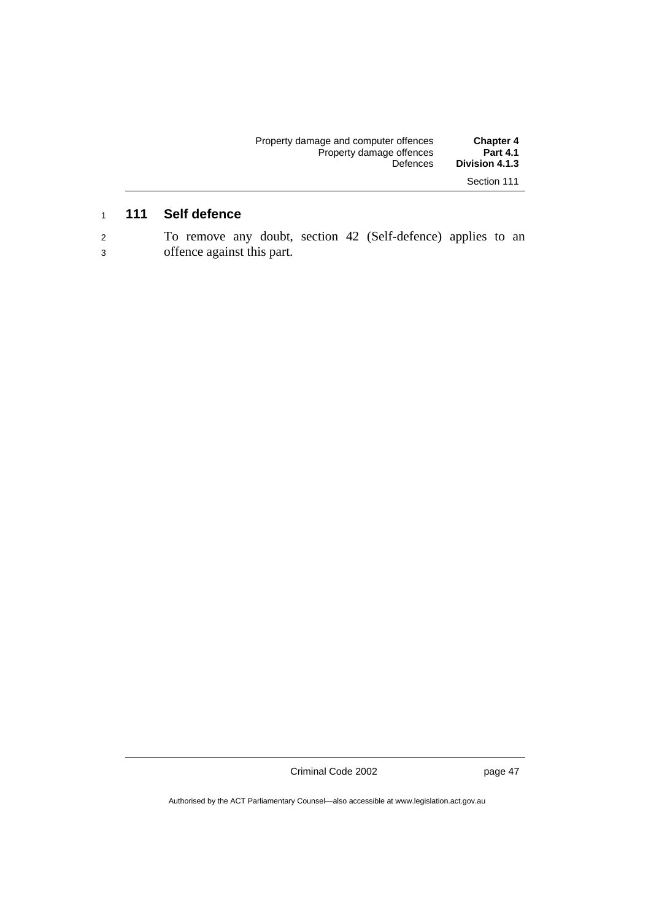| Property damage and computer offences | <b>Chapter 4</b> |
|---------------------------------------|------------------|
| Property damage offences              | <b>Part 4.1</b>  |
| Defences                              | Division 4.1.3   |
|                                       | Section 111      |

### <sup>1</sup>**111 Self defence**

| To remove any doubt, section 42 (Self-defence) applies to an |  |
|--------------------------------------------------------------|--|
| offence against this part.                                   |  |

Criminal Code 2002 **page 47**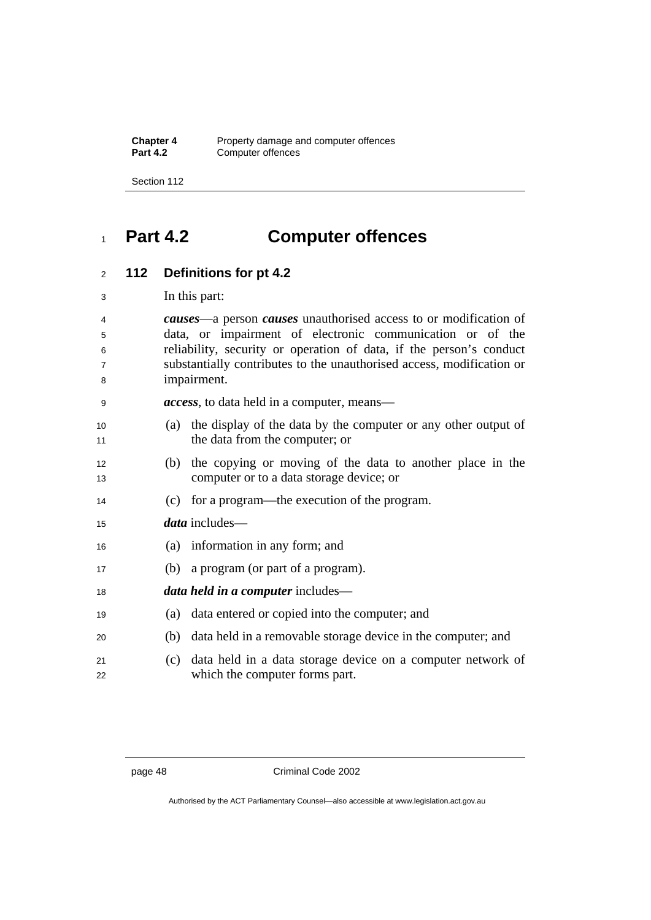**Chapter 4** Property damage and computer offences<br>**Part 4.2** Computer offences **Computer offences** 

Section 112

## **Part 4.2 Computer offences**

#### **112 Definitions for pt 4.2**

3 In this part:

| $\overline{4}$ | causes—a person causes unauthorised access to or modification of      |
|----------------|-----------------------------------------------------------------------|
| 5              | data, or impairment of electronic communication or of the             |
| 6              | reliability, security or operation of data, if the person's conduct   |
|                | substantially contributes to the unauthorised access, modification or |
| 8              | impairment.                                                           |
| - 9            | <i>access</i> , to data held in a computer, means—                    |
| 10             | the display of the data by the computer or any other output of<br>(a) |
| 11             | the data from the computer; or                                        |
| 12             | (b) the copying or moving of the data to another place in the         |

- 13 computer or to a data storage device; or
- (c) for a program—the execution of the program.
- *data* includes—
- (a) information in any form; and
- (b) a program (or part of a program).
- *data held in a computer* includes—
- 19 (a) data entered or copied into the computer; and
- (b) data held in a removable storage device in the computer; and
- (c) data held in a data storage device on a computer network of which the computer forms part.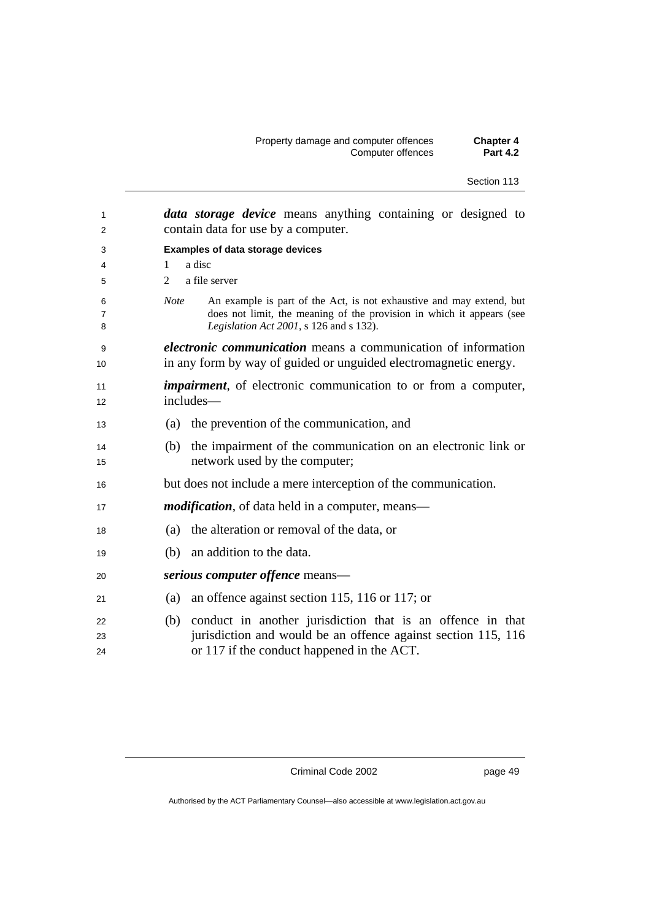*data storage device* means anything containing or designed to contain data for use by a computer. **Examples of data storage devices**  1 a disc 2 a file server *Note* An example is part of the Act, is not exhaustive and may extend, but does not limit, the meaning of the provision in which it appears (see *Legislation Act 2001*, s 126 and s 132). *electronic communication* means a communication of information 10 in any form by way of guided or unguided electromagnetic energy. *impairment*, of electronic communication to or from a computer, 12 includes— (a) the prevention of the communication, and (b) the impairment of the communication on an electronic link or 15 network used by the computer; 16 but does not include a mere interception of the communication. *modification*, of data held in a computer, means— (a) the alteration or removal of the data, or (b) an addition to the data. *serious computer offence* means— (a) an offence against section 115, 116 or 117; or (b) conduct in another jurisdiction that is an offence in that 23 jurisdiction and would be an offence against section 115, 116 or 117 if the conduct happened in the ACT.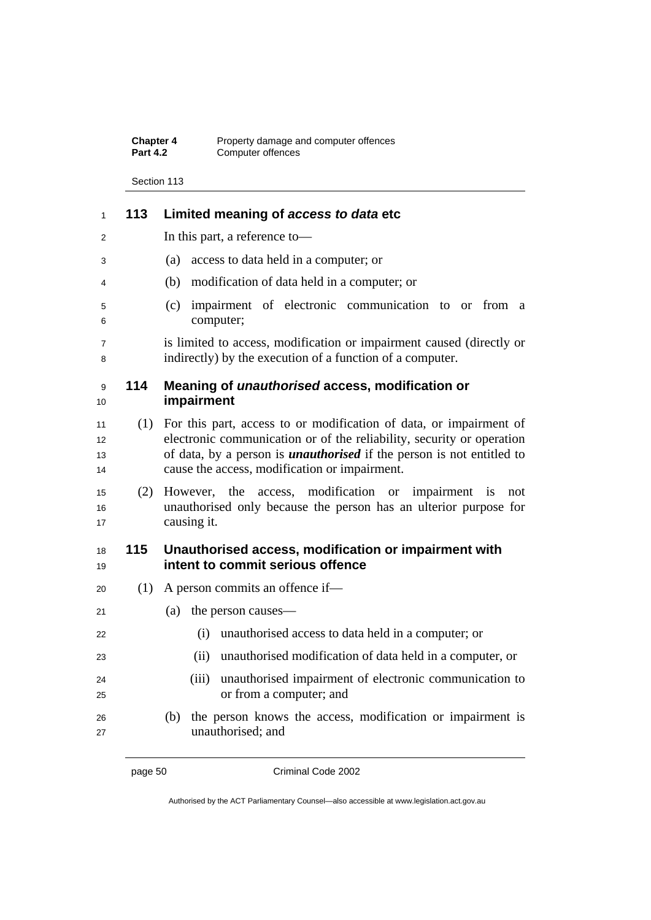| <b>Chapter 4</b> | Property damage and computer offences |
|------------------|---------------------------------------|
| <b>Part 4.2</b>  | Computer offences                     |

| $\mathbf{1}$                        | 113 | Limited meaning of access to data etc                                                                                                                                                                                                                                        |
|-------------------------------------|-----|------------------------------------------------------------------------------------------------------------------------------------------------------------------------------------------------------------------------------------------------------------------------------|
| 2                                   |     | In this part, a reference to-                                                                                                                                                                                                                                                |
| 3                                   |     | (a)<br>access to data held in a computer; or                                                                                                                                                                                                                                 |
| 4                                   |     | modification of data held in a computer; or<br>(b)                                                                                                                                                                                                                           |
| 5<br>6                              |     | impairment of electronic communication to<br>(c)<br>or from a<br>computer;                                                                                                                                                                                                   |
| $\overline{7}$<br>8                 |     | is limited to access, modification or impairment caused (directly or<br>indirectly) by the execution of a function of a computer.                                                                                                                                            |
| 9<br>10                             | 114 | Meaning of <i>unauthorised</i> access, modification or<br>impairment                                                                                                                                                                                                         |
| 11<br>$12 \overline{ }$<br>13<br>14 | (1) | For this part, access to or modification of data, or impairment of<br>electronic communication or of the reliability, security or operation<br>of data, by a person is <i>unauthorised</i> if the person is not entitled to<br>cause the access, modification or impairment. |
| 15<br>16<br>17                      | (2) | access, modification or impairment<br>the<br>However,<br><i>is</i><br>not<br>unauthorised only because the person has an ulterior purpose for<br>causing it.                                                                                                                 |
| 18<br>19                            | 115 | Unauthorised access, modification or impairment with<br>intent to commit serious offence                                                                                                                                                                                     |
| 20                                  | (1) | A person commits an offence if—                                                                                                                                                                                                                                              |
| 21                                  |     | (a)<br>the person causes—                                                                                                                                                                                                                                                    |
| 22                                  |     | unauthorised access to data held in a computer; or<br>(i)                                                                                                                                                                                                                    |
| 23                                  |     | unauthorised modification of data held in a computer, or<br>(ii)                                                                                                                                                                                                             |
| 24<br>25                            |     | unauthorised impairment of electronic communication to<br>(iii)<br>or from a computer; and                                                                                                                                                                                   |
| 26<br>27                            |     | the person knows the access, modification or impairment is<br>(b)<br>unauthorised; and                                                                                                                                                                                       |
|                                     |     |                                                                                                                                                                                                                                                                              |

page 50 Criminal Code 2002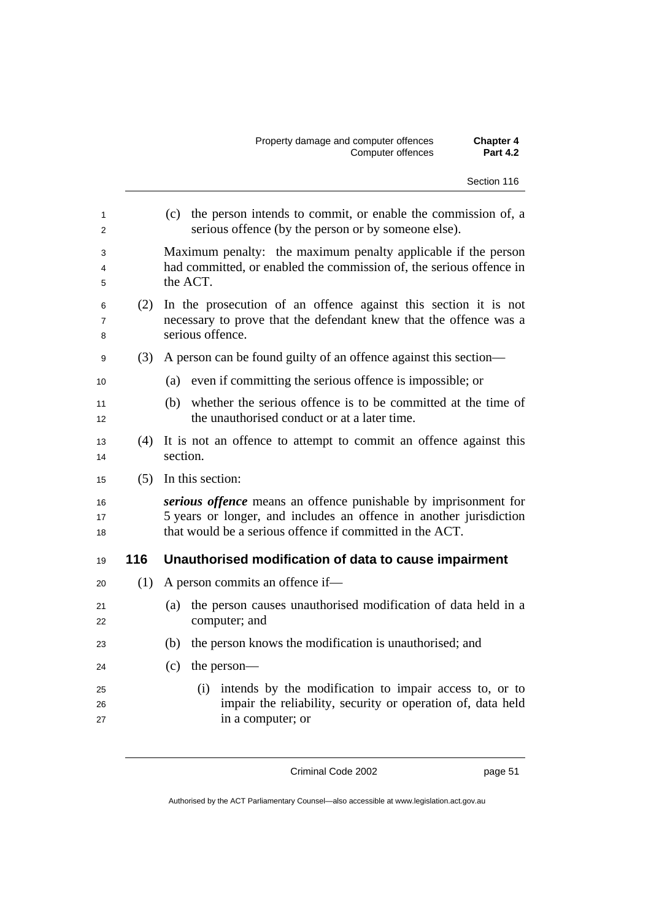| 1<br>2         |     | (c) the person intends to commit, or enable the commission of, a<br>serious offence (by the person or by someone else).                                                                           |
|----------------|-----|---------------------------------------------------------------------------------------------------------------------------------------------------------------------------------------------------|
| 3<br>4<br>5    |     | Maximum penalty: the maximum penalty applicable if the person<br>had committed, or enabled the commission of, the serious offence in<br>the ACT.                                                  |
| 6<br>7<br>8    |     | (2) In the prosecution of an offence against this section it is not<br>necessary to prove that the defendant knew that the offence was a<br>serious offence.                                      |
| 9              | (3) | A person can be found guilty of an offence against this section—                                                                                                                                  |
| 10             |     | (a) even if committing the serious offence is impossible; or                                                                                                                                      |
| 11<br>12       |     | whether the serious offence is to be committed at the time of<br>(b)<br>the unauthorised conduct or at a later time.                                                                              |
| 13<br>14       | (4) | It is not an offence to attempt to commit an offence against this<br>section.                                                                                                                     |
| 15             | (5) | In this section:                                                                                                                                                                                  |
| 16<br>17<br>18 |     | serious offence means an offence punishable by imprisonment for<br>5 years or longer, and includes an offence in another jurisdiction<br>that would be a serious offence if committed in the ACT. |
| 19             | 116 | Unauthorised modification of data to cause impairment                                                                                                                                             |
| 20             | (1) | A person commits an offence if—                                                                                                                                                                   |
| 21<br>22       |     | the person causes unauthorised modification of data held in a<br>(a)<br>computer; and                                                                                                             |
| 23             |     | the person knows the modification is unauthorised; and<br>(b)                                                                                                                                     |
| 24             |     | (c)<br>the person—                                                                                                                                                                                |
| 25<br>26<br>27 |     | intends by the modification to impair access to, or to<br>(i)<br>impair the reliability, security or operation of, data held<br>in a computer; or                                                 |
|                |     |                                                                                                                                                                                                   |

Criminal Code 2002 page 51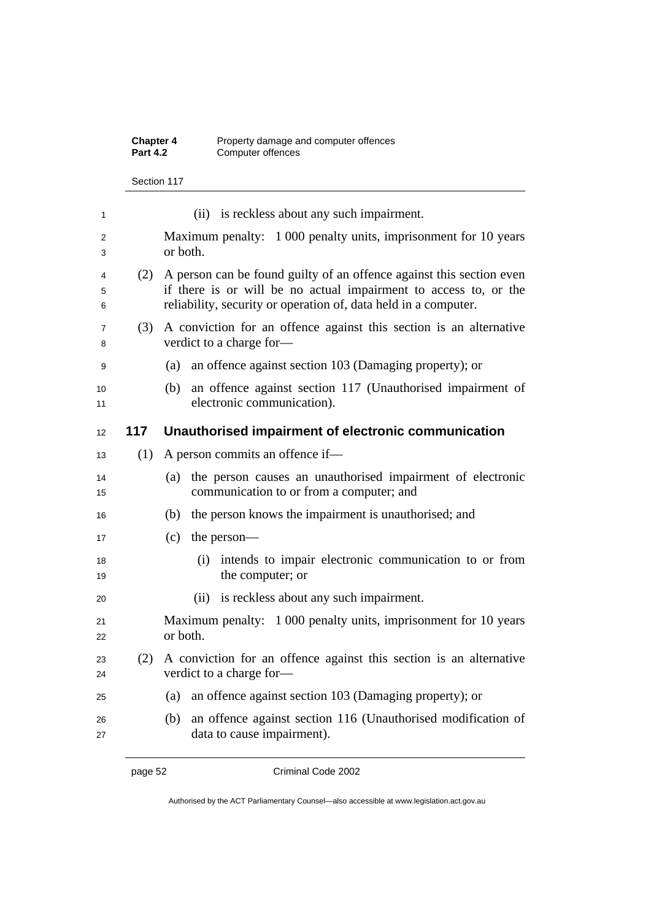| 1           |     | (ii) is reckless about any such impairment.                                                                                                                                                                     |
|-------------|-----|-----------------------------------------------------------------------------------------------------------------------------------------------------------------------------------------------------------------|
| 2<br>3      |     | Maximum penalty: 1 000 penalty units, imprisonment for 10 years<br>or both.                                                                                                                                     |
| 4<br>5<br>6 |     | (2) A person can be found guilty of an offence against this section even<br>if there is or will be no actual impairment to access to, or the<br>reliability, security or operation of, data held in a computer. |
| 7<br>8      | (3) | A conviction for an offence against this section is an alternative<br>verdict to a charge for-                                                                                                                  |
| 9           |     | an offence against section 103 (Damaging property); or<br>(a)                                                                                                                                                   |
| 10<br>11    |     | an offence against section 117 (Unauthorised impairment of<br>(b)<br>electronic communication).                                                                                                                 |
| 12          | 117 | Unauthorised impairment of electronic communication                                                                                                                                                             |
| 13          | (1) | A person commits an offence if—                                                                                                                                                                                 |
| 14<br>15    |     | the person causes an unauthorised impairment of electronic<br>(a)<br>communication to or from a computer; and                                                                                                   |
| 16          |     | the person knows the impairment is unauthorised; and<br>(b)                                                                                                                                                     |
| 17          |     | the person—<br>(c)                                                                                                                                                                                              |
| 18<br>19    |     | intends to impair electronic communication to or from<br>(i)<br>the computer; or                                                                                                                                |
| 20          |     | is reckless about any such impairment.<br>(ii)                                                                                                                                                                  |
| 21<br>22    |     | Maximum penalty: 1 000 penalty units, imprisonment for 10 years<br>or both.                                                                                                                                     |
| 23<br>24    | (2) | A conviction for an offence against this section is an alternative<br>verdict to a charge for-                                                                                                                  |
| 25          |     | an offence against section 103 (Damaging property); or<br>(a)                                                                                                                                                   |
| 26<br>27    |     | an offence against section 116 (Unauthorised modification of<br>(b)<br>data to cause impairment).                                                                                                               |
|             |     |                                                                                                                                                                                                                 |

Authorised by the ACT Parliamentary Counsel—also accessible at www.legislation.act.gov.au

page 52 Criminal Code 2002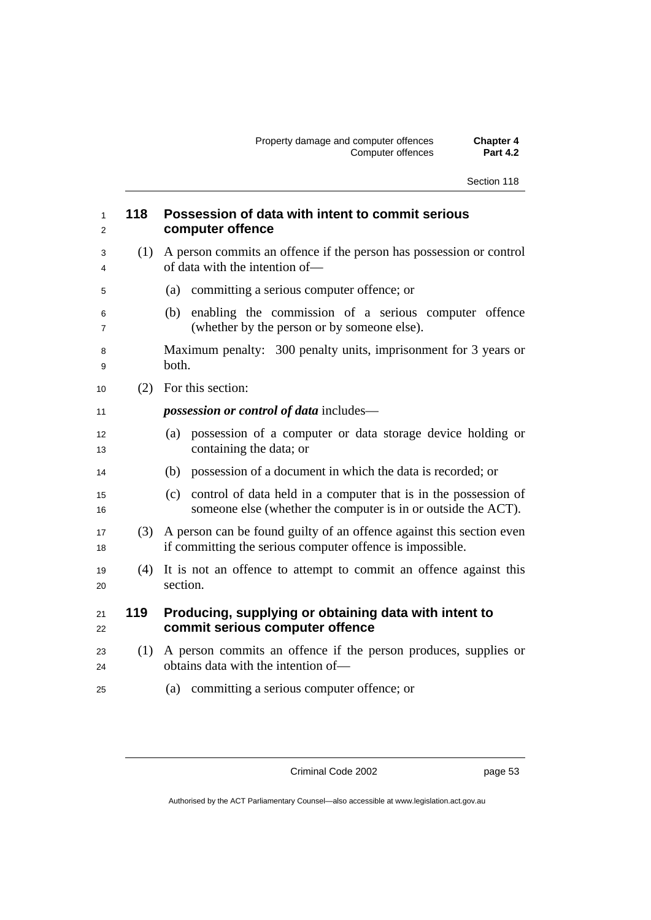| 1<br>2                  | 118 | Possession of data with intent to commit serious<br>computer offence                                                                    |
|-------------------------|-----|-----------------------------------------------------------------------------------------------------------------------------------------|
| 3<br>4                  | (1) | A person commits an offence if the person has possession or control<br>of data with the intention of-                                   |
| 5                       |     | committing a serious computer offence; or<br>(a)                                                                                        |
| 6<br>7                  |     | enabling the commission of a serious computer offence<br>(b)<br>(whether by the person or by someone else).                             |
| 8<br>9                  |     | Maximum penalty: 300 penalty units, imprisonment for 3 years or<br>both.                                                                |
| 10                      |     | (2) For this section:                                                                                                                   |
| 11                      |     | <i>possession or control of data includes—</i>                                                                                          |
| $12 \overline{ }$<br>13 |     | possession of a computer or data storage device holding or<br>(a)<br>containing the data; or                                            |
| 14                      |     | (b) possession of a document in which the data is recorded; or                                                                          |
| 15<br>16                |     | control of data held in a computer that is in the possession of<br>(c)<br>someone else (whether the computer is in or outside the ACT). |
| 17<br>18                | (3) | A person can be found guilty of an offence against this section even<br>if committing the serious computer offence is impossible.       |
| 19<br>20                | (4) | It is not an offence to attempt to commit an offence against this<br>section.                                                           |
| 21<br>22                | 119 | Producing, supplying or obtaining data with intent to<br>commit serious computer offence                                                |
| 23<br>24                | (1) | A person commits an offence if the person produces, supplies or<br>obtains data with the intention of—                                  |
| 25                      |     | committing a serious computer offence; or<br>(a)                                                                                        |

Criminal Code 2002 **page 53**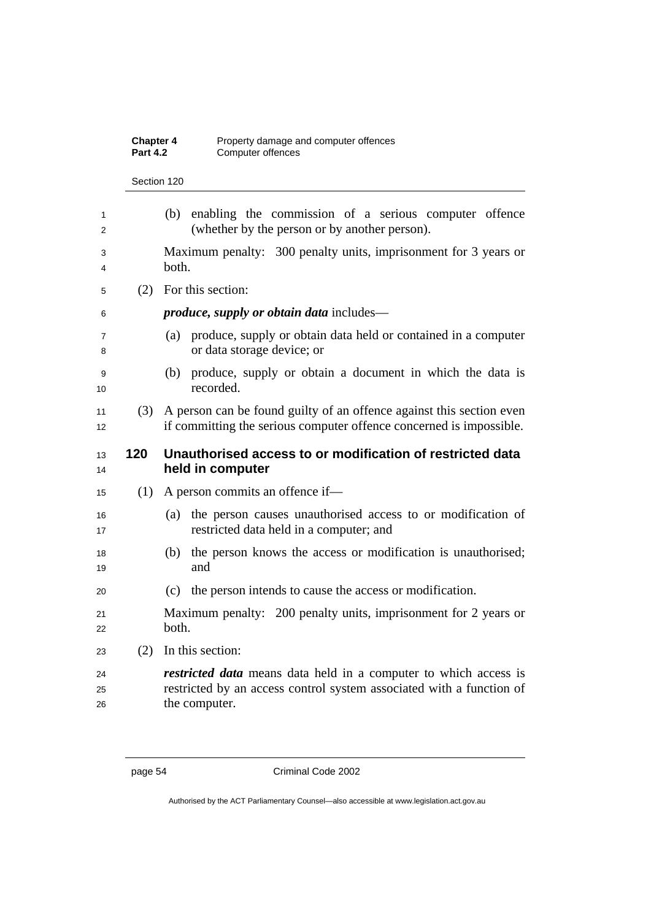| <b>Chapter 4</b> | Property damage and computer offences |
|------------------|---------------------------------------|
| <b>Part 4.2</b>  | Computer offences                     |

| 1<br>2         |     | (b) enabling the commission of a serious computer offence<br>(whether by the person or by another person).                                                       |  |  |
|----------------|-----|------------------------------------------------------------------------------------------------------------------------------------------------------------------|--|--|
| 3<br>4         |     | Maximum penalty: 300 penalty units, imprisonment for 3 years or<br>both.                                                                                         |  |  |
| 5              |     | (2) For this section:                                                                                                                                            |  |  |
| 6              |     | <i>produce, supply or obtain data includes—</i>                                                                                                                  |  |  |
| 7<br>8         |     | produce, supply or obtain data held or contained in a computer<br>(a)<br>or data storage device; or                                                              |  |  |
| 9<br>10        |     | produce, supply or obtain a document in which the data is<br>(b)<br>recorded.                                                                                    |  |  |
| 11<br>12       |     | (3) A person can be found guilty of an offence against this section even<br>if committing the serious computer offence concerned is impossible.                  |  |  |
| 13<br>14       | 120 | Unauthorised access to or modification of restricted data<br>held in computer                                                                                    |  |  |
| 15             | (1) | A person commits an offence if—                                                                                                                                  |  |  |
| 16<br>17       |     | the person causes unauthorised access to or modification of<br>(a)<br>restricted data held in a computer; and                                                    |  |  |
| 18<br>19       |     | the person knows the access or modification is unauthorised;<br>(b)<br>and                                                                                       |  |  |
| 20             |     | the person intends to cause the access or modification.<br>(c)                                                                                                   |  |  |
| 21<br>22       |     | Maximum penalty: 200 penalty units, imprisonment for 2 years or<br>both.                                                                                         |  |  |
| 23             |     |                                                                                                                                                                  |  |  |
|                | (2) | In this section:                                                                                                                                                 |  |  |
| 24<br>25<br>26 |     | <i>restricted data</i> means data held in a computer to which access is<br>restricted by an access control system associated with a function of<br>the computer. |  |  |

page 54 Criminal Code 2002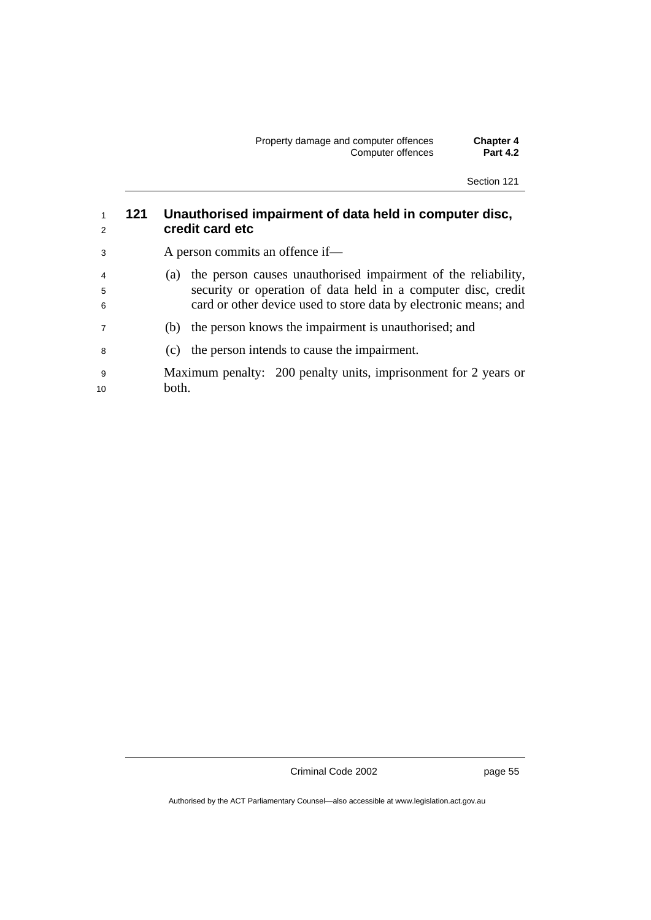#### **121 Unauthorised impairment of data held in computer disc, credit card etc**

A person commits an offence if—

- (a) the person causes unauthorised impairment of the reliability, security or operation of data held in a computer disc, credit card or other device used to store data by electronic means; and
- (b) the person knows the impairment is unauthorised; and
- (c) the person intends to cause the impairment.
- Maximum penalty: 200 penalty units, imprisonment for 2 years or both.

Criminal Code 2002 **page 55**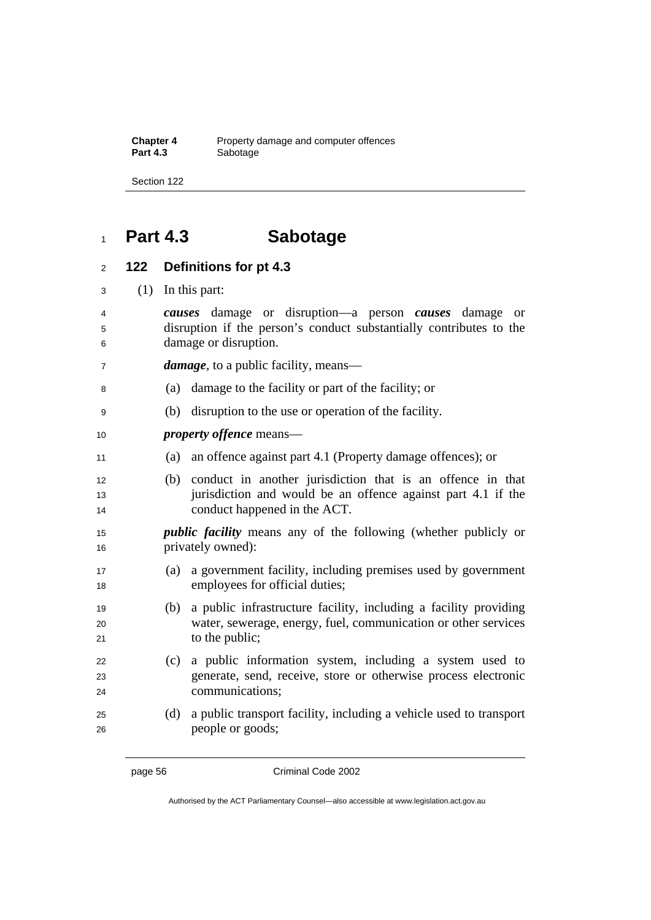**Chapter 4** Property damage and computer offences<br>**Part 4.3** Sabotage Sabotage

Section 122

### **Part 4.3 Sabotage**

### **122 Definitions for pt 4.3**

 $3 \quad (1)$  In this part:

*causes* damage or disruption—a person *causes* damage or disruption if the person's conduct substantially contributes to the damage or disruption. *damage*, to a public facility, means— (a) damage to the facility or part of the facility; or (b) disruption to the use or operation of the facility. *property offence* means— (a) an offence against part 4.1 (Property damage offences); or (b) conduct in another jurisdiction that is an offence in that 13 jurisdiction and would be an offence against part 4.1 if the 14 conduct happened in the ACT. *public facility* means any of the following (whether publicly or **privately owned**): (a) a government facility, including premises used by government 18 employees for official duties; (b) a public infrastructure facility, including a facility providing water, sewerage, energy, fuel, communication or other services 21 to the public; (c) a public information system, including a system used to generate, send, receive, store or otherwise process electronic 24 communications: (d) a public transport facility, including a vehicle used to transport people or goods;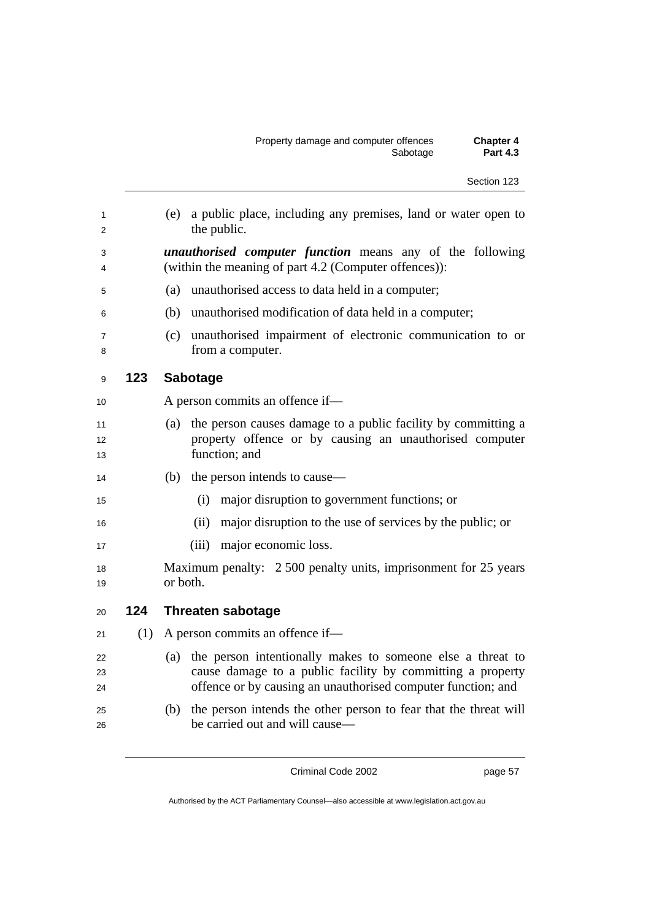| Property damage and computer offences | <b>Chapter 4</b> |
|---------------------------------------|------------------|
| Sabotage                              | <b>Part 4.3</b>  |

| 1<br>2         |     | a public place, including any premises, land or water open to<br>(e)<br>the public.                                                                                                             |  |
|----------------|-----|-------------------------------------------------------------------------------------------------------------------------------------------------------------------------------------------------|--|
| 3<br>4         |     | <i>unauthorised computer function</i> means any of the following<br>(within the meaning of part 4.2 (Computer offences)):                                                                       |  |
| 5              |     | (a) unauthorised access to data held in a computer;                                                                                                                                             |  |
| 6              |     | unauthorised modification of data held in a computer;<br>(b)                                                                                                                                    |  |
| 7<br>8         |     | unauthorised impairment of electronic communication to or<br>(c)<br>from a computer.                                                                                                            |  |
| 9              | 123 | Sabotage                                                                                                                                                                                        |  |
| 10             |     | A person commits an offence if—                                                                                                                                                                 |  |
| 11<br>12<br>13 |     | the person causes damage to a public facility by committing a<br>(a)<br>property offence or by causing an unauthorised computer<br>function; and                                                |  |
| 14             |     | the person intends to cause—<br>(b)                                                                                                                                                             |  |
| 15             |     | major disruption to government functions; or<br>(i)                                                                                                                                             |  |
| 16             |     | major disruption to the use of services by the public; or<br>(ii)                                                                                                                               |  |
| 17             |     | major economic loss.<br>(iii)                                                                                                                                                                   |  |
| 18<br>19       |     | Maximum penalty: 2 500 penalty units, imprisonment for 25 years<br>or both.                                                                                                                     |  |
| 20             | 124 | <b>Threaten sabotage</b>                                                                                                                                                                        |  |
| 21             | (1) | A person commits an offence if—                                                                                                                                                                 |  |
| 22<br>23<br>24 |     | the person intentionally makes to someone else a threat to<br>(a)<br>cause damage to a public facility by committing a property<br>offence or by causing an unauthorised computer function; and |  |
| 25<br>26       |     | the person intends the other person to fear that the threat will<br>(b)<br>be carried out and will cause—                                                                                       |  |

Criminal Code 2002 **page 57**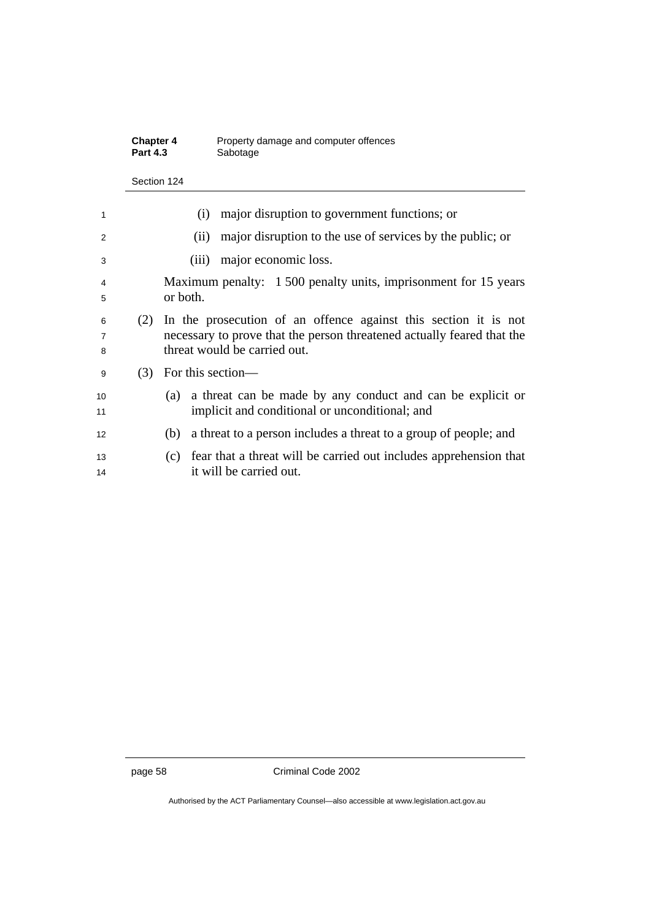| <b>Chapter 4</b> | Property damage and computer offences |
|------------------|---------------------------------------|
| <b>Part 4.3</b>  | Sabotage                              |

| 1                  | major disruption to government functions; or<br>(i)                                                                                                                       |
|--------------------|---------------------------------------------------------------------------------------------------------------------------------------------------------------------------|
| 2                  | major disruption to the use of services by the public; or<br>(i)                                                                                                          |
| 3                  | major economic loss.<br>(iii)                                                                                                                                             |
| 4<br>5             | Maximum penalty: 1 500 penalty units, imprisonment for 15 years<br>or both.                                                                                               |
| (2)<br>6<br>7<br>8 | In the prosecution of an offence against this section it is not<br>necessary to prove that the person threatened actually feared that the<br>threat would be carried out. |
| (3)<br>9           | For this section—                                                                                                                                                         |
| 10<br>11           | (a) a threat can be made by any conduct and can be explicit or<br>implicit and conditional or unconditional; and                                                          |
| 12                 | a threat to a person includes a threat to a group of people; and<br>(b)                                                                                                   |
| 13<br>14           | (c) fear that a threat will be carried out includes apprehension that<br>it will be carried out.                                                                          |

page 58 Criminal Code 2002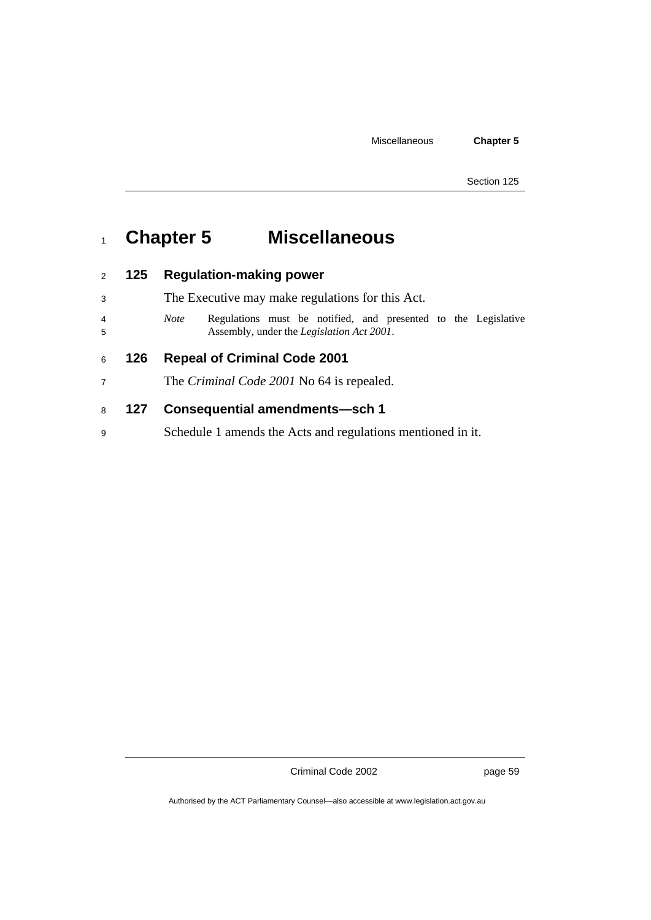Miscellaneous **Chapter 5** 

Section 125

## **Chapter 5 Miscellaneous**

#### **125 Regulation-making power**

The Executive may make regulations for this Act.

*Note* Regulations must be notified, and presented to the Legislative Assembly, under the *Legislation Act 2001*.

#### **126 Repeal of Criminal Code 2001**

The *Criminal Code 2001* No 64 is repealed.

#### **127 Consequential amendments—sch 1**

Schedule 1 amends the Acts and regulations mentioned in it.

Criminal Code 2002 **page 59**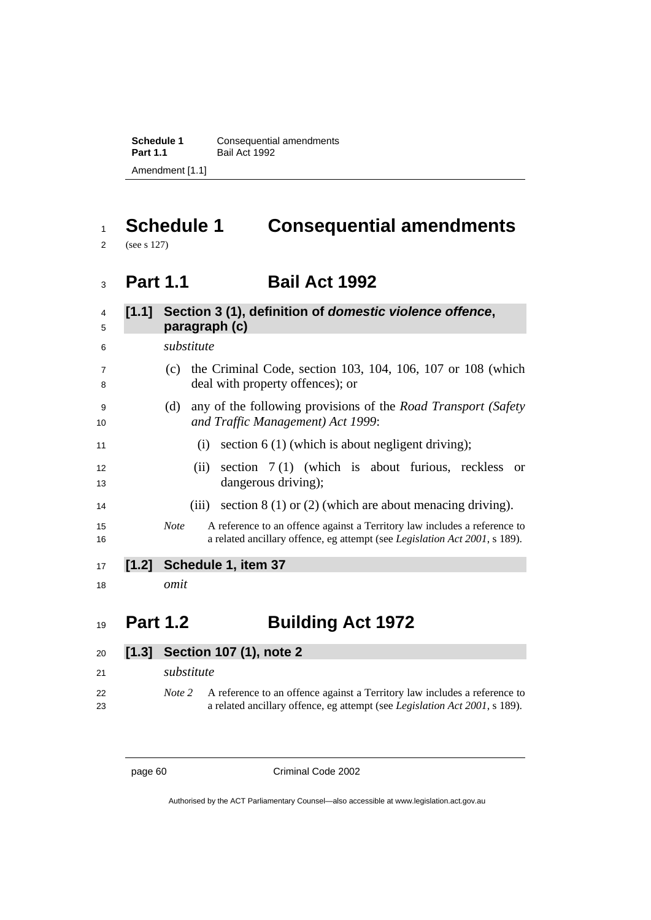**Schedule 1 Consequential amendments Part 1.1 Bail Act 1992** Amendment [1.1]

# **Schedule 1 Consequential amendments**

(see s 127)

### **Part 1.1 Bail Act 1992**

| 4<br>5              | [1.1]           | Section 3 (1), definition of domestic violence offence,<br>paragraph (c)                                                                                                       |
|---------------------|-----------------|--------------------------------------------------------------------------------------------------------------------------------------------------------------------------------|
| 6                   |                 | substitute                                                                                                                                                                     |
| $\overline{7}$<br>8 |                 | the Criminal Code, section $103$ , $104$ , $106$ , $107$ or $108$ (which<br>(c)<br>deal with property offences); or                                                            |
| 9<br>10             |                 | any of the following provisions of the Road Transport (Safety<br>(d)<br>and Traffic Management) Act 1999:                                                                      |
| 11                  |                 | section $6(1)$ (which is about negligent driving);<br>(i)                                                                                                                      |
| 12<br>13            |                 | section $7(1)$ (which is about furious, reckless or<br>(ii)<br>dangerous driving);                                                                                             |
| 14                  |                 | section $8(1)$ or $(2)$ (which are about menacing driving).<br>(iii)                                                                                                           |
| 15<br>16            |                 | A reference to an offence against a Territory law includes a reference to<br><b>Note</b><br>a related ancillary offence, eg attempt (see <i>Legislation Act 2001</i> , s 189). |
| 17                  | [1.2]           | Schedule 1, item 37                                                                                                                                                            |
| 18                  |                 | omit                                                                                                                                                                           |
| 19                  | <b>Part 1.2</b> | <b>Building Act 1972</b>                                                                                                                                                       |
| 20                  | $[1.3]$         | Section 107 (1), note 2                                                                                                                                                        |
| 21                  |                 | substitute                                                                                                                                                                     |
| 22                  |                 | A reference to an offence against a Territory law includes a reference to<br>Note 2                                                                                            |

a related ancillary offence, eg attempt (see *Legislation Act 2001*, s 189).

page 60 Criminal Code 2002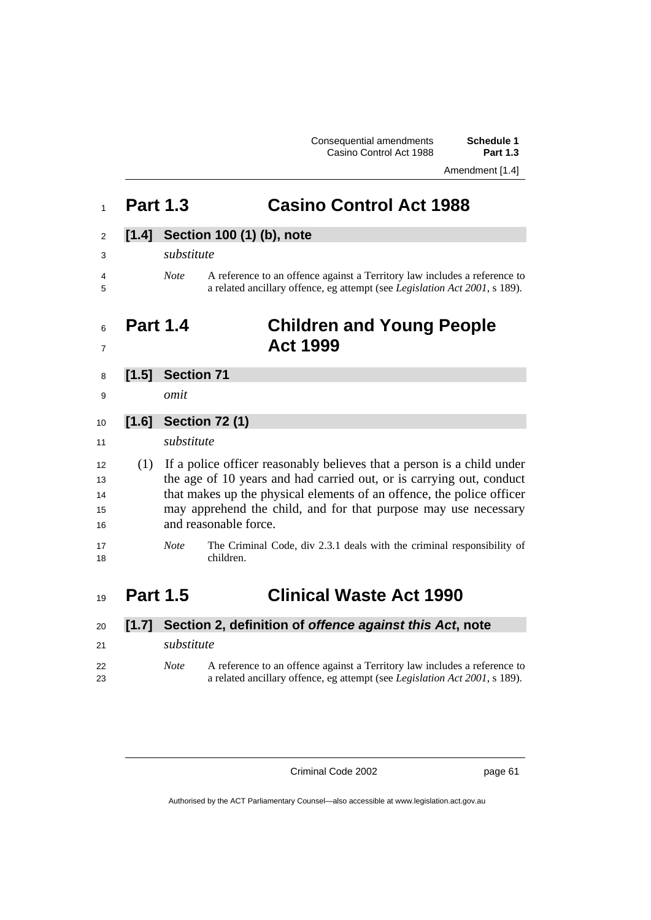Consequential amendments **Schedule 1 Casino Control Act 1988** 

Amendment [1.4]

## **Part 1.3 Casino Control Act 1988**

#### **[1.4] Section 100 (1) (b), note**

#### *substitute*

*Note* A reference to an offence against a Territory law includes a reference to a related ancillary offence, eg attempt (see *Legislation Act 2001*, s 189).

### **Part 1.4 Children and Young People Act 1999**

- **[1.5] Section 71**
- *omit*

#### **[1.6] Section 72 (1)**

#### *substitute*

(1) If a police officer reasonably believes that a person is a child under 13 the age of 10 years and had carried out, or is carrying out, conduct that makes up the physical elements of an offence, the police officer may apprehend the child, and for that purpose may use necessary 16 and reasonable force.

*Note* The Criminal Code, div 2.3.1 deals with the criminal responsibility of children.

### **Part 1.5 Clinical Waste Act 1990**

| 20       | [1.7] Section 2, definition of offence against this Act, note |                                                                                                                                                                 |  |
|----------|---------------------------------------------------------------|-----------------------------------------------------------------------------------------------------------------------------------------------------------------|--|
| 21       | substitute                                                    |                                                                                                                                                                 |  |
| 22<br>23 | <i>Note</i>                                                   | A reference to an offence against a Territory law includes a reference to<br>a related ancillary offence, eg attempt (see <i>Legislation Act 2001</i> , s 189). |  |

Criminal Code 2002 **page 61**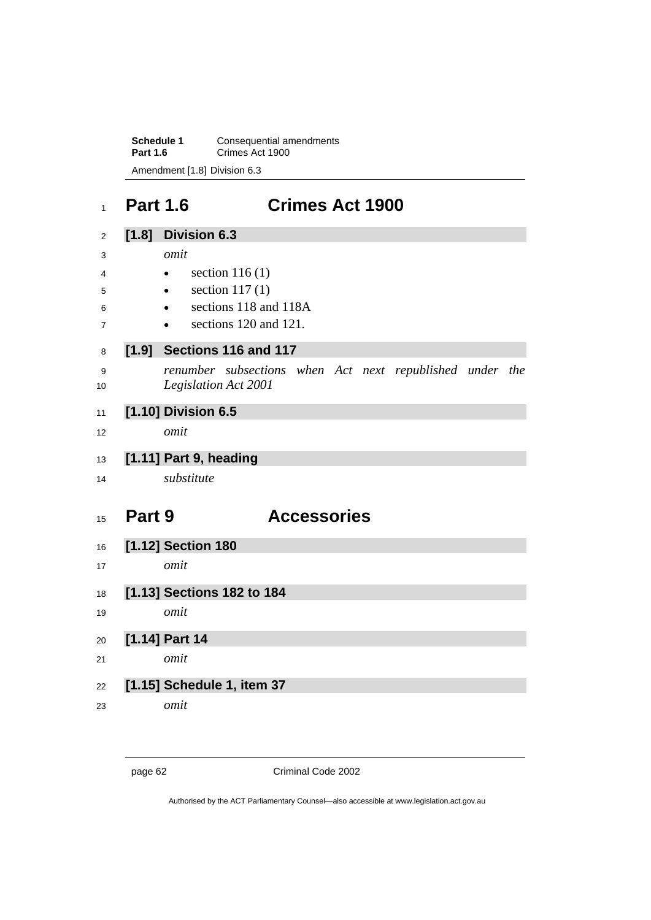**Schedule 1 Consequential amendments Part 1.6 Crimes Act 1900** Amendment [1.8] Division 6.3

## **Part 1.6 Crimes Act 1900**

| [1.8]  | <b>Division 6.3</b>                                                              |
|--------|----------------------------------------------------------------------------------|
|        | omit                                                                             |
|        | section $116(1)$<br>$\bullet$                                                    |
|        | section $117(1)$<br>$\bullet$                                                    |
|        | sections 118 and 118A                                                            |
|        | sections 120 and 121.                                                            |
|        | [1.9] Sections 116 and 117                                                       |
|        | renumber subsections when Act next republished under the<br>Legislation Act 2001 |
|        | [1.10] Division 6.5                                                              |
|        | omit                                                                             |
|        | [1.11] Part 9, heading                                                           |
|        | substitute                                                                       |
| Part 9 | <b>Accessories</b>                                                               |
|        | [1.12] Section 180                                                               |
|        | omit                                                                             |
|        | [1.13] Sections 182 to 184                                                       |
|        | omit                                                                             |
|        | [1.14] Part 14                                                                   |
|        | omit                                                                             |
|        | [1.15] Schedule 1, item 37                                                       |
|        | omit                                                                             |

page 62 Criminal Code 2002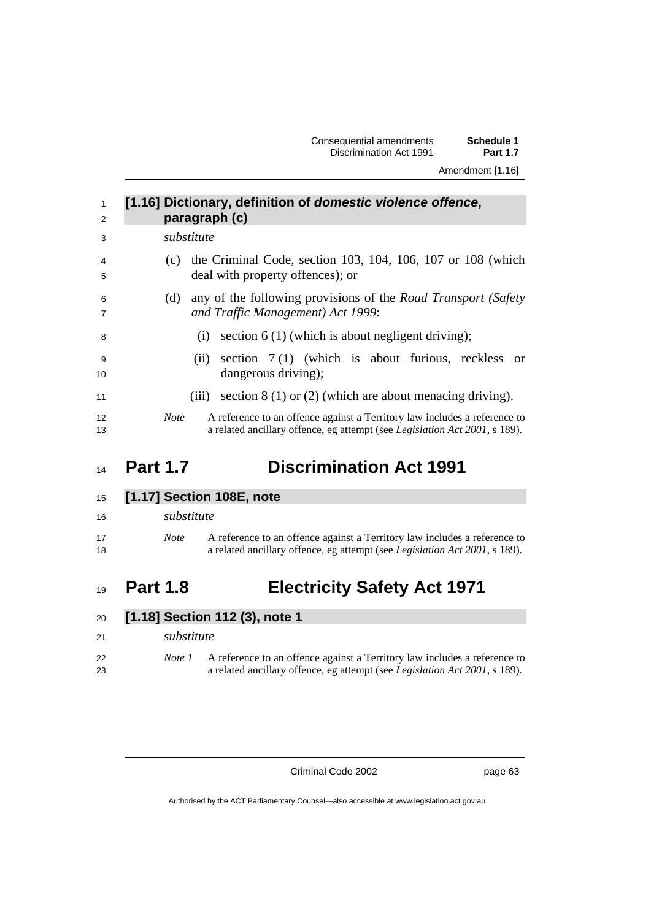| 1<br>2   | [1.16] Dictionary, definition of <i>domestic violence offence</i> ,<br>paragraph (c)                                                                                   |
|----------|------------------------------------------------------------------------------------------------------------------------------------------------------------------------|
| 3        | substitute                                                                                                                                                             |
| 4<br>5   | the Criminal Code, section $103$ , $104$ , $106$ , $107$ or $108$ (which<br>(c)<br>deal with property offences); or                                                    |
| 6<br>7   | any of the following provisions of the <i>Road Transport</i> ( <i>Safety</i><br>(d)<br>and Traffic Management) Act 1999:                                               |
| 8        | section $6(1)$ (which is about negligent driving);<br>(i)                                                                                                              |
| 9<br>10  | section $7(1)$ (which is about furious, reckless or<br>(11)<br>dangerous driving);                                                                                     |
| 11       | section $8(1)$ or $(2)$ (which are about menacing driving).<br>(111)                                                                                                   |
| 12<br>13 | <b>Note</b><br>A reference to an offence against a Territory law includes a reference to<br>a related ancillary offence, eg attempt (see Legislation Act 2001, s 189). |

## **Part 1.7 Discrimination Act 1991**

- **[1.17] Section 108E, note**
- *substitute*
- *Note* A reference to an offence against a Territory law includes a reference to a related ancillary offence, eg attempt (see *Legislation Act 2001*, s 189).

### **Part 1.8 Electricity Safety Act 1971**

**[1.18] Section 112 (3), note 1**  *substitute Note 1* A reference to an offence against a Territory law includes a reference to a related ancillary offence, eg attempt (see *Legislation Act 2001*, s 189).

Criminal Code 2002 **page 63**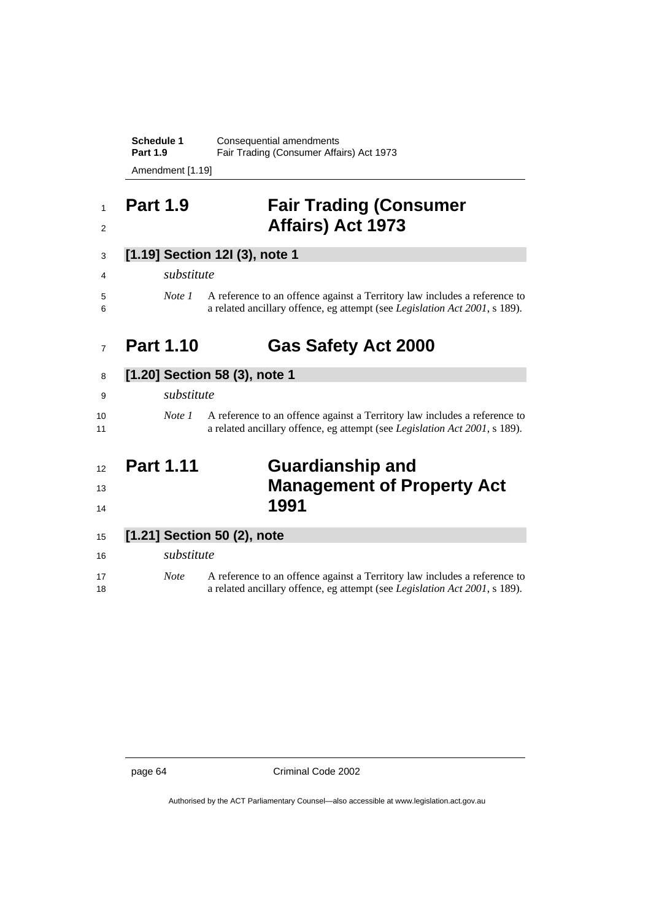**Schedule 1** Consequential amendments **Part 1.9 Fair Trading (Consumer Affairs) Act 1973** Amendment [1.19]

### Part 1.9 **Fair Trading (Consumer Affairs) Act 1973**

#### **[1.19] Section 12I (3), note 1**

- *substitute*
- *Note 1* A reference to an offence against a Territory law includes a reference to a related ancillary offence, eg attempt (see *Legislation Act 2001*, s 189).

### **Part 1.10 Gas Safety Act 2000**

- **[1.20] Section 58 (3), note 1**
- *substitute*
- *Note 1* A reference to an offence against a Territory law includes a reference to a related ancillary offence, eg attempt (see *Legislation Act 2001*, s 189).

## **Part 1.11 Guardianship and Management of Property Act 1991**

#### **[1.21] Section 50 (2), note**

*substitute* 

*Note* A reference to an offence against a Territory law includes a reference to a related ancillary offence, eg attempt (see *Legislation Act 2001*, s 189).

page 64 Criminal Code 2002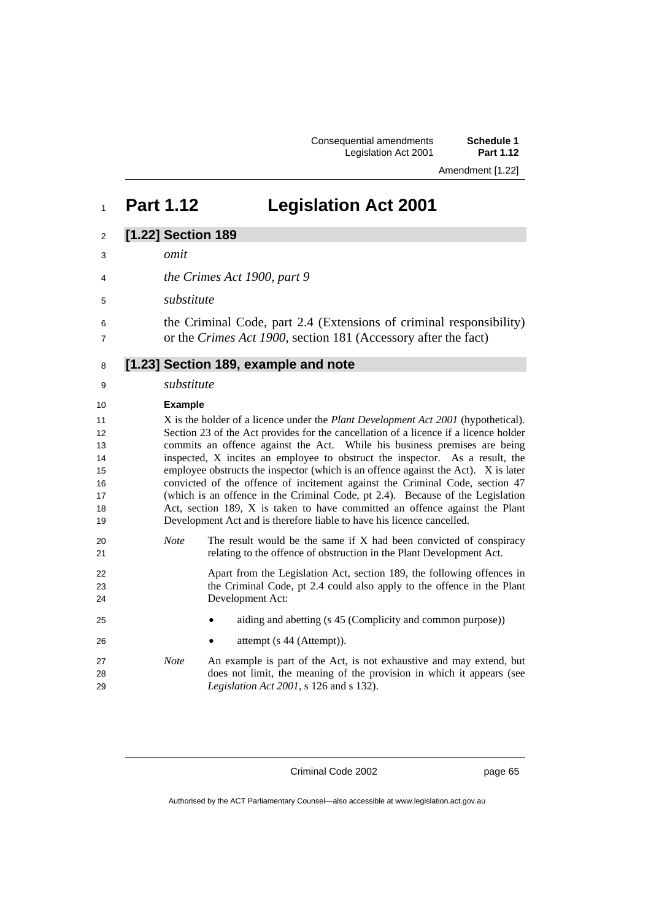#### Consequential amendments **Schedule 1**  Legislation Act 2001 **Part 1.12**

Amendment [1.22]

# **Part 1.12 Legislation Act 2001**

#### **[1.22] Section 189**

- *omit*
- *the Crimes Act 1900, part 9*

*substitute* 

the Criminal Code, part 2.4 (Extensions of criminal responsibility) or the *Crimes Act 1900*, section 181 (Accessory after the fact)

#### **[1.23] Section 189, example and note**

*substitute* 

#### **Example**

X is the holder of a licence under the *Plant Development Act 2001* (hypothetical). Section 23 of the Act provides for the cancellation of a licence if a licence holder commits an offence against the Act. While his business premises are being inspected, X incites an employee to obstruct the inspector. As a result, the employee obstructs the inspector (which is an offence against the Act). X is later convicted of the offence of incitement against the Criminal Code, section 47 (which is an offence in the Criminal Code, pt 2.4). Because of the Legislation Act, section 189, X is taken to have committed an offence against the Plant Development Act and is therefore liable to have his licence cancelled.

- *Note* The result would be the same if X had been convicted of conspiracy relating to the offence of obstruction in the Plant Development Act.
- Apart from the Legislation Act, section 189, the following offences in the Criminal Code*,* pt 2.4 could also apply to the offence in the Plant Development Act:
- **a** aiding and abetting (s 45 (Complicity and common purpose))
- **attempt (s 44 (Attempt)).**
- *Note* An example is part of the Act, is not exhaustive and may extend, but does not limit, the meaning of the provision in which it appears (see *Legislation Act 2001*, s 126 and s 132).

Criminal Code 2002 page 65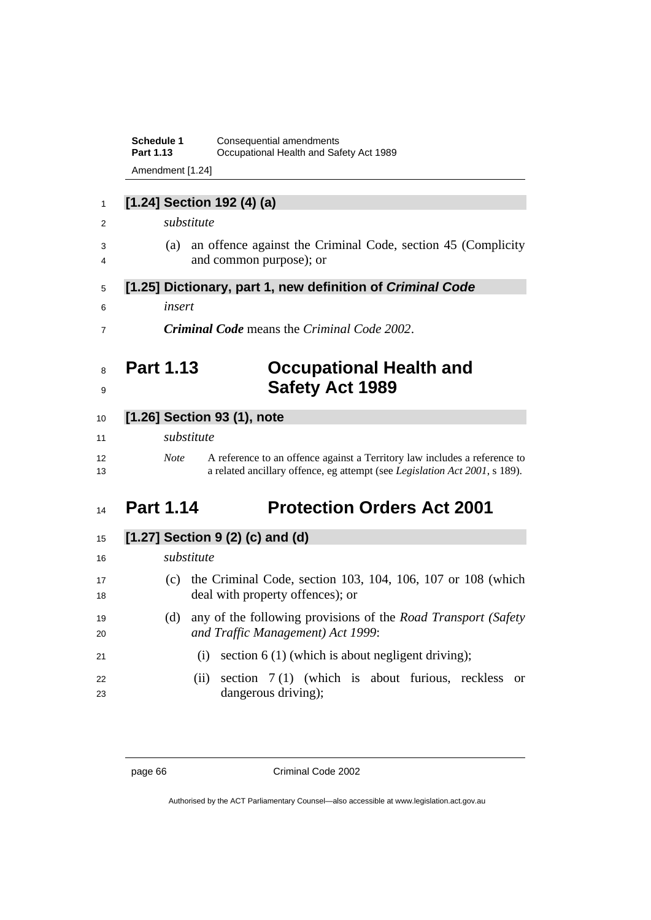**Schedule 1 Consequential amendments Part 1.13 Occupational Health and Safety Act 1989** Amendment [1.24]

**[1.24] Section 192 (4) (a)**  *substitute*  (a) an offence against the Criminal Code, section 45 (Complicity and common purpose); or **[1.25] Dictionary, part 1, new definition of** *Criminal Code insert Criminal Code* means the *Criminal Code 2002*. **Part 1.13 Occupational Health and Safety Act 1989 [1.26] Section 93 (1), note**  *substitute Note* A reference to an offence against a Territory law includes a reference to a related ancillary offence, eg attempt (see *Legislation Act 2001*, s 189). **Part 1.14 Protection Orders Act 2001 [1.27] Section 9 (2) (c) and (d)** 

- (c) the Criminal Code, section 103, 104, 106, 107 or 108 (which 18 deal with property offences); or
- (d) any of the following provisions of the *Road Transport (Safety and Traffic Management) Act 1999*:
- 21 (i) section 6 (1) (which is about negligent driving);
- (ii) section 7 (1) (which is about furious, reckless or dangerous driving);

*substitute* 

page 66 Criminal Code 2002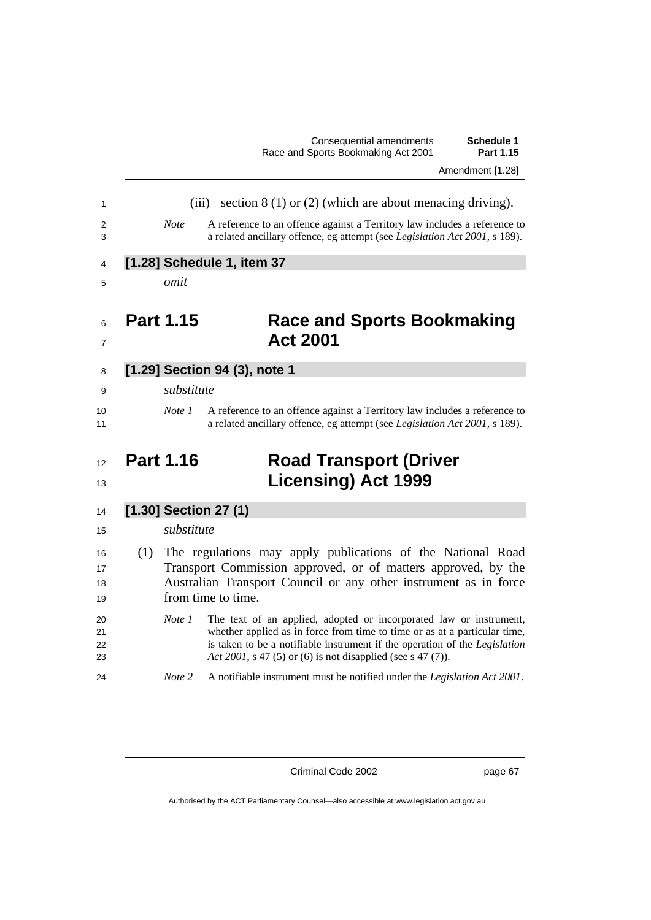|     |                  | Consequential amendments<br>Race and Sports Bookmaking Act 2001                                                                                                                                                                                                                              | <b>Schedule 1</b><br><b>Part 1.15</b> |
|-----|------------------|----------------------------------------------------------------------------------------------------------------------------------------------------------------------------------------------------------------------------------------------------------------------------------------------|---------------------------------------|
|     |                  |                                                                                                                                                                                                                                                                                              | Amendment [1.28]                      |
|     | (iii)            | section $8(1)$ or $(2)$ (which are about menacing driving).                                                                                                                                                                                                                                  |                                       |
|     | <b>Note</b>      | A reference to an offence against a Territory law includes a reference to<br>a related ancillary offence, eg attempt (see Legislation Act 2001, s 189).                                                                                                                                      |                                       |
|     |                  | [1.28] Schedule 1, item 37                                                                                                                                                                                                                                                                   |                                       |
|     | omit             |                                                                                                                                                                                                                                                                                              |                                       |
|     | <b>Part 1.15</b> | <b>Race and Sports Bookmaking</b><br><b>Act 2001</b>                                                                                                                                                                                                                                         |                                       |
|     |                  | [1.29] Section 94 (3), note 1                                                                                                                                                                                                                                                                |                                       |
|     | substitute       |                                                                                                                                                                                                                                                                                              |                                       |
|     | Note 1           | A reference to an offence against a Territory law includes a reference to<br>a related ancillary offence, eg attempt (see Legislation Act 2001, s 189).                                                                                                                                      |                                       |
|     | <b>Part 1.16</b> | <b>Road Transport (Driver</b><br><b>Licensing) Act 1999</b>                                                                                                                                                                                                                                  |                                       |
|     |                  | [1.30] Section 27 (1)                                                                                                                                                                                                                                                                        |                                       |
|     | substitute       |                                                                                                                                                                                                                                                                                              |                                       |
| (1) |                  | The regulations may apply publications of the National Road<br>Transport Commission approved, or of matters approved, by the<br>Australian Transport Council or any other instrument as in force<br>from time to time.                                                                       |                                       |
|     | Note 1           | The text of an applied, adopted or incorporated law or instrument,<br>whether applied as in force from time to time or as at a particular time,<br>is taken to be a notifiable instrument if the operation of the Legislation<br>Act 2001, s 47 (5) or (6) is not disapplied (see s 47 (7)). |                                       |
|     | Note 2           | A notifiable instrument must be notified under the Legislation Act 2001.                                                                                                                                                                                                                     |                                       |
|     |                  |                                                                                                                                                                                                                                                                                              |                                       |

Criminal Code 2002 page 67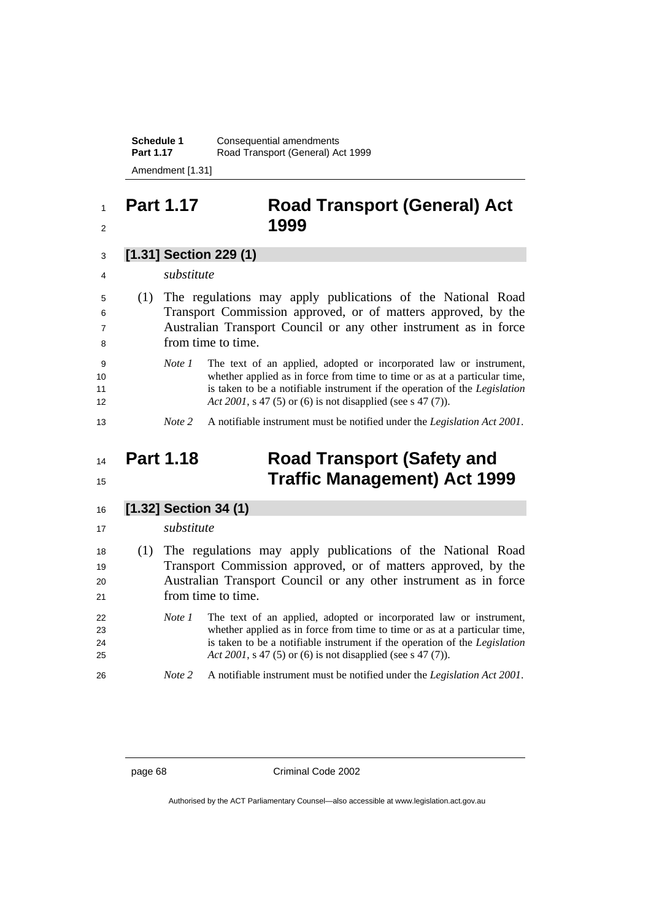**Schedule 1 Consequential amendments** Part 1.17 **Road Transport (General) Act 1999** Amendment [1.31]

# **Part 1.17 Road Transport (General) Act 1999**

#### **[1.31] Section 229 (1)**

*substitute* 

(1) The regulations may apply publications of the National Road Transport Commission approved, or of matters approved, by the Australian Transport Council or any other instrument as in force from time to time.

- *Note 1* The text of an applied, adopted or incorporated law or instrument, 10 whether applied as in force from time to time or as at a particular time, is taken to be a notifiable instrument if the operation of the *Legislation Act 2001*, s 47 (5) or (6) is not disapplied (see s 47 (7)).
- *Note 2* A notifiable instrument must be notified under the *Legislation Act 2001*.

# **Part 1.18 Road Transport (Safety and Traffic Management) Act 1999**

#### **[1.32] Section 34 (1)**

*substitute* 

(1) The regulations may apply publications of the National Road Transport Commission approved, or of matters approved, by the Australian Transport Council or any other instrument as in force 21 from time to time.

- *Note 1* The text of an applied, adopted or incorporated law or instrument, whether applied as in force from time to time or as at a particular time, is taken to be a notifiable instrument if the operation of the *Legislation Act 2001*, s 47 (5) or (6) is not disapplied (see s 47 (7)).
- *Note 2* A notifiable instrument must be notified under the *Legislation Act 2001*.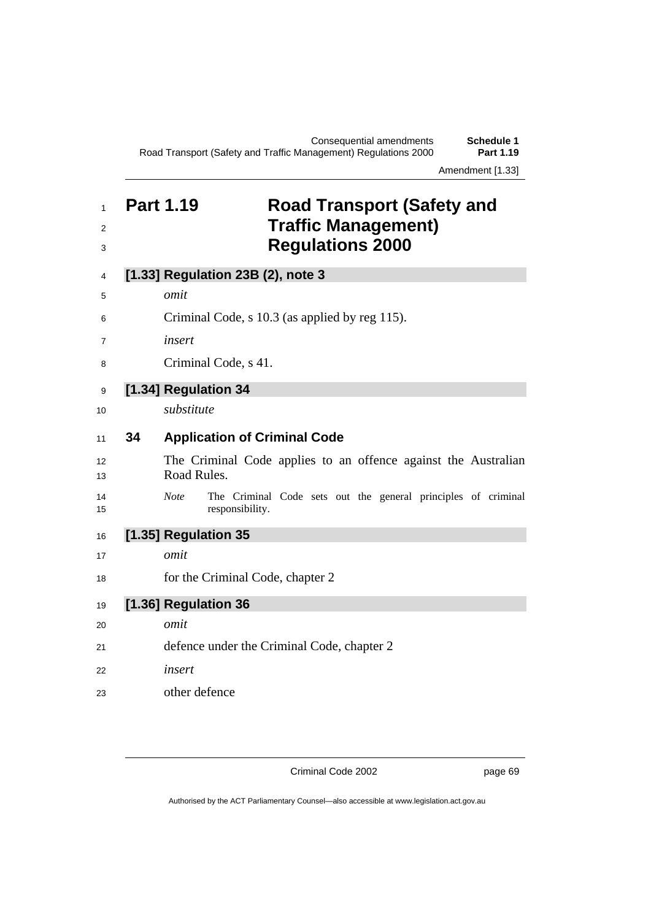# **Part 1.19 Road Transport (Safety and Traffic Management) Regulations 2000 [1.33] Regulation 23B (2), note 3**  *omit*  Criminal Code, s 10.3 (as applied by reg 115). *insert*  8 Criminal Code, s 41. **[1.34] Regulation 34**  *substitute*  **34 Application of Criminal Code**  12 The Criminal Code applies to an offence against the Australian 13 Road Rules. *Note* The Criminal Code sets out the general principles of criminal responsibility. **[1.35] Regulation 35**  *omit*  18 for the Criminal Code, chapter 2 **[1.36] Regulation 36**  *omit*  21 defence under the Criminal Code, chapter 2 *insert*  other defence

Criminal Code 2002 **page 69**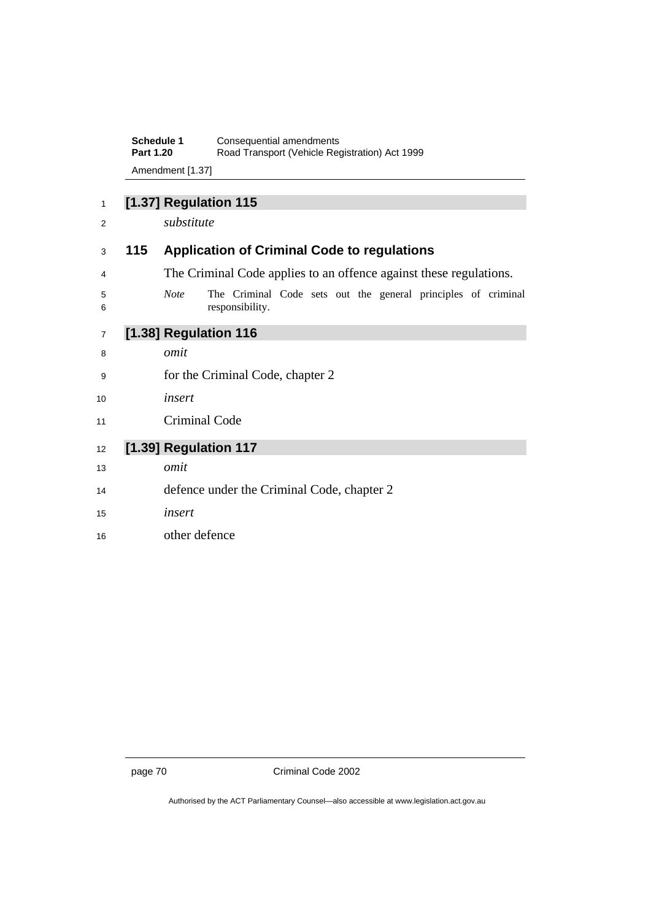**Schedule 1 Consequential amendments** Part 1.20 **Road Transport (Vehicle Registration) Act 1999** Amendment [1.37]

|     | [1.37] Regulation 115                                                                           |  |  |  |
|-----|-------------------------------------------------------------------------------------------------|--|--|--|
|     | substitute                                                                                      |  |  |  |
| 115 | <b>Application of Criminal Code to regulations</b>                                              |  |  |  |
|     | The Criminal Code applies to an offence against these regulations.                              |  |  |  |
|     | <b>Note</b><br>The Criminal Code sets out the general principles of criminal<br>responsibility. |  |  |  |
|     | [1.38] Regulation 116                                                                           |  |  |  |
|     | omit                                                                                            |  |  |  |
|     | for the Criminal Code, chapter 2                                                                |  |  |  |
|     | insert                                                                                          |  |  |  |
|     | Criminal Code                                                                                   |  |  |  |
|     | [1.39] Regulation 117                                                                           |  |  |  |
|     | omit                                                                                            |  |  |  |
|     | defence under the Criminal Code, chapter 2                                                      |  |  |  |
|     | insert                                                                                          |  |  |  |
|     | other defence                                                                                   |  |  |  |
|     |                                                                                                 |  |  |  |

page 70 Criminal Code 2002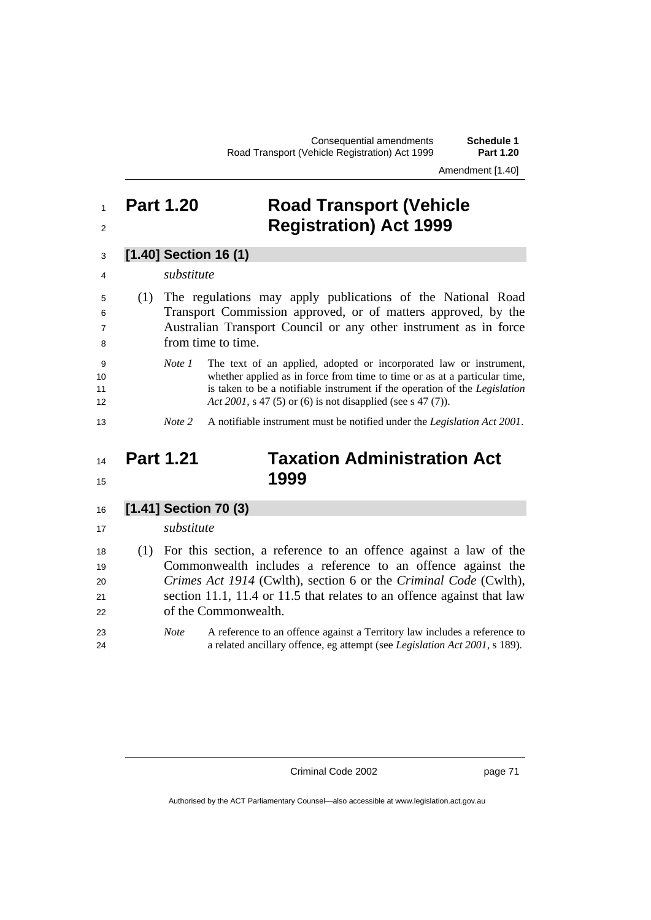Amendment [1.40]

# **Part 1.20 Road Transport (Vehicle Registration) Act 1999**

#### **[1.40] Section 16 (1)**

#### *substitute*

(1) The regulations may apply publications of the National Road Transport Commission approved, or of matters approved, by the Australian Transport Council or any other instrument as in force from time to time.

- *Note 1* The text of an applied, adopted or incorporated law or instrument, 10 whether applied as in force from time to time or as at a particular time, is taken to be a notifiable instrument if the operation of the *Legislation Act 2001*, s 47 (5) or (6) is not disapplied (see s 47 (7)).
- *Note 2* A notifiable instrument must be notified under the *Legislation Act 2001*.

# **Part 1.21 Taxation Administration Act 1999**

#### **[1.41] Section 70 (3)**

#### *substitute*

(1) For this section, a reference to an offence against a law of the Commonwealth includes a reference to an offence against the *Crimes Act 1914* (Cwlth), section 6 or the *Criminal Code* (Cwlth), 21 section 11.1, 11.4 or 11.5 that relates to an offence against that law 22 of the Commonwealth.

*Note* A reference to an offence against a Territory law includes a reference to a related ancillary offence, eg attempt (see *Legislation Act 2001*, s 189).

Criminal Code 2002 page 71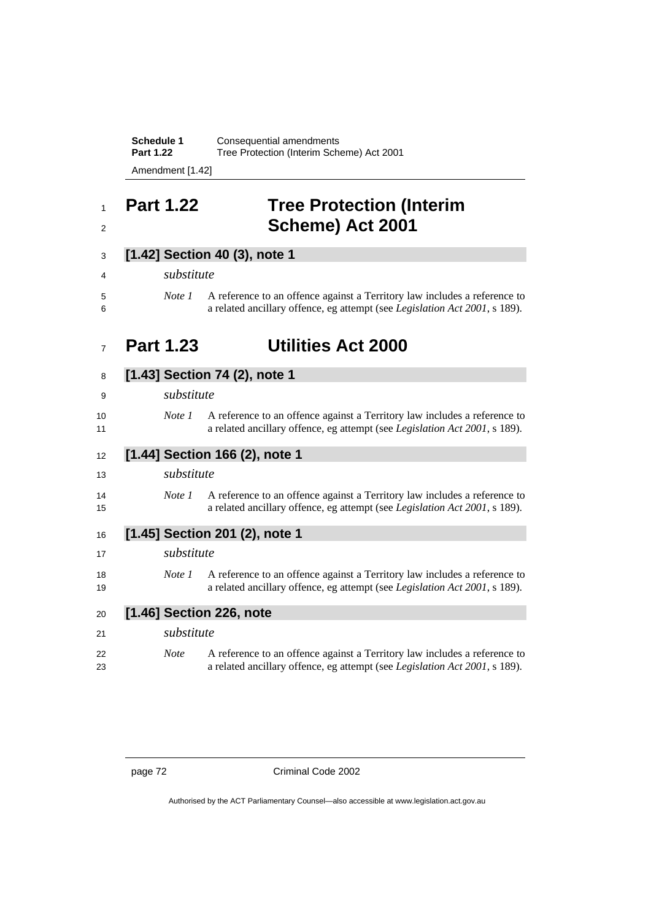**Schedule 1** Consequential amendments **Part 1.22** Tree Protection (Interim Scheme) Act 2001 Amendment [1.42]

# **Part 1.22 Tree Protection (Interim Scheme) Act 2001**

#### **[1.42] Section 40 (3), note 1**

#### *substitute*

*Note 1* A reference to an offence against a Territory law includes a reference to a related ancillary offence, eg attempt (see *Legislation Act 2001*, s 189).

# **Part 1.23 Utilities Act 2000**

#### **[1.43] Section 74 (2), note 1**

- *substitute*
- *Note 1* A reference to an offence against a Territory law includes a reference to a related ancillary offence, eg attempt (see *Legislation Act 2001*, s 189).
- **[1.44] Section 166 (2), note 1**
- *substitute*
- *Note 1* A reference to an offence against a Territory law includes a reference to a related ancillary offence, eg attempt (see *Legislation Act 2001*, s 189).

#### **[1.45] Section 201 (2), note 1**

- *substitute*
- *Note 1* A reference to an offence against a Territory law includes a reference to a related ancillary offence, eg attempt (see *Legislation Act 2001*, s 189).
- **[1.46] Section 226, note**
- *substitute*
- *Note* A reference to an offence against a Territory law includes a reference to a related ancillary offence, eg attempt (see *Legislation Act 2001*, s 189).

page 72 Criminal Code 2002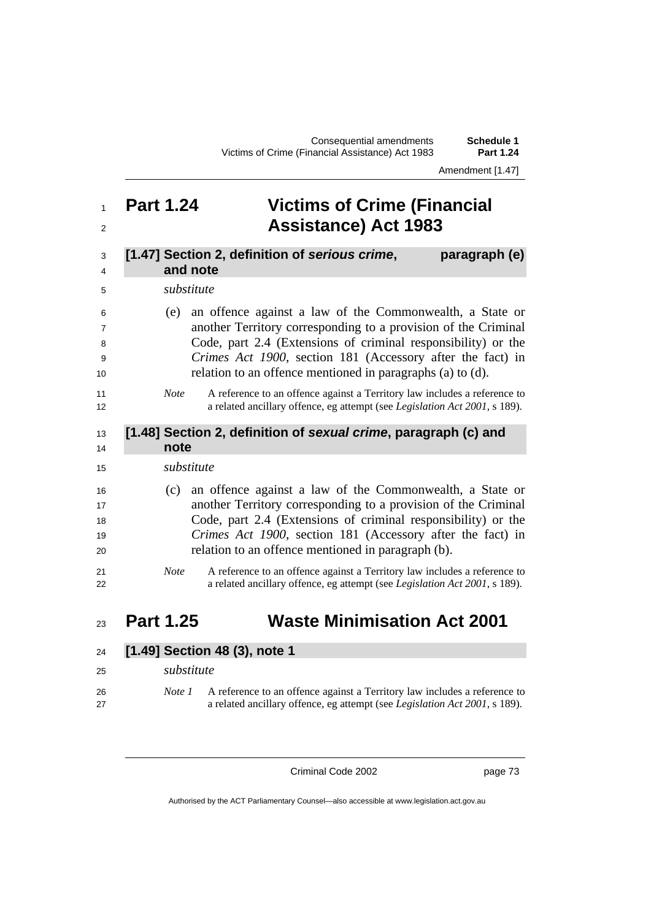# **Part 1.24 Victims of Crime (Financial Assistance) Act 1983**

### **[1.47] Section 2, definition of** *serious crime***, paragraph (e) and note**

*substitute* 

- (e) an offence against a law of the Commonwealth, a State or another Territory corresponding to a provision of the Criminal Code, part 2.4 (Extensions of criminal responsibility) or the *Crimes Act 1900*, section 181 (Accessory after the fact) in 10 relation to an offence mentioned in paragraphs (a) to (d).
- *Note* A reference to an offence against a Territory law includes a reference to a related ancillary offence, eg attempt (see *Legislation Act 2001*, s 189).

#### **[1.48] Section 2, definition of** *sexual crime***, paragraph (c) and note**

#### *substitute*

| 16 | (c) an offence against a law of the Commonwealth, a State or       |
|----|--------------------------------------------------------------------|
| 17 | another Territory corresponding to a provision of the Criminal     |
| 18 | Code, part 2.4 (Extensions of criminal responsibility) or the      |
| 19 | <i>Crimes Act 1900</i> , section 181 (Accessory after the fact) in |
| 20 | relation to an offence mentioned in paragraph (b).                 |
|    |                                                                    |

*Note* A reference to an offence against a Territory law includes a reference to a related ancillary offence, eg attempt (see *Legislation Act 2001*, s 189).

# **Part 1.25 Waste Minimisation Act 2001**

**[1.49] Section 48 (3), note 1**  *substitute* 

*Note 1* A reference to an offence against a Territory law includes a reference to a related ancillary offence, eg attempt (see *Legislation Act 2001*, s 189).

Criminal Code 2002 page 73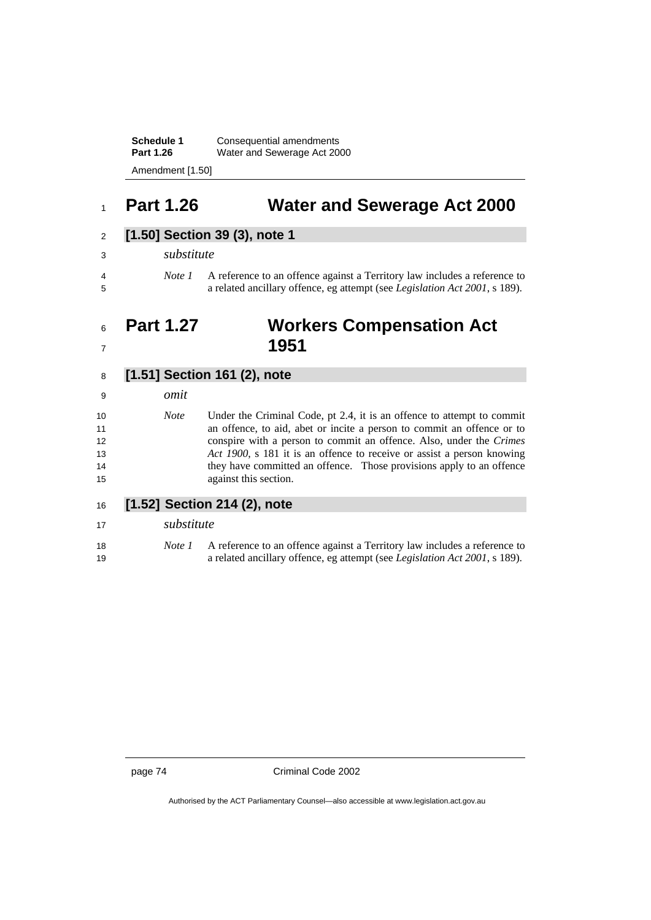**Schedule 1** Consequential amendments **Part 1.26** Water and Sewerage Act 2000 Amendment [1.50]

# **Part 1.26 Water and Sewerage Act 2000**

#### **[1.50] Section 39 (3), note 1**

#### *substitute*

*Note 1* A reference to an offence against a Territory law includes a reference to a related ancillary offence, eg attempt (see *Legislation Act 2001*, s 189).

# **Part 1.27 Workers Compensation Act 1951**

#### **[1.51] Section 161 (2), note**

#### *omit*

*Note* Under the Criminal Code, pt 2.4, it is an offence to attempt to commit an offence, to aid, abet or incite a person to commit an offence or to conspire with a person to commit an offence. Also, under the *Crimes Act 1900*, s 181 it is an offence to receive or assist a person knowing they have committed an offence. Those provisions apply to an offence against this section.

#### **[1.52] Section 214 (2), note**

*substitute* 

| 18 | Note 1 | A reference to an offence against a Territory law includes a reference to          |
|----|--------|------------------------------------------------------------------------------------|
| 19 |        | a related ancillary offence, eg attempt (see <i>Legislation Act 2001</i> , s 189). |

page 74 Criminal Code 2002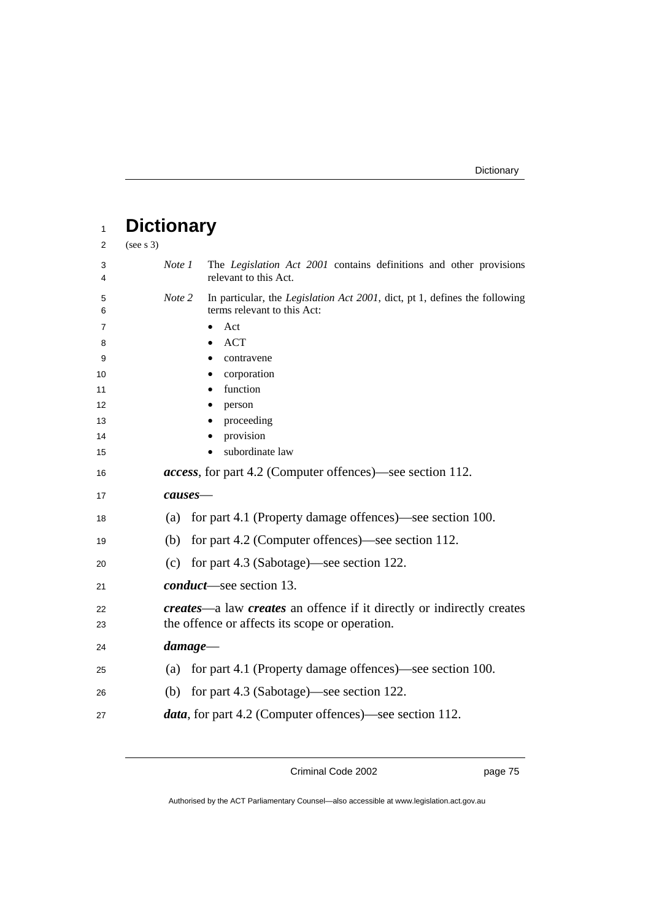## **Dictionary**  (see s 3) *Note 1* The *Legislation Act 2001* contains definitions and other provisions relevant to this Act. *Note 2* In particular, the *Legislation Act 2001*, dict, pt 1, defines the following terms relevant to this Act:  $7 \qquad \qquad \bullet \quad \text{Act}$  ACT contravene corporation **e** function **e** person proceeding **provision subordinate law** *access*, for part 4.2 (Computer offences)—see section 112. *causes*— (a) for part 4.1 (Property damage offences)—see section 100. 19 (b) for part 4.2 (Computer offences)—see section 112. (c) for part 4.3 (Sabotage)—see section 122. *conduct*—see section 13. *creates*—a law *creates* an offence if it directly or indirectly creates 23 the offence or affects its scope or operation. *damage*— (a) for part 4.1 (Property damage offences)—see section 100. (b) for part 4.3 (Sabotage)—see section 122. *data*, for part 4.2 (Computer offences)—see section 112.

Criminal Code 2002 **page 75**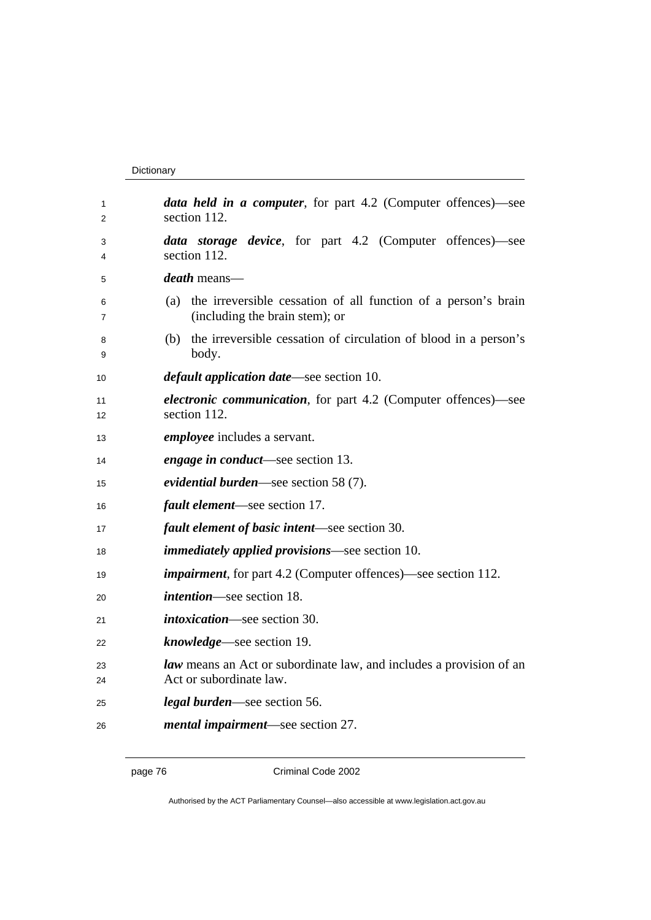#### Dictionary

| 1<br>2   | data held in a computer, for part 4.2 (Computer offences)—see<br>section 112.                         |
|----------|-------------------------------------------------------------------------------------------------------|
| 3<br>4   | data storage device, for part 4.2 (Computer offences)—see<br>section 112.                             |
| 5        | death means-                                                                                          |
| 6<br>7   | (a) the irreversible cessation of all function of a person's brain<br>(including the brain stem); or  |
| 8<br>9   | the irreversible cessation of circulation of blood in a person's<br>(b)<br>body.                      |
| 10       | <i>default application date</i> —see section 10.                                                      |
| 11<br>12 | <i>electronic communication</i> , for part 4.2 (Computer offences)—see<br>section 112.                |
| 13       | <i>employee</i> includes a servant.                                                                   |
| 14       | <i>engage in conduct</i> —see section 13.                                                             |
| 15       | <i>evidential burden</i> —see section 58 $(7)$ .                                                      |
| 16       | <i>fault element</i> —see section 17.                                                                 |
| 17       | <i>fault element of basic intent</i> —see section 30.                                                 |
| 18       | <i>immediately applied provisions</i> —see section 10.                                                |
| 19       | <i>impairment</i> , for part 4.2 (Computer offences)—see section 112.                                 |
| 20       | <i>intention</i> —see section 18.                                                                     |
| 21       | <i>intoxication</i> —see section 30.                                                                  |
| 22       | knowledge—see section 19.                                                                             |
| 23<br>24 | <b>law</b> means an Act or subordinate law, and includes a provision of an<br>Act or subordinate law. |
| 25       | <i>legal burden</i> —see section 56.                                                                  |
| 26       | <i>mental impairment</i> —see section 27.                                                             |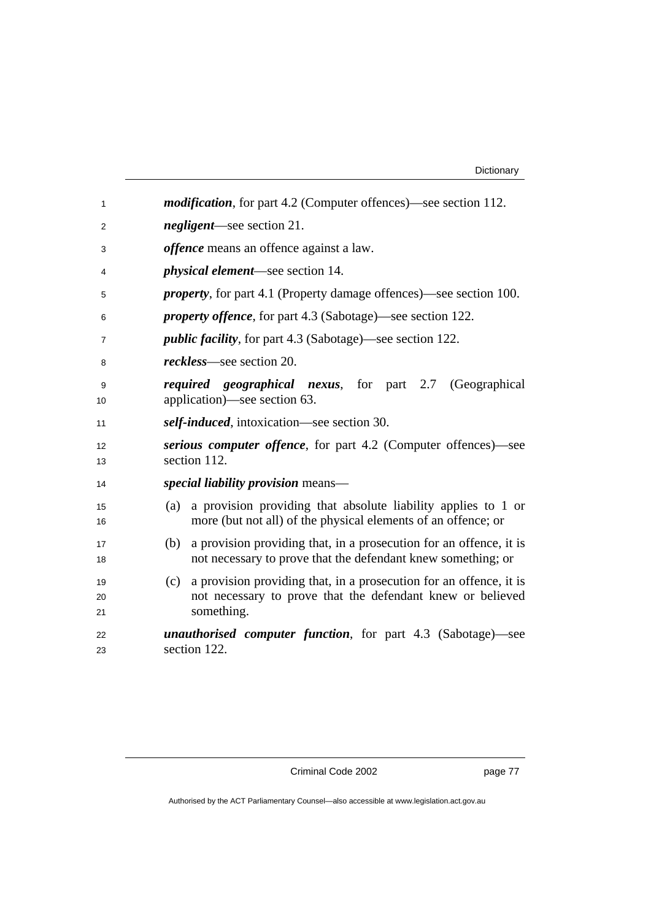| <i>modification</i> , for part 4.2 (Computer offences)—see section 112.                                                                               |
|-------------------------------------------------------------------------------------------------------------------------------------------------------|
| <i>negligent</i> —see section 21.                                                                                                                     |
| offence means an offence against a law.                                                                                                               |
| <i>physical element—see section 14.</i>                                                                                                               |
| <i>property</i> , for part 4.1 (Property damage offences)—see section 100.                                                                            |
| <i>property offence</i> , for part 4.3 (Sabotage)—see section 122.                                                                                    |
| <i>public facility</i> , for part 4.3 (Sabotage)—see section 122.                                                                                     |
| <i>reckless</i> —see section 20.                                                                                                                      |
| <b>required geographical nexus</b> , for part 2.7<br>(Geographical)<br>application)—see section 63.                                                   |
| self-induced, intoxication—see section 30.                                                                                                            |
| serious computer offence, for part 4.2 (Computer offences)—see<br>section 112.                                                                        |
| special liability provision means—                                                                                                                    |
| a provision providing that absolute liability applies to 1 or<br>(a)<br>more (but not all) of the physical elements of an offence; or                 |
| a provision providing that, in a prosecution for an offence, it is<br>(b)<br>not necessary to prove that the defendant knew something; or             |
| a provision providing that, in a prosecution for an offence, it is<br>(c)<br>not necessary to prove that the defendant knew or believed<br>something. |
| <i>unauthorised computer function</i> , for part 4.3 (Sabotage)—see<br>section 122.                                                                   |
|                                                                                                                                                       |